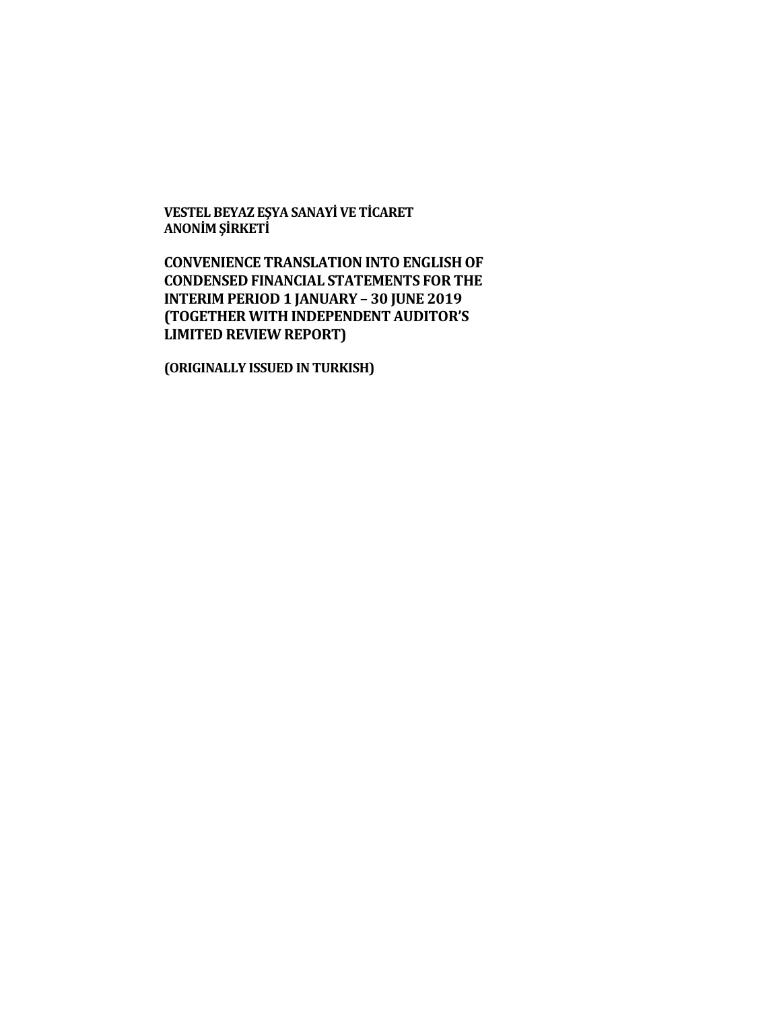**VESTEL BEYAZ EŞYA SANAYİ VE TİCARET ANONİM ŞİRKETİ**

**CONVENIENCE TRANSLATION INTO ENGLISH OF CONDENSED FINANCIAL STATEMENTS FOR THE INTERIM PERIOD 1 JANUARY – 30 JUNE 2019 (TOGETHER WITH INDEPENDENT AUDITOR'S LIMITED REVIEW REPORT)**

**(ORIGINALLY ISSUED IN TURKISH)**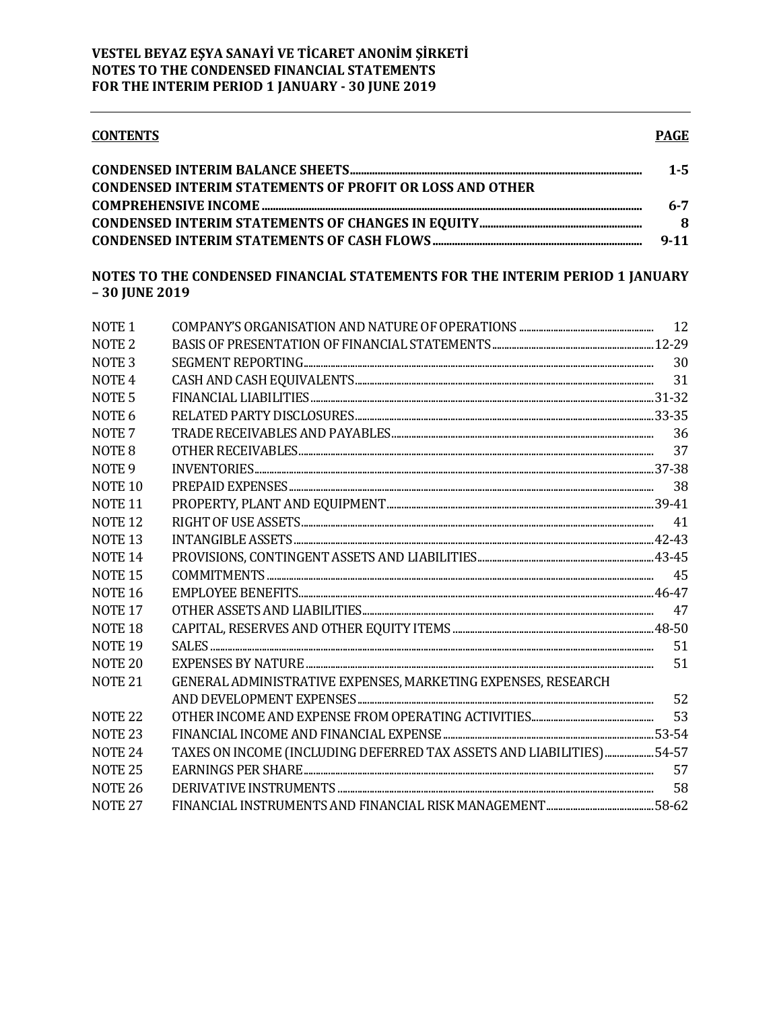#### **CONTENTS**  $1 - 5$ **CONDENSED INTERIM STATEMENTS OF PROFIT OR LOSS AND OTHER**  $6 - 7$

| $9 - 11$ |
|----------|

# NOTES TO THE CONDENSED FINANCIAL STATEMENTS FOR THE INTERIM PERIOD 1 JANUARY  $-30$  JUNE 2019

| NOTE <sub>1</sub>  |                                                                       |     |
|--------------------|-----------------------------------------------------------------------|-----|
| NOTE <sub>2</sub>  |                                                                       |     |
| NOTE <sub>3</sub>  |                                                                       | 30  |
| NOTE <sub>4</sub>  |                                                                       |     |
| NOTE <sub>5</sub>  |                                                                       |     |
| NOTE <sub>6</sub>  |                                                                       |     |
| NOTE <sub>7</sub>  |                                                                       | 36  |
| NOTE <sub>8</sub>  |                                                                       | 37  |
| NOTE <sub>9</sub>  |                                                                       |     |
| NOTE <sub>10</sub> |                                                                       | 38  |
| NOTE <sub>11</sub> |                                                                       |     |
| <b>NOTE 12</b>     |                                                                       |     |
| NOTE <sub>13</sub> |                                                                       |     |
| NOTE <sub>14</sub> |                                                                       |     |
| <b>NOTE 15</b>     | $\text{COMMITMENTS} \tiny{\\$                                         | -45 |
| <b>NOTE 16</b>     |                                                                       |     |
| <b>NOTE 17</b>     |                                                                       | 47  |
| NOTE <sub>18</sub> |                                                                       |     |
| <b>NOTE 19</b>     |                                                                       | 51  |
| NOTE <sub>20</sub> |                                                                       | 51  |
| NOTE <sub>21</sub> | GENERAL ADMINISTRATIVE EXPENSES, MARKETING EXPENSES, RESEARCH         |     |
|                    |                                                                       | 52  |
| <b>NOTE 22</b>     |                                                                       | 53  |
| NOTE <sub>23</sub> |                                                                       |     |
| NOTE <sub>24</sub> | TAXES ON INCOME (INCLUDING DEFERRED TAX ASSETS AND LIABILITIES) 54-57 |     |
| <b>NOTE 25</b>     |                                                                       | 57  |
| <b>NOTE 26</b>     |                                                                       | 58  |
| <b>NOTE 27</b>     |                                                                       |     |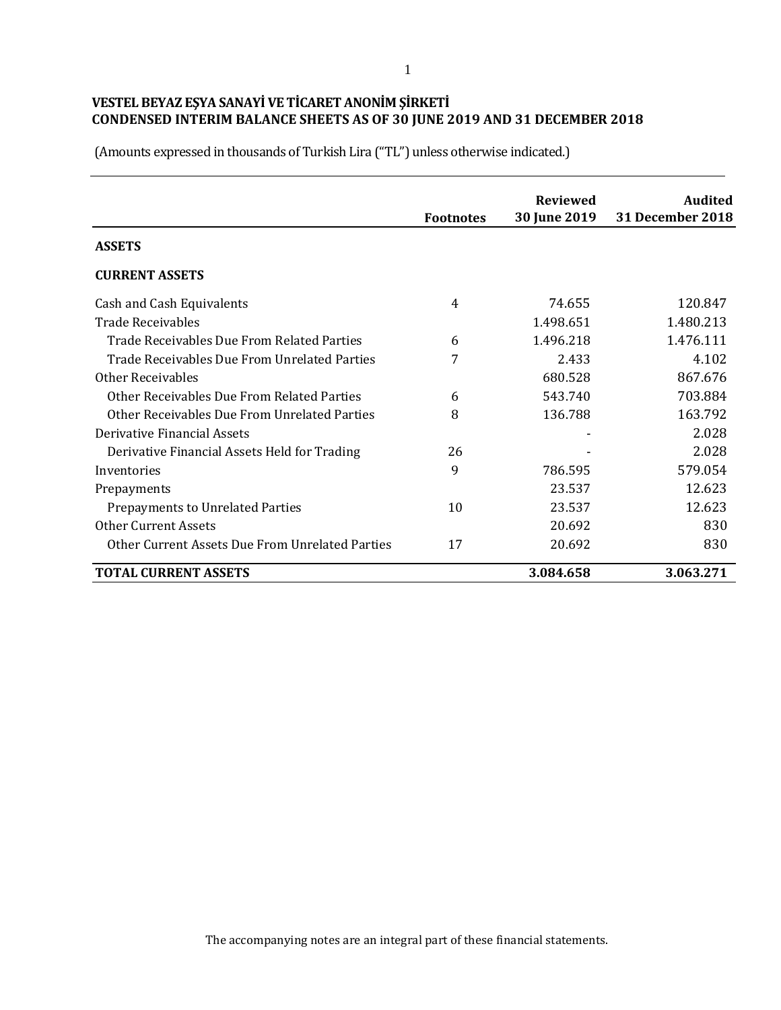|                                                 | <b>Footnotes</b> | <b>Reviewed</b><br>30 June 2019 | <b>Audited</b><br><b>31 December 2018</b> |
|-------------------------------------------------|------------------|---------------------------------|-------------------------------------------|
| <b>ASSETS</b>                                   |                  |                                 |                                           |
| <b>CURRENT ASSETS</b>                           |                  |                                 |                                           |
| Cash and Cash Equivalents                       | 4                | 74.655                          | 120.847                                   |
| <b>Trade Receivables</b>                        |                  | 1.498.651                       | 1.480.213                                 |
| Trade Receivables Due From Related Parties      | 6                | 1.496.218                       | 1.476.111                                 |
| Trade Receivables Due From Unrelated Parties    | 7                | 2.433                           | 4.102                                     |
| <b>Other Receivables</b>                        |                  | 680.528                         | 867.676                                   |
| Other Receivables Due From Related Parties      | 6                | 543.740                         | 703.884                                   |
| Other Receivables Due From Unrelated Parties    | 8                | 136.788                         | 163.792                                   |
| Derivative Financial Assets                     |                  |                                 | 2.028                                     |
| Derivative Financial Assets Held for Trading    | 26               |                                 | 2.028                                     |
| Inventories                                     | 9                | 786.595                         | 579.054                                   |
| Prepayments                                     |                  | 23.537                          | 12.623                                    |
| Prepayments to Unrelated Parties                | 10               | 23.537                          | 12.623                                    |
| <b>Other Current Assets</b>                     |                  | 20.692                          | 830                                       |
| Other Current Assets Due From Unrelated Parties | 17               | 20.692                          | 830                                       |
| <b>TOTAL CURRENT ASSETS</b>                     |                  | 3.084.658                       | 3.063.271                                 |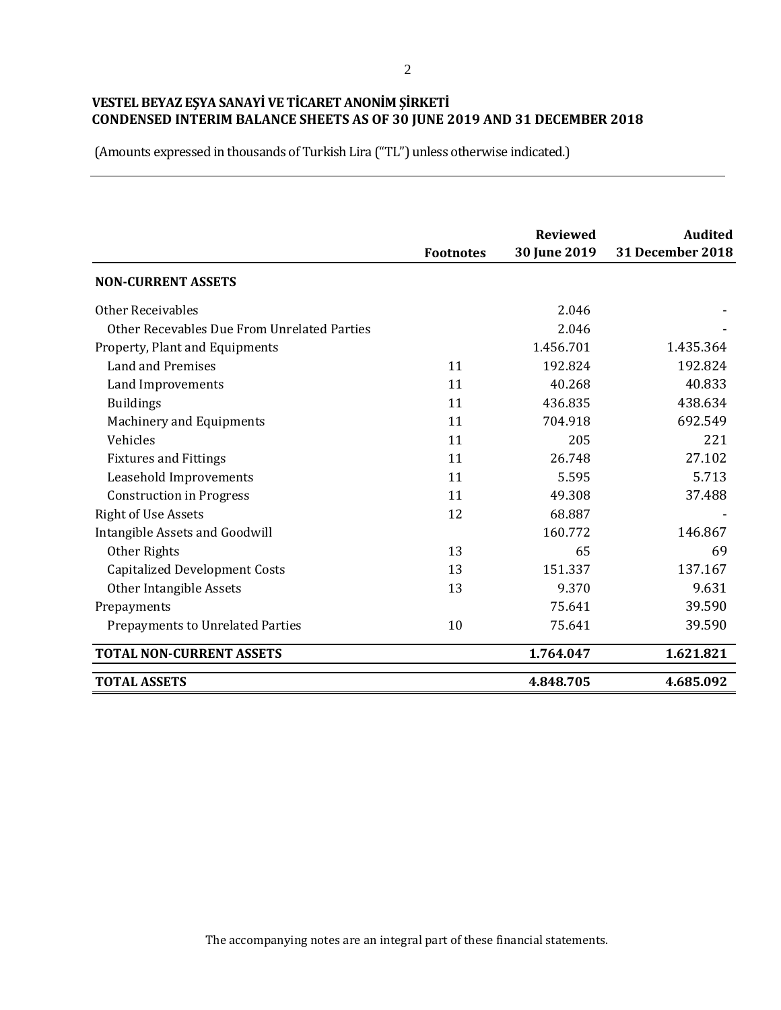(Amounts expressed in thousands of Turkish Lira ("TL") unless otherwise indicated.)

|                                             | <b>Footnotes</b> | <b>Reviewed</b><br>30 June 2019 | <b>Audited</b><br><b>31 December 2018</b> |
|---------------------------------------------|------------------|---------------------------------|-------------------------------------------|
| <b>NON-CURRENT ASSETS</b>                   |                  |                                 |                                           |
| <b>Other Receivables</b>                    |                  | 2.046                           |                                           |
| Other Recevables Due From Unrelated Parties |                  | 2.046                           |                                           |
| Property, Plant and Equipments              |                  | 1.456.701                       | 1.435.364                                 |
| Land and Premises                           | 11               | 192.824                         | 192.824                                   |
| Land Improvements                           | 11               | 40.268                          | 40.833                                    |
| <b>Buildings</b>                            | 11               | 436.835                         | 438.634                                   |
| <b>Machinery and Equipments</b>             | 11               | 704.918                         | 692.549                                   |
| Vehicles                                    | 11               | 205                             | 221                                       |
| <b>Fixtures and Fittings</b>                | 11               | 26.748                          | 27.102                                    |
| Leasehold Improvements                      | 11               | 5.595                           | 5.713                                     |
| <b>Construction in Progress</b>             | 11               | 49.308                          | 37.488                                    |
| <b>Right of Use Assets</b>                  | 12               | 68.887                          |                                           |
| Intangible Assets and Goodwill              |                  | 160.772                         | 146.867                                   |
| Other Rights                                | 13               | 65                              | 69                                        |
| <b>Capitalized Development Costs</b>        | 13               | 151.337                         | 137.167                                   |
| Other Intangible Assets                     | 13               | 9.370                           | 9.631                                     |
| Prepayments                                 |                  | 75.641                          | 39.590                                    |
| <b>Prepayments to Unrelated Parties</b>     | 10               | 75.641                          | 39.590                                    |
| <b>TOTAL NON-CURRENT ASSETS</b>             |                  | 1.764.047                       | 1.621.821                                 |
| <b>TOTAL ASSETS</b>                         |                  | 4.848.705                       | 4.685.092                                 |

The accompanying notes are an integral part of these financial statements.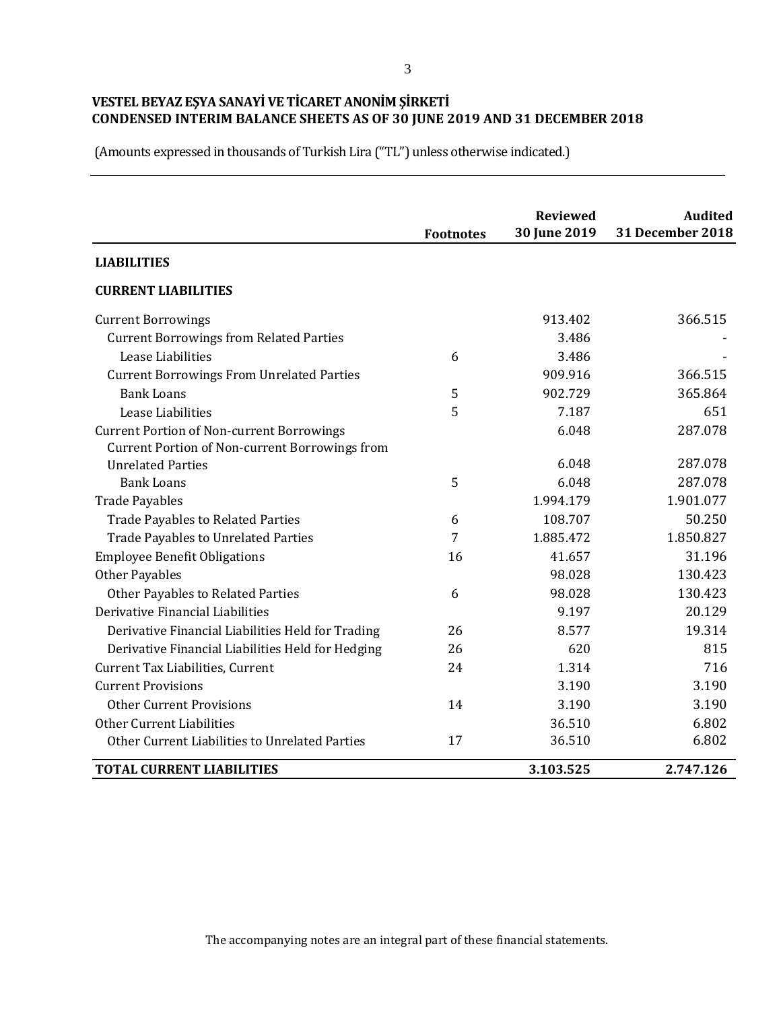|                                                   |                  | <b>Reviewed</b> | <b>Audited</b>          |
|---------------------------------------------------|------------------|-----------------|-------------------------|
|                                                   | <b>Footnotes</b> | 30 June 2019    | <b>31 December 2018</b> |
| <b>LIABILITIES</b>                                |                  |                 |                         |
| <b>CURRENT LIABILITIES</b>                        |                  |                 |                         |
| <b>Current Borrowings</b>                         |                  | 913.402         | 366.515                 |
| <b>Current Borrowings from Related Parties</b>    |                  | 3.486           |                         |
| Lease Liabilities                                 | 6                | 3.486           |                         |
| <b>Current Borrowings From Unrelated Parties</b>  |                  | 909.916         | 366.515                 |
| <b>Bank Loans</b>                                 | 5                | 902.729         | 365.864                 |
| Lease Liabilities                                 | 5                | 7.187           | 651                     |
| <b>Current Portion of Non-current Borrowings</b>  |                  | 6.048           | 287.078                 |
| Current Portion of Non-current Borrowings from    |                  |                 |                         |
| <b>Unrelated Parties</b>                          |                  | 6.048           | 287.078                 |
| <b>Bank Loans</b>                                 | 5                | 6.048           | 287.078                 |
| <b>Trade Payables</b>                             |                  | 1.994.179       | 1.901.077               |
| <b>Trade Payables to Related Parties</b>          | 6                | 108.707         | 50.250                  |
| <b>Trade Payables to Unrelated Parties</b>        | 7                | 1.885.472       | 1.850.827               |
| <b>Employee Benefit Obligations</b>               | 16               | 41.657          | 31.196                  |
| <b>Other Payables</b>                             |                  | 98.028          | 130.423                 |
| Other Payables to Related Parties                 | 6                | 98.028          | 130.423                 |
| Derivative Financial Liabilities                  |                  | 9.197           | 20.129                  |
| Derivative Financial Liabilities Held for Trading | 26               | 8.577           | 19.314                  |
| Derivative Financial Liabilities Held for Hedging | 26               | 620             | 815                     |
| Current Tax Liabilities, Current                  | 24               | 1.314           | 716                     |
| <b>Current Provisions</b>                         |                  | 3.190           | 3.190                   |
| <b>Other Current Provisions</b>                   | 14               | 3.190           | 3.190                   |
| Other Current Liabilities                         |                  | 36.510          | 6.802                   |
| Other Current Liabilities to Unrelated Parties    | 17               | 36.510          | 6.802                   |
| <b>TOTAL CURRENT LIABILITIES</b>                  |                  | 3.103.525       | 2.747.126               |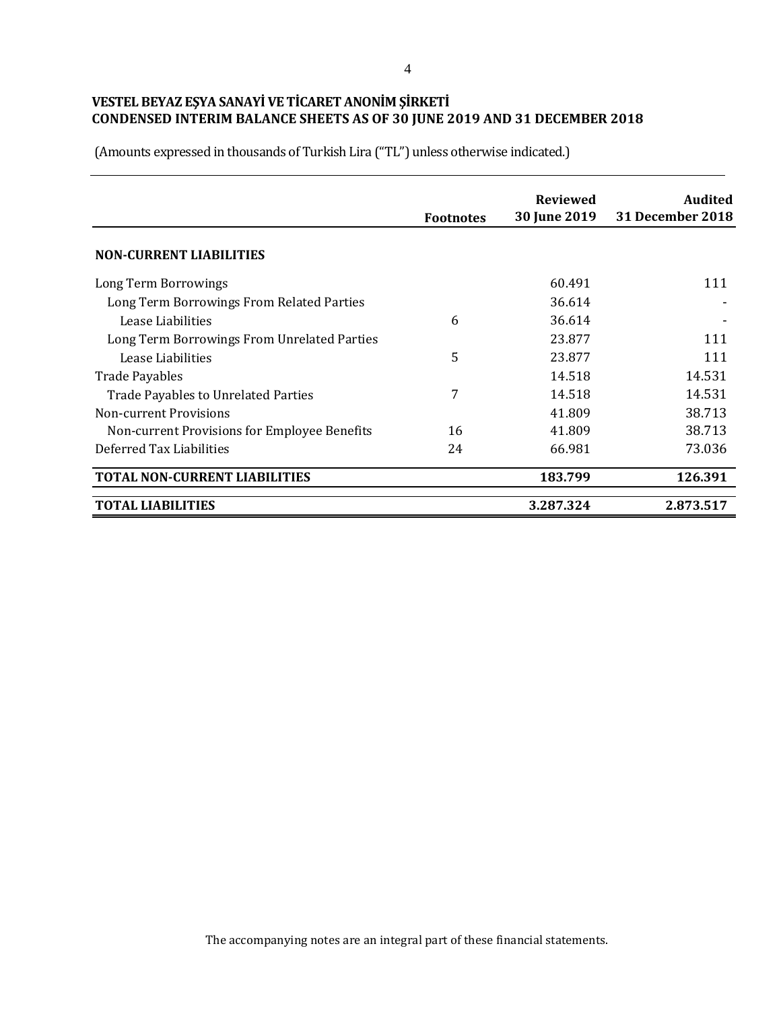|                                              | <b>Footnotes</b> | <b>Reviewed</b><br><b>30 June 2019</b> | Audited<br>31 December 2018 |
|----------------------------------------------|------------------|----------------------------------------|-----------------------------|
| <b>NON-CURRENT LIABILITIES</b>               |                  |                                        |                             |
| Long Term Borrowings                         |                  | 60.491                                 | 111                         |
| Long Term Borrowings From Related Parties    |                  | 36.614                                 |                             |
| Lease Liabilities                            | 6                | 36.614                                 |                             |
| Long Term Borrowings From Unrelated Parties  |                  | 23.877                                 | 111                         |
| Lease Liabilities                            | 5                | 23.877                                 | 111                         |
| <b>Trade Payables</b>                        |                  | 14.518                                 | 14.531                      |
| <b>Trade Payables to Unrelated Parties</b>   | 7                | 14.518                                 | 14.531                      |
| <b>Non-current Provisions</b>                |                  | 41.809                                 | 38.713                      |
| Non-current Provisions for Employee Benefits | 16               | 41.809                                 | 38.713                      |
| Deferred Tax Liabilities                     | 24               | 66.981                                 | 73.036                      |
| TOTAL NON-CURRENT LIABILITIES                |                  | 183.799                                | 126.391                     |
| <b>TOTAL LIABILITIES</b>                     |                  | 3.287.324                              | 2.873.517                   |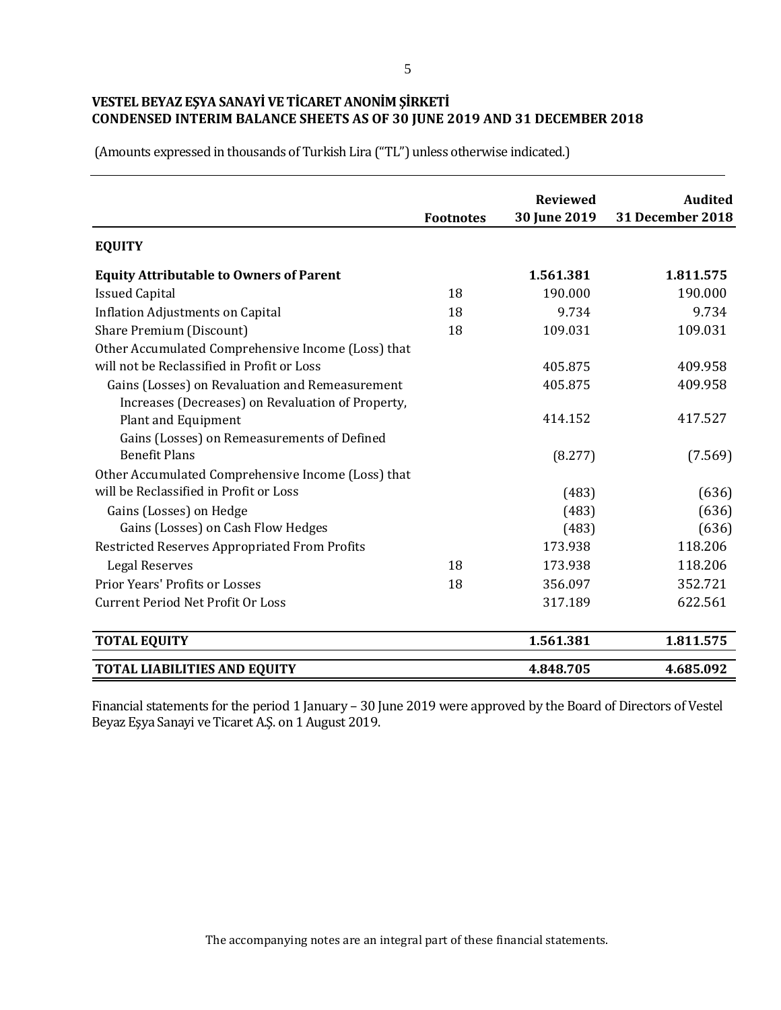| (Amounts expressed in thousands of Turkish Lira ("TL") unless otherwise indicated.) |
|-------------------------------------------------------------------------------------|
|-------------------------------------------------------------------------------------|

|                                                    | <b>Footnotes</b> | <b>Reviewed</b><br>30 June 2019 | <b>Audited</b><br>31 December 2018 |
|----------------------------------------------------|------------------|---------------------------------|------------------------------------|
| <b>EQUITY</b>                                      |                  |                                 |                                    |
| <b>Equity Attributable to Owners of Parent</b>     |                  | 1.561.381                       | 1.811.575                          |
| <b>Issued Capital</b>                              | 18               | 190.000                         | 190.000                            |
| <b>Inflation Adjustments on Capital</b>            | 18               | 9.734                           | 9.734                              |
| Share Premium (Discount)                           | 18               | 109.031                         | 109.031                            |
| Other Accumulated Comprehensive Income (Loss) that |                  |                                 |                                    |
| will not be Reclassified in Profit or Loss         |                  | 405.875                         | 409.958                            |
| Gains (Losses) on Revaluation and Remeasurement    |                  | 405.875                         | 409.958                            |
| Increases (Decreases) on Revaluation of Property,  |                  |                                 |                                    |
| <b>Plant and Equipment</b>                         |                  | 414.152                         | 417.527                            |
| Gains (Losses) on Remeasurements of Defined        |                  |                                 |                                    |
| <b>Benefit Plans</b>                               |                  | (8.277)                         | (7.569)                            |
| Other Accumulated Comprehensive Income (Loss) that |                  |                                 |                                    |
| will be Reclassified in Profit or Loss             |                  | (483)                           | (636)                              |
| Gains (Losses) on Hedge                            |                  | (483)                           | (636)                              |
| Gains (Losses) on Cash Flow Hedges                 |                  | (483)                           | (636)                              |
| Restricted Reserves Appropriated From Profits      |                  | 173.938                         | 118.206                            |
| <b>Legal Reserves</b>                              | 18               | 173.938                         | 118.206                            |
| Prior Years' Profits or Losses                     | 18               | 356.097                         | 352.721                            |
| <b>Current Period Net Profit Or Loss</b>           |                  | 317.189                         | 622.561                            |
| <b>TOTAL EQUITY</b>                                |                  | 1.561.381                       | 1.811.575                          |
| <b>TOTAL LIABILITIES AND EQUITY</b>                |                  | 4.848.705                       | 4.685.092                          |

Financial statements for the period 1 January – 30 June 2019 were approved by the Board of Directors of Vestel Beyaz Eşya Sanayi ve Ticaret A.Ş. on 1 August 2019.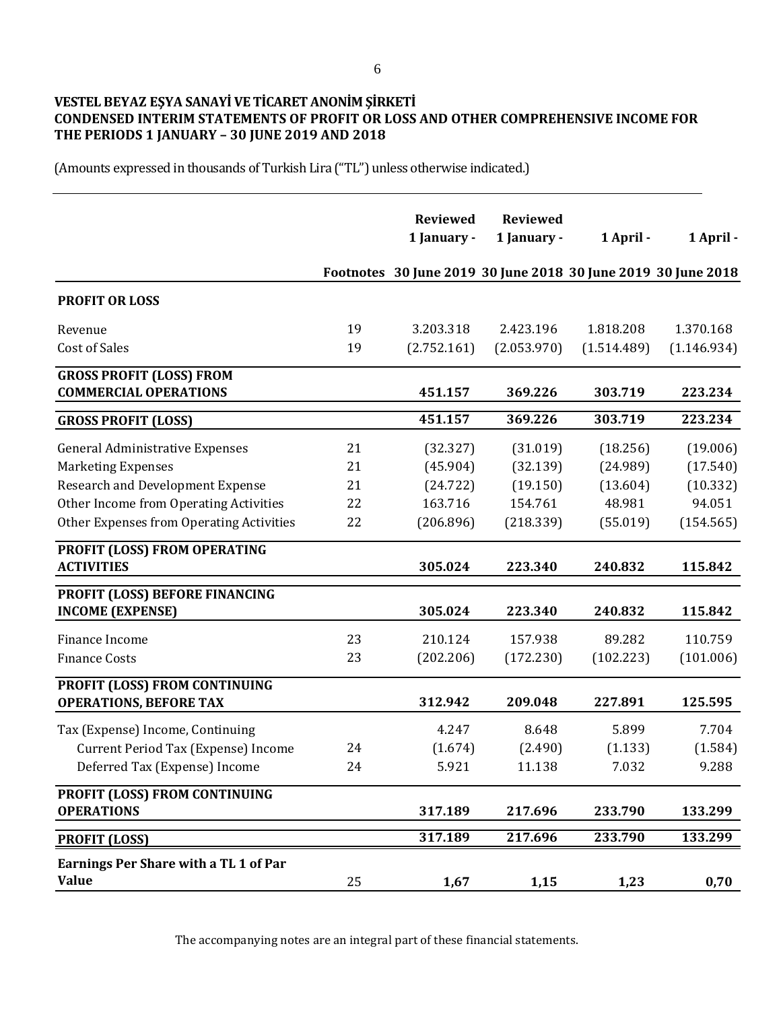# **VESTEL BEYAZ EŞYA SANAYİ VE TİCARET ANONİM ŞİRKETİ CONDENSED INTERIM STATEMENTS OF PROFIT OR LOSS AND OTHER COMPREHENSIVE INCOME FOR THE PERIODS 1 JANUARY – 30 JUNE 2019 AND 2018**

(Amounts expressed in thousands of Turkish Lira ("TL") unless otherwise indicated.)

|                                                                 |    | <b>Reviewed</b><br>1 January - | <b>Reviewed</b><br>1 January - | 1 April -   | 1 April -                                                     |
|-----------------------------------------------------------------|----|--------------------------------|--------------------------------|-------------|---------------------------------------------------------------|
|                                                                 |    |                                |                                |             | Footnotes 30 June 2019 30 June 2018 30 June 2019 30 June 2018 |
| <b>PROFIT OR LOSS</b>                                           |    |                                |                                |             |                                                               |
| Revenue                                                         | 19 | 3.203.318                      | 2.423.196                      | 1.818.208   | 1.370.168                                                     |
| <b>Cost of Sales</b>                                            | 19 | (2.752.161)                    | (2.053.970)                    | (1.514.489) | (1.146.934)                                                   |
| <b>GROSS PROFIT (LOSS) FROM</b><br><b>COMMERCIAL OPERATIONS</b> |    | 451.157                        | 369.226                        | 303.719     | 223.234                                                       |
| <b>GROSS PROFIT (LOSS)</b>                                      |    | 451.157                        | 369.226                        | 303.719     | 223.234                                                       |
| <b>General Administrative Expenses</b>                          | 21 | (32.327)                       | (31.019)                       | (18.256)    | (19.006)                                                      |
| <b>Marketing Expenses</b>                                       | 21 | (45.904)                       | (32.139)                       | (24.989)    | (17.540)                                                      |
| <b>Research and Development Expense</b>                         | 21 | (24.722)                       | (19.150)                       | (13.604)    | (10.332)                                                      |
| Other Income from Operating Activities                          | 22 | 163.716                        | 154.761                        | 48.981      | 94.051                                                        |
| Other Expenses from Operating Activities                        | 22 | (206.896)                      | (218.339)                      | (55.019)    | (154.565)                                                     |
| PROFIT (LOSS) FROM OPERATING<br><b>ACTIVITIES</b>               |    | 305.024                        | 223.340                        | 240.832     | 115.842                                                       |
| PROFIT (LOSS) BEFORE FINANCING<br><b>INCOME (EXPENSE)</b>       |    | 305.024                        | 223.340                        | 240.832     | 115.842                                                       |
| Finance Income                                                  | 23 | 210.124                        | 157.938                        | 89.282      | 110.759                                                       |
| <b>Finance Costs</b>                                            | 23 | (202.206)                      | (172.230)                      | (102.223)   | (101.006)                                                     |
| PROFIT (LOSS) FROM CONTINUING<br><b>OPERATIONS, BEFORE TAX</b>  |    | 312.942                        | 209.048                        | 227.891     | 125.595                                                       |
|                                                                 |    |                                |                                |             |                                                               |
| Tax (Expense) Income, Continuing                                |    | 4.247                          | 8.648                          | 5.899       | 7.704                                                         |
| Current Period Tax (Expense) Income                             | 24 | (1.674)                        | (2.490)                        | (1.133)     | (1.584)                                                       |
| Deferred Tax (Expense) Income                                   | 24 | 5.921                          | 11.138                         | 7.032       | 9.288                                                         |
| <b>PROFIT (LOSS) FROM CONTINUING</b><br><b>OPERATIONS</b>       |    | 317.189                        | 217.696                        | 233.790     | 133.299                                                       |
| <b>PROFIT (LOSS)</b>                                            |    | 317.189                        | 217.696                        | 233.790     | 133.299                                                       |
| <b>Earnings Per Share with a TL 1 of Par</b>                    |    |                                |                                |             |                                                               |
| <b>Value</b>                                                    | 25 | 1,67                           | 1,15                           | 1,23        | 0,70                                                          |

The accompanying notes are an integral part of these financial statements.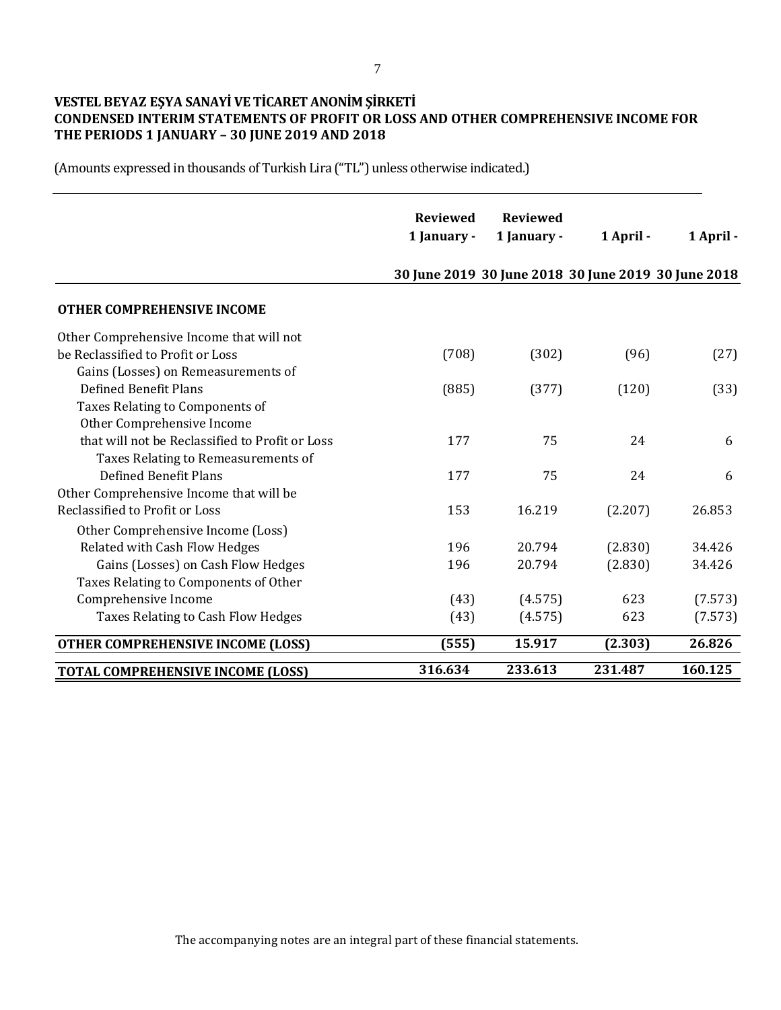# **VESTEL BEYAZ EŞYA SANAYİ VE TİCARET ANONİM ŞİRKETİ CONDENSED INTERIM STATEMENTS OF PROFIT OR LOSS AND OTHER COMPREHENSIVE INCOME FOR THE PERIODS 1 JANUARY – 30 JUNE 2019 AND 2018**

|                                                 | <b>Reviewed</b><br>1 January - | <b>Reviewed</b><br>1 January - | 1 April - | 1 April -                                           |
|-------------------------------------------------|--------------------------------|--------------------------------|-----------|-----------------------------------------------------|
|                                                 |                                |                                |           | 30 June 2019 30 June 2018 30 June 2019 30 June 2018 |
| <b>OTHER COMPREHENSIVE INCOME</b>               |                                |                                |           |                                                     |
| Other Comprehensive Income that will not        |                                |                                |           |                                                     |
| be Reclassified to Profit or Loss               | (708)                          | (302)                          | (96)      | (27)                                                |
| Gains (Losses) on Remeasurements of             |                                |                                |           |                                                     |
| <b>Defined Benefit Plans</b>                    | (885)                          | (377)                          | (120)     | (33)                                                |
| Taxes Relating to Components of                 |                                |                                |           |                                                     |
| Other Comprehensive Income                      |                                |                                |           |                                                     |
| that will not be Reclassified to Profit or Loss | 177                            | 75                             | 24        | 6                                                   |
| Taxes Relating to Remeasurements of             |                                |                                |           |                                                     |
| <b>Defined Benefit Plans</b>                    | 177                            | 75                             | 24        | 6                                                   |
| Other Comprehensive Income that will be         |                                |                                |           |                                                     |
| Reclassified to Profit or Loss                  | 153                            | 16.219                         | (2.207)   | 26.853                                              |
| Other Comprehensive Income (Loss)               |                                |                                |           |                                                     |
| Related with Cash Flow Hedges                   | 196                            | 20.794                         | (2.830)   | 34.426                                              |
| Gains (Losses) on Cash Flow Hedges              | 196                            | 20.794                         | (2.830)   | 34.426                                              |
| Taxes Relating to Components of Other           |                                |                                |           |                                                     |
| Comprehensive Income                            | (43)                           | (4.575)                        | 623       | (7.573)                                             |
| Taxes Relating to Cash Flow Hedges              | (43)                           | (4.575)                        | 623       | (7.573)                                             |
| <b>OTHER COMPREHENSIVE INCOME (LOSS)</b>        | (555)                          | 15.917                         | (2.303)   | 26.826                                              |
| <b>TOTAL COMPREHENSIVE INCOME (LOSS)</b>        | 316.634                        | 233.613                        | 231.487   | 160.125                                             |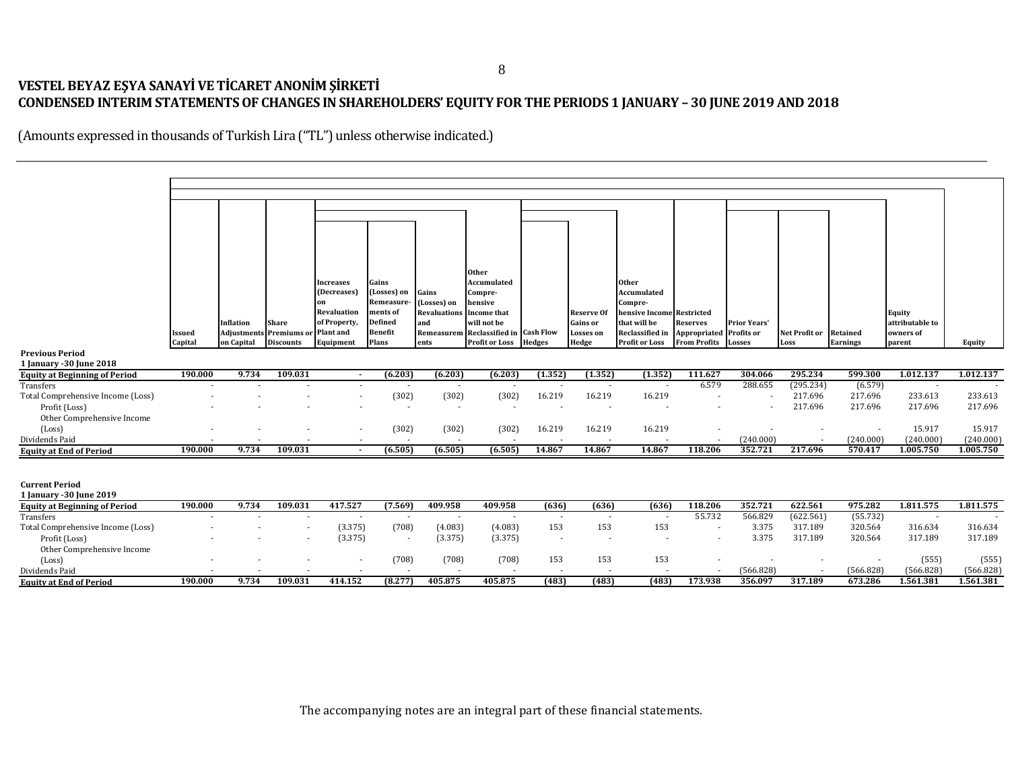# **VESTEL BEYAZ EŞYA SANAYİ VE TİCARET ANONİM ŞİRKETİ CONDENSED INTERIM STATEMENTS OF CHANGES IN SHAREHOLDERS' EQUITY FOR THE PERIODS 1 JANUARY – 30 JUNE 2019 AND 2018**

|                                                    |         |                  |                                |                          |                          |                                     | <b>Other</b>              |                                 |                                 |                                                                            |                            |                     |                          |                          |                    |                    |
|----------------------------------------------------|---------|------------------|--------------------------------|--------------------------|--------------------------|-------------------------------------|---------------------------|---------------------------------|---------------------------------|----------------------------------------------------------------------------|----------------------------|---------------------|--------------------------|--------------------------|--------------------|--------------------|
|                                                    |         |                  |                                | Increases                | Gains                    |                                     | Accumulated               |                                 |                                 | <b>Other</b>                                                               |                            |                     |                          |                          |                    |                    |
|                                                    |         |                  |                                | (Decreases)<br>9n        | (Losses) on<br>Remeasure | Gains<br>(Losses) on                | Compre-<br>hensive        |                                 |                                 | Accumulated<br>Compre-                                                     |                            |                     |                          |                          |                    |                    |
|                                                    |         |                  |                                | Revaluation              | ments of                 | <b>Revaluations</b>                 | <b>Income that</b>        |                                 | Reserve Of                      | hensive Income Restricted                                                  |                            |                     |                          |                          | <b>Equity</b>      |                    |
|                                                    |         | <b>Inflation</b> | <b>Share</b>                   | of Property,             | Defined                  | and                                 | will not be               |                                 | <b>Gains or</b>                 | that will be                                                               | Reserves                   | <b>Prior Years'</b> |                          |                          | attributable to    |                    |
|                                                    | Issued  |                  | <b>Adjustments</b> Premiums or | <b>Plant</b> and         | <b>Benefit</b>           | Remeasurem                          | Reclassified in Cash Flow |                                 | <b>Losses</b> on                | Reclassified in                                                            | Appropriated Profits or    |                     | Net Profit or            | Retained                 | owners of          |                    |
|                                                    | Capital | on Capital       | <b>Discounts</b>               | Equipment                | Plans                    | ents                                | <b>Profit or Loss</b>     | <b>Hedges</b>                   | Hedge                           | Profit or Loss                                                             | <b>From Profits</b> Losses |                     | Loss                     | <b>Earnings</b>          | parent             | Equity             |
| <b>Previous Period</b>                             |         |                  |                                |                          |                          |                                     |                           |                                 |                                 |                                                                            |                            |                     |                          |                          |                    |                    |
| 1 January - 30 June 2018                           |         |                  |                                |                          |                          |                                     |                           |                                 |                                 |                                                                            |                            |                     |                          |                          |                    |                    |
| <b>Equity at Beginning of Period</b><br>Transfers  | 190.000 | 9.734            | 109.031                        | $\sim$                   | (6.203)                  | (6.203)<br>$\overline{\phantom{a}}$ | (6.203)                   | (1.352)                         | (1.352)                         | (1.352)                                                                    | 111.627<br>6.579           | 304.066<br>288.655  | 295.234<br>(295.234)     | 599.300<br>(6.579)       | 1.012.137          | 1.012.137          |
| Total Comprehensive Income (Loss)                  |         |                  |                                | $\overline{\phantom{a}}$ | (302)                    | (302)                               | (302)                     | 16.219                          | 16.219                          | 16.219                                                                     | $\overline{\phantom{a}}$   |                     | 217.696                  | 217.696                  | 233.613            | 233.613            |
| Profit (Loss)                                      |         |                  |                                |                          | $\overline{\phantom{a}}$ |                                     |                           | $\overline{a}$                  |                                 |                                                                            |                            |                     | 217.696                  | 217.696                  | 217.696            | 217.696            |
| Other Comprehensive Income                         |         |                  |                                |                          |                          |                                     |                           |                                 |                                 |                                                                            |                            |                     |                          |                          |                    |                    |
| (Loss)                                             |         |                  |                                |                          | (302)                    | (302)                               | (302)                     | 16.219                          | 16.219                          | 16.219                                                                     |                            |                     |                          | $\overline{\phantom{a}}$ | 15.917             | 15.917             |
| Dividends Paid                                     |         |                  |                                |                          |                          |                                     |                           |                                 |                                 |                                                                            |                            | (240.000)           |                          | (240.000)                | (240.000)          | (240.000)          |
| <b>Equity at End of Period</b>                     | 190.000 | 9.734            | 109.031                        | $\sim$                   | (6.505)                  | (6.505)                             | (6.505)                   | 14.867                          | 14.867                          | 14.867                                                                     | 118.206                    | 352.721             | 217.696                  | 570.417                  | 1.005.750          | 1.005.750          |
|                                                    |         |                  |                                |                          |                          |                                     |                           |                                 |                                 |                                                                            |                            |                     |                          |                          |                    |                    |
|                                                    |         |                  |                                |                          |                          |                                     |                           |                                 |                                 |                                                                            |                            |                     |                          |                          |                    |                    |
| <b>Current Period</b>                              |         |                  |                                |                          |                          |                                     |                           |                                 |                                 |                                                                            |                            |                     |                          |                          |                    |                    |
| 1 January - 30 June 2019                           |         |                  |                                |                          |                          |                                     |                           |                                 |                                 |                                                                            |                            |                     |                          |                          |                    |                    |
| <b>Equity at Beginning of Period</b>               | 190.000 | 9.734            | 109.031                        | 417.527                  | (7.569)                  | 409.958                             | 409.958                   | (636)                           | (636)                           | (636)                                                                      | 118.206                    | 352.721             | 622.561                  | 975.282                  | 1.811.575          | 1.811.575          |
| Transfers                                          |         |                  | $\sim$                         | $\sim$                   | $\sim$                   | $\sim$                              | $\sim$                    | $\sim$                          | $\sim$                          | $\sim$                                                                     | 55.732                     | 566.829             | (622.561)                | (55.732)                 | $\sim$             |                    |
| Total Comprehensive Income (Loss)<br>Profit (Loss) |         |                  |                                | (3.375)                  | (708)                    | (4.083)                             | (4.083)                   | 153<br>$\overline{\phantom{a}}$ | 153<br>$\overline{\phantom{a}}$ | 153<br>÷                                                                   |                            | 3.375<br>3.375      | 317.189<br>317.189       | 320.564<br>320.564       | 316.634<br>317.189 | 316.634<br>317.189 |
| Other Comprehensive Income                         |         |                  |                                | (3.375)                  | $\sim$                   | (3.375)                             | (3.375)                   |                                 |                                 |                                                                            | $\overline{\phantom{a}}$   |                     |                          |                          |                    |                    |
| (Loss)                                             |         |                  |                                |                          | (708)                    | (708)                               | (708)                     | 153                             | 153                             | 153                                                                        |                            |                     | $\sim$                   | $\sim$                   | (555)              | (555)              |
| Dividends Paid                                     |         |                  |                                |                          |                          |                                     |                           |                                 | $\overline{\phantom{a}}$        |                                                                            |                            | (566.828)           | $\overline{\phantom{a}}$ | (566.828)                | (566.828)          | (566.828)          |
| <b>Equity at End of Period</b>                     | 190.000 | 9.734            | 109.031                        | 414.152                  | (8.277)                  | 405.875                             | 405.875                   | (483)                           | (483)                           | (483)                                                                      | 173.938                    | 356.097             | 317.189                  | 673.286                  | 1.561.381          | 1.561.381          |
|                                                    |         |                  |                                |                          |                          |                                     |                           |                                 |                                 |                                                                            |                            |                     |                          |                          |                    |                    |
|                                                    |         |                  |                                |                          |                          |                                     |                           |                                 |                                 |                                                                            |                            |                     |                          |                          |                    |                    |
|                                                    |         |                  |                                |                          |                          |                                     |                           |                                 |                                 |                                                                            |                            |                     |                          |                          |                    |                    |
|                                                    |         |                  |                                |                          |                          |                                     |                           |                                 |                                 |                                                                            |                            |                     |                          |                          |                    |                    |
|                                                    |         |                  |                                |                          |                          |                                     |                           |                                 |                                 |                                                                            |                            |                     |                          |                          |                    |                    |
|                                                    |         |                  |                                |                          |                          |                                     |                           |                                 |                                 |                                                                            |                            |                     |                          |                          |                    |                    |
|                                                    |         |                  |                                |                          |                          |                                     |                           |                                 |                                 |                                                                            |                            |                     |                          |                          |                    |                    |
|                                                    |         |                  |                                |                          |                          |                                     |                           |                                 |                                 |                                                                            |                            |                     |                          |                          |                    |                    |
|                                                    |         |                  |                                |                          |                          |                                     |                           |                                 |                                 |                                                                            |                            |                     |                          |                          |                    |                    |
|                                                    |         |                  |                                |                          |                          |                                     |                           |                                 |                                 |                                                                            |                            |                     |                          |                          |                    |                    |
|                                                    |         |                  |                                |                          |                          |                                     |                           |                                 |                                 | The accompanying notes are an integral part of these financial statements. |                            |                     |                          |                          |                    |                    |
|                                                    |         |                  |                                |                          |                          |                                     |                           |                                 |                                 |                                                                            |                            |                     |                          |                          |                    |                    |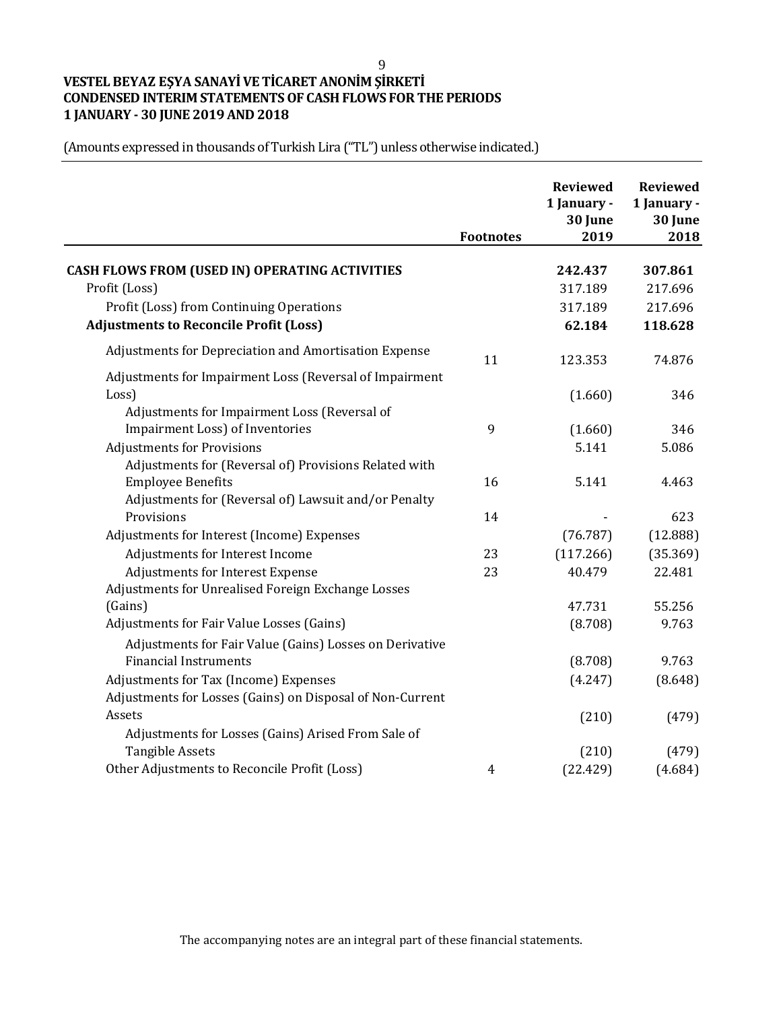9

# **VESTEL BEYAZ EŞYA SANAYİ VE TİCARET ANONİM ŞİRKETİ CONDENSED INTERIM STATEMENTS OF CASH FLOWS FOR THE PERIODS 1 JANUARY - 30 JUNE 2019 AND 2018**

|                                                                                           | <b>Footnotes</b> | <b>Reviewed</b><br>1 January -<br>30 June<br>2019 | <b>Reviewed</b><br>1 January -<br>30 June<br>2018 |
|-------------------------------------------------------------------------------------------|------------------|---------------------------------------------------|---------------------------------------------------|
| <b>CASH FLOWS FROM (USED IN) OPERATING ACTIVITIES</b>                                     |                  | 242.437                                           | 307.861                                           |
| Profit (Loss)                                                                             |                  | 317.189                                           | 217.696                                           |
|                                                                                           |                  | 317.189                                           | 217.696                                           |
| Profit (Loss) from Continuing Operations<br><b>Adjustments to Reconcile Profit (Loss)</b> |                  | 62.184                                            | 118.628                                           |
|                                                                                           |                  |                                                   |                                                   |
| Adjustments for Depreciation and Amortisation Expense                                     | 11               | 123.353                                           | 74.876                                            |
| Adjustments for Impairment Loss (Reversal of Impairment                                   |                  |                                                   |                                                   |
| Loss)                                                                                     |                  | (1.660)                                           | 346                                               |
| Adjustments for Impairment Loss (Reversal of                                              |                  |                                                   |                                                   |
| Impairment Loss) of Inventories                                                           | 9                | (1.660)                                           | 346                                               |
| <b>Adjustments for Provisions</b>                                                         |                  | 5.141                                             | 5.086                                             |
| Adjustments for (Reversal of) Provisions Related with                                     |                  |                                                   |                                                   |
| <b>Employee Benefits</b>                                                                  | 16               | 5.141                                             | 4.463                                             |
| Adjustments for (Reversal of) Lawsuit and/or Penalty                                      |                  |                                                   |                                                   |
| Provisions                                                                                | 14               |                                                   | 623                                               |
| Adjustments for Interest (Income) Expenses                                                |                  | (76.787)                                          | (12.888)                                          |
| Adjustments for Interest Income                                                           | 23               | (117.266)                                         | (35.369)                                          |
| Adjustments for Interest Expense                                                          | 23               | 40.479                                            | 22.481                                            |
| Adjustments for Unrealised Foreign Exchange Losses                                        |                  |                                                   |                                                   |
| (Gains)                                                                                   |                  | 47.731                                            | 55.256                                            |
| Adjustments for Fair Value Losses (Gains)                                                 |                  | (8.708)                                           | 9.763                                             |
| Adjustments for Fair Value (Gains) Losses on Derivative                                   |                  |                                                   |                                                   |
| <b>Financial Instruments</b>                                                              |                  | (8.708)                                           | 9.763                                             |
| Adjustments for Tax (Income) Expenses                                                     |                  | (4.247)                                           | (8.648)                                           |
| Adjustments for Losses (Gains) on Disposal of Non-Current                                 |                  |                                                   |                                                   |
| Assets                                                                                    |                  | (210)                                             | (479)                                             |
| Adjustments for Losses (Gains) Arised From Sale of                                        |                  |                                                   |                                                   |
| <b>Tangible Assets</b>                                                                    |                  | (210)                                             | (479)                                             |
| Other Adjustments to Reconcile Profit (Loss)                                              | 4                | (22.429)                                          | (4.684)                                           |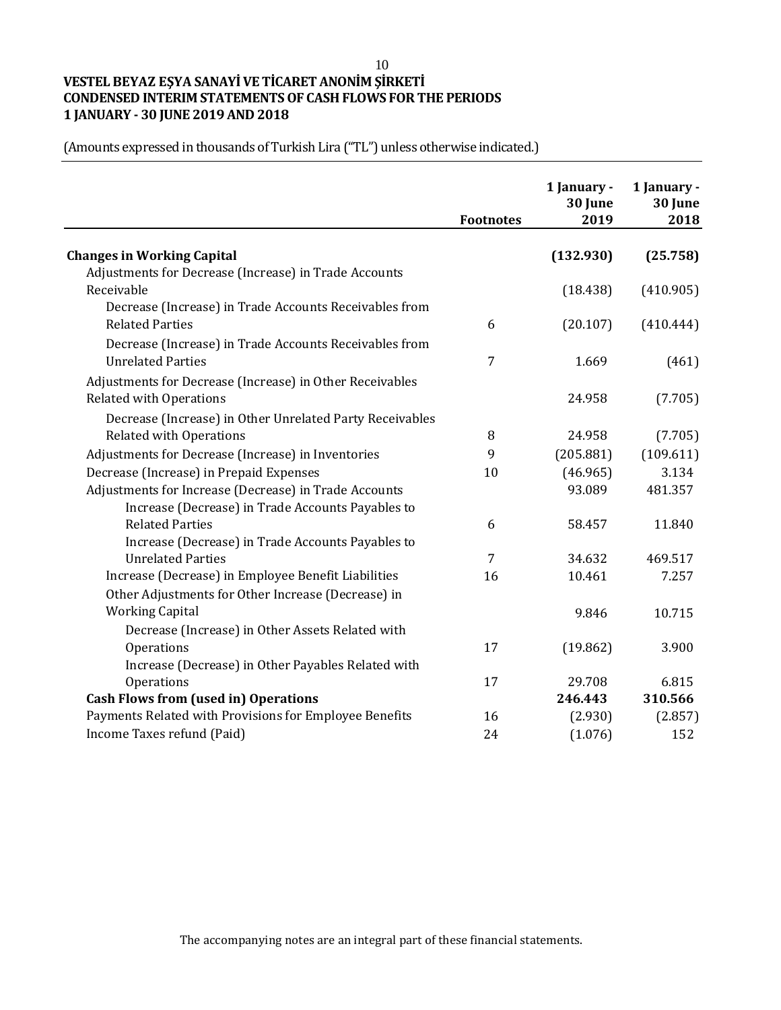#### 10

# **VESTEL BEYAZ EŞYA SANAYİ VE TİCARET ANONİM ŞİRKETİ CONDENSED INTERIM STATEMENTS OF CASH FLOWS FOR THE PERIODS 1 JANUARY - 30 JUNE 2019 AND 2018**

|                                                          | <b>Footnotes</b> | 1 January -<br>30 June<br>2019 | 1 January -<br>30 June<br>2018 |
|----------------------------------------------------------|------------------|--------------------------------|--------------------------------|
| <b>Changes in Working Capital</b>                        |                  | (132.930)                      | (25.758)                       |
| Adjustments for Decrease (Increase) in Trade Accounts    |                  |                                |                                |
| Receivable                                               |                  | (18.438)                       | (410.905)                      |
| Decrease (Increase) in Trade Accounts Receivables from   |                  |                                |                                |
| <b>Related Parties</b>                                   | 6                | (20.107)                       | (410.444)                      |
| Decrease (Increase) in Trade Accounts Receivables from   |                  |                                |                                |
| <b>Unrelated Parties</b>                                 | 7                | 1.669                          | (461)                          |
| Adjustments for Decrease (Increase) in Other Receivables |                  |                                |                                |
| <b>Related with Operations</b>                           |                  | 24.958                         | (7.705)                        |
| Decrease (Increase) in Other Unrelated Party Receivables |                  |                                |                                |
| <b>Related with Operations</b>                           | 8                | 24.958                         | (7.705)                        |
| Adjustments for Decrease (Increase) in Inventories       | 9                | (205.881)                      | (109.611)                      |
| Decrease (Increase) in Prepaid Expenses                  | 10               | (46.965)                       | 3.134                          |
| Adjustments for Increase (Decrease) in Trade Accounts    |                  | 93.089                         | 481.357                        |
| Increase (Decrease) in Trade Accounts Payables to        |                  |                                |                                |
| <b>Related Parties</b>                                   | 6                | 58.457                         | 11.840                         |
| Increase (Decrease) in Trade Accounts Payables to        |                  |                                |                                |
| <b>Unrelated Parties</b>                                 | 7                | 34.632                         | 469.517                        |
| Increase (Decrease) in Employee Benefit Liabilities      | 16               | 10.461                         | 7.257                          |
| Other Adjustments for Other Increase (Decrease) in       |                  |                                |                                |
| <b>Working Capital</b>                                   |                  | 9.846                          | 10.715                         |
| Decrease (Increase) in Other Assets Related with         |                  |                                |                                |
| Operations                                               | 17               | (19.862)                       | 3.900                          |
| Increase (Decrease) in Other Payables Related with       |                  |                                |                                |
| Operations                                               | 17               | 29.708                         | 6.815                          |
| <b>Cash Flows from (used in) Operations</b>              |                  | 246.443                        | 310.566                        |
| Payments Related with Provisions for Employee Benefits   | 16               | (2.930)                        | (2.857)                        |
| Income Taxes refund (Paid)                               | 24               | (1.076)                        | 152                            |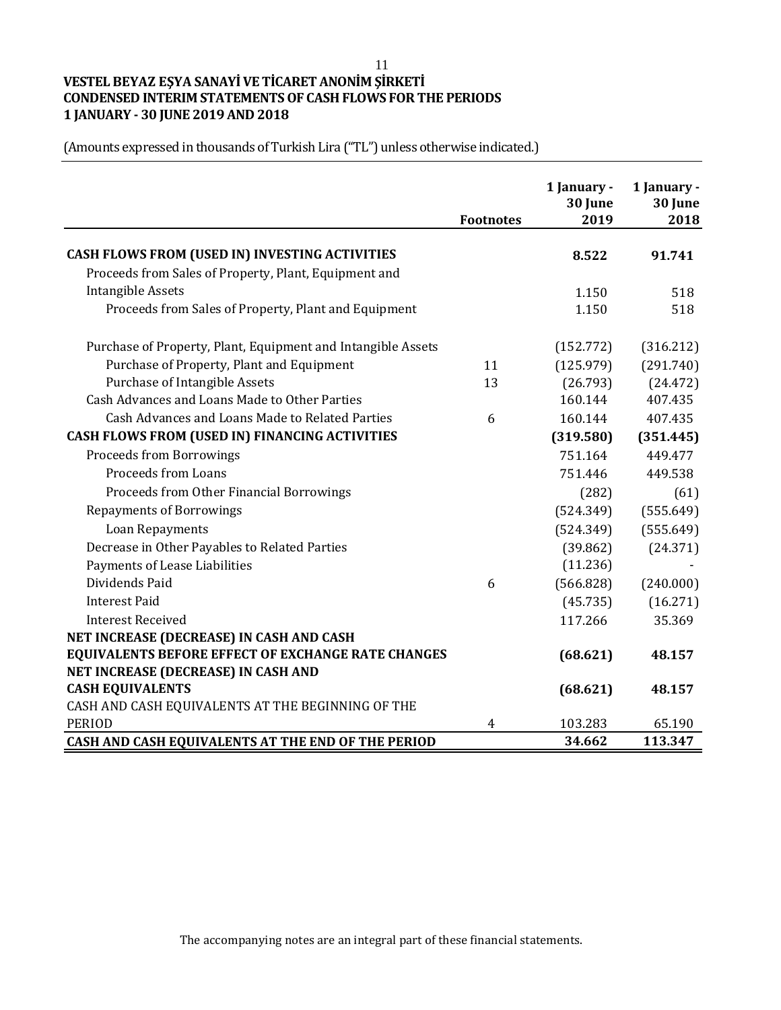11

# **VESTEL BEYAZ EŞYA SANAYİ VE TİCARET ANONİM ŞİRKETİ CONDENSED INTERIM STATEMENTS OF CASH FLOWS FOR THE PERIODS 1 JANUARY - 30 JUNE 2019 AND 2018**

| (Amounts expressed in thousands of Turkish Lira ("TL") unless otherwise indicated.) |  |  |
|-------------------------------------------------------------------------------------|--|--|
|-------------------------------------------------------------------------------------|--|--|

|                                                              |                  | 1 January -<br>30 June | 1 January -<br>30 June |
|--------------------------------------------------------------|------------------|------------------------|------------------------|
|                                                              | <b>Footnotes</b> | 2019                   | 2018                   |
| CASH FLOWS FROM (USED IN) INVESTING ACTIVITIES               |                  | 8.522                  | 91.741                 |
| Proceeds from Sales of Property, Plant, Equipment and        |                  |                        |                        |
| <b>Intangible Assets</b>                                     |                  | 1.150                  | 518                    |
| Proceeds from Sales of Property, Plant and Equipment         |                  | 1.150                  | 518                    |
| Purchase of Property, Plant, Equipment and Intangible Assets |                  | (152.772)              | (316.212)              |
| Purchase of Property, Plant and Equipment                    | 11               | (125.979)              | (291.740)              |
| Purchase of Intangible Assets                                | 13               | (26.793)               | (24.472)               |
| Cash Advances and Loans Made to Other Parties                |                  | 160.144                | 407.435                |
| Cash Advances and Loans Made to Related Parties              | 6                | 160.144                | 407.435                |
| CASH FLOWS FROM (USED IN) FINANCING ACTIVITIES               |                  | (319.580)              | (351.445)              |
| <b>Proceeds from Borrowings</b>                              |                  | 751.164                | 449.477                |
| Proceeds from Loans                                          |                  | 751.446                | 449.538                |
| Proceeds from Other Financial Borrowings                     |                  | (282)                  | (61)                   |
| <b>Repayments of Borrowings</b>                              |                  | (524.349)              | (555.649)              |
| Loan Repayments                                              |                  | (524.349)              | (555.649)              |
| Decrease in Other Payables to Related Parties                |                  | (39.862)               | (24.371)               |
| Payments of Lease Liabilities                                |                  | (11.236)               |                        |
| Dividends Paid                                               | 6                | (566.828)              | (240.000)              |
| <b>Interest Paid</b>                                         |                  | (45.735)               | (16.271)               |
| <b>Interest Received</b>                                     |                  | 117.266                | 35.369                 |
| NET INCREASE (DECREASE) IN CASH AND CASH                     |                  |                        |                        |
| EQUIVALENTS BEFORE EFFECT OF EXCHANGE RATE CHANGES           |                  | (68.621)               | 48.157                 |
| NET INCREASE (DECREASE) IN CASH AND                          |                  |                        |                        |
| <b>CASH EQUIVALENTS</b>                                      |                  | (68.621)               | 48.157                 |
| CASH AND CASH EQUIVALENTS AT THE BEGINNING OF THE            |                  |                        |                        |
| <b>PERIOD</b>                                                | 4                | 103.283                | 65.190                 |
| CASH AND CASH EQUIVALENTS AT THE END OF THE PERIOD           |                  | 34.662                 | 113.347                |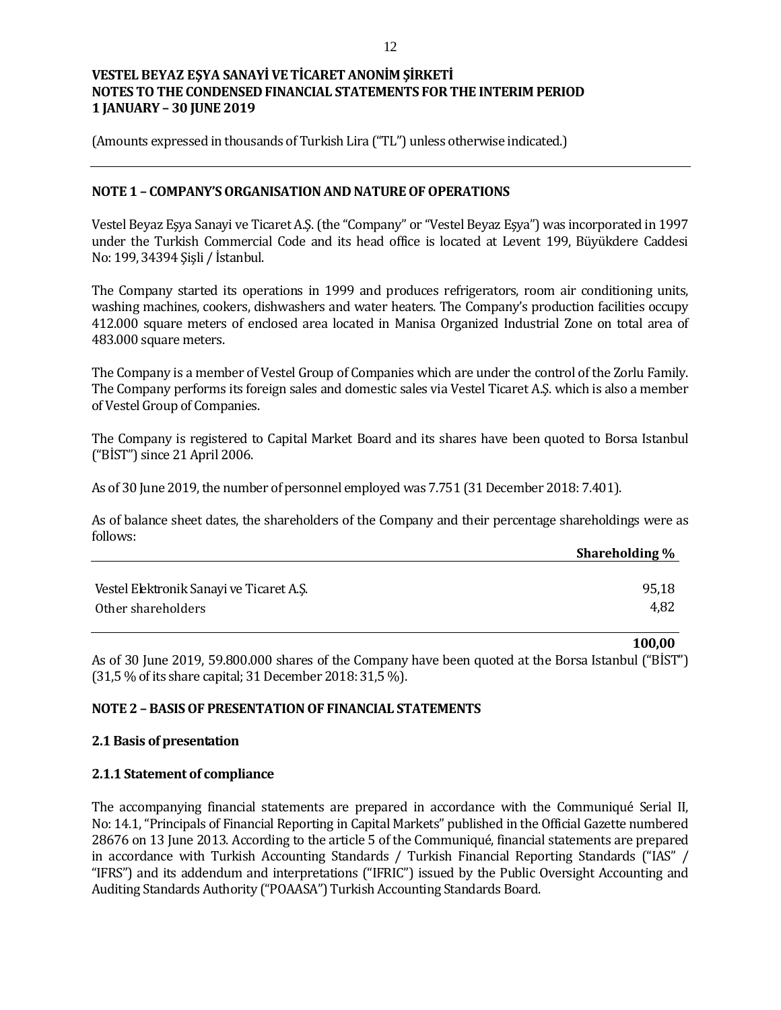(Amounts expressed in thousands of Turkish Lira ("TL") unless otherwise indicated.)

### **NOTE 1 – COMPANY'S ORGANISATION AND NATURE OF OPERATIONS**

Vestel Beyaz Eşya Sanayi ve Ticaret A.Ş. (the "Company" or "Vestel Beyaz Eşya") was incorporated in 1997 under the Turkish Commercial Code and its head office is located at Levent 199, Büyükdere Caddesi No: 199, 34394 Şişli / İstanbul.

The Company started its operations in 1999 and produces refrigerators, room air conditioning units, washing machines, cookers, dishwashers and water heaters. The Company's production facilities occupy 412.000 square meters of enclosed area located in Manisa Organized Industrial Zone on total area of 483.000 square meters.

The Company is a member of Vestel Group of Companies which are under the control of the Zorlu Family. The Company performs its foreign sales and domestic sales via Vestel Ticaret A.Ş. which is also a member of Vestel Group of Companies.

The Company is registered to Capital Market Board and its shares have been quoted to Borsa Istanbul ("BİST") since 21 April 2006.

As of 30 June 2019, the number of personnel employed was 7.751 (31 December 2018: 7.401).

As of balance sheet dates, the shareholders of the Company and their percentage shareholdings were as follows:

|                                          | Shareholding % |
|------------------------------------------|----------------|
|                                          |                |
| Vestel Elektronik Sanayi ve Ticaret A.S. | 95,18          |
| Other shareholders                       | 4,82           |

As of 30 June 2019, 59.800.000 shares of the Company have been quoted at the Borsa Istanbul ("BİST") (31,5 % of its share capital; 31 December 2018: 31,5 %).

**100,00**

#### **NOTE 2 – BASIS OF PRESENTATION OF FINANCIAL STATEMENTS**

#### **2.1 Basis of presentation**

#### **2.1.1 Statement of compliance**

The accompanying financial statements are prepared in accordance with the Communiqué Serial II, No: 14.1, "Principals of Financial Reporting in Capital Markets" published in the Official Gazette numbered 28676 on 13 June 2013. According to the article 5 of the Communiqué, financial statements are prepared in accordance with Turkish Accounting Standards / Turkish Financial Reporting Standards ("IAS" / "IFRS") and its addendum and interpretations ("IFRIC") issued by the Public Oversight Accounting and Auditing Standards Authority ("POAASA") Turkish Accounting Standards Board.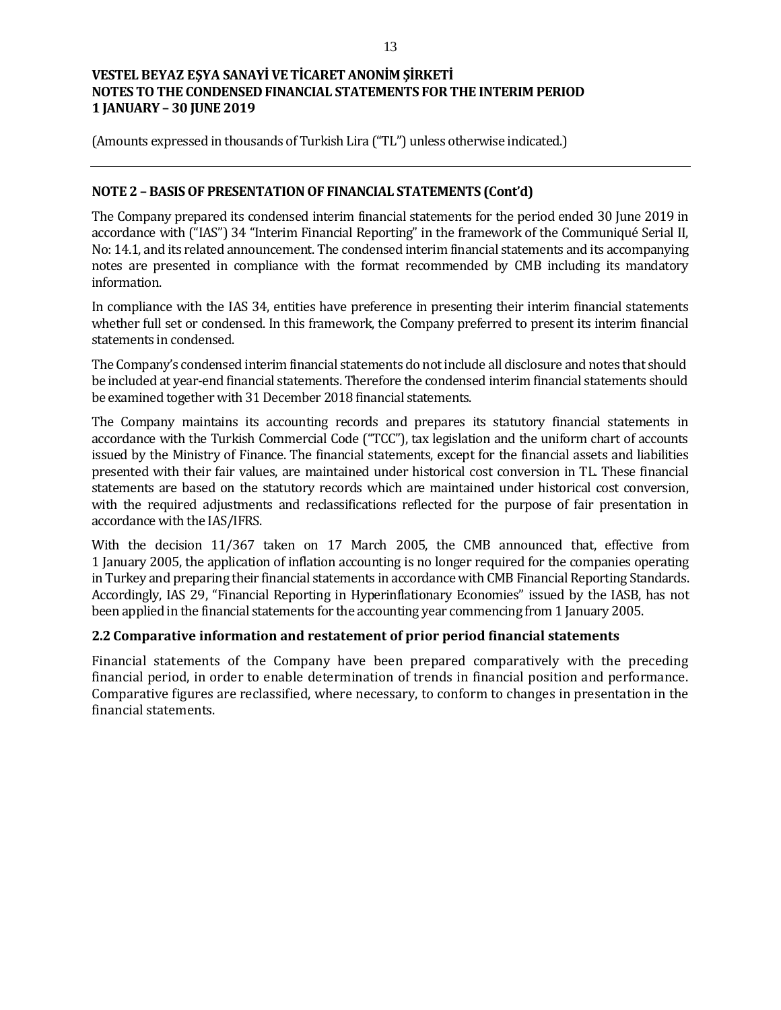(Amounts expressed in thousands of Turkish Lira ("TL") unless otherwise indicated.)

## **NOTE 2 – BASIS OF PRESENTATION OF FINANCIAL STATEMENTS (Cont'd)**

The Company prepared its condensed interim financial statements for the period ended 30 June 2019 in accordance with ("IAS") 34 "Interim Financial Reporting" in the framework of the Communiqué Serial II, No: 14.1, and its related announcement. The condensed interim financial statements and its accompanying notes are presented in compliance with the format recommended by CMB including its mandatory information.

In compliance with the IAS 34, entities have preference in presenting their interim financial statements whether full set or condensed. In this framework, the Company preferred to present its interim financial statements in condensed.

The Company's condensed interim financial statements do not include all disclosure and notes that should be included at year-end financial statements. Therefore the condensed interim financial statements should be examined together with 31 December 2018 financial statements.

The Company maintains its accounting records and prepares its statutory financial statements in accordance with the Turkish Commercial Code ("TCC"), tax legislation and the uniform chart of accounts issued by the Ministry of Finance. The financial statements, except for the financial assets and liabilities presented with their fair values, are maintained under historical cost conversion in TL. These financial statements are based on the statutory records which are maintained under historical cost conversion, with the required adjustments and reclassifications reflected for the purpose of fair presentation in accordance with the IAS/IFRS.

With the decision 11/367 taken on 17 March 2005, the CMB announced that, effective from 1 January 2005, the application of inflation accounting is no longer required for the companies operating in Turkey and preparing their financial statements in accordance with CMB Financial Reporting Standards. Accordingly, IAS 29, "Financial Reporting in Hyperinflationary Economies" issued by the IASB, has not been applied in the financial statements for the accounting year commencing from 1 January 2005.

#### **2.2 Comparative information and restatement of prior period financial statements**

Financial statements of the Company have been prepared comparatively with the preceding financial period, in order to enable determination of trends in financial position and performance. Comparative figures are reclassified, where necessary, to conform to changes in presentation in the financial statements.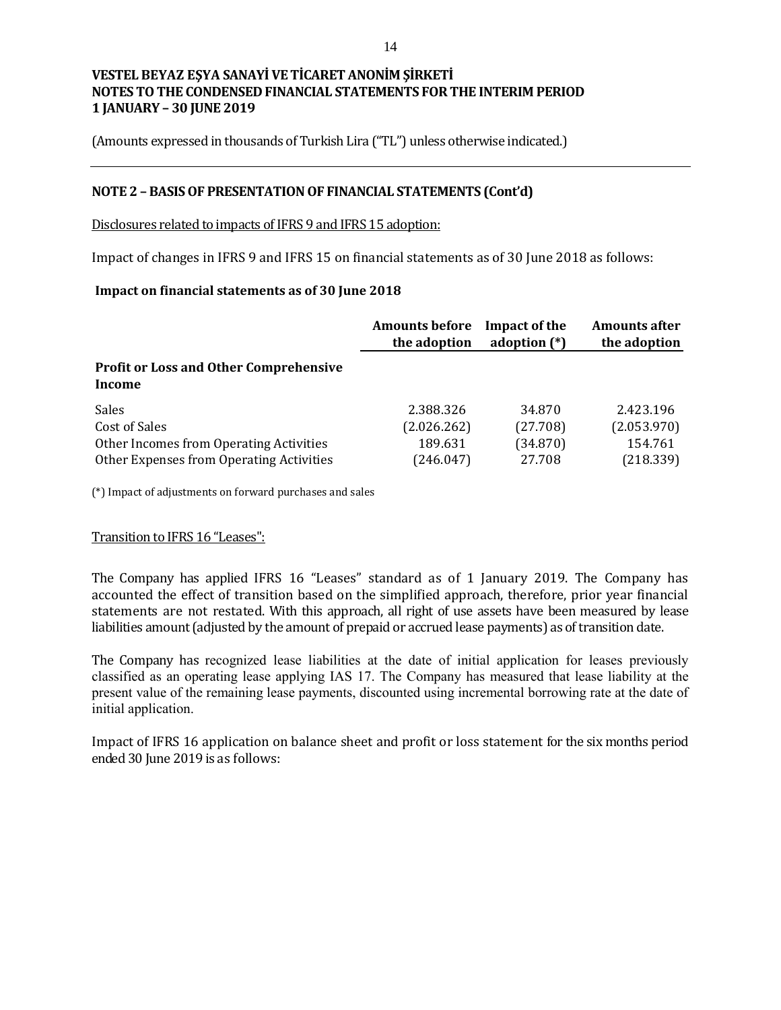(Amounts expressed in thousands of Turkish Lira ("TL") unless otherwise indicated.)

## **NOTE 2 – BASIS OF PRESENTATION OF FINANCIAL STATEMENTS (Cont'd)**

Disclosures related to impacts of IFRS 9 and IFRS 15 adoption:

Impact of changes in IFRS 9 and IFRS 15 on financial statements as of 30 June 2018 as follows:

### **Impact on financial statements as of 30 June 2018**

|                                                         | <b>Amounts before</b> | Impact of the  | <b>Amounts after</b> |
|---------------------------------------------------------|-----------------------|----------------|----------------------|
|                                                         | the adoption          | adoption $(*)$ | the adoption         |
| <b>Profit or Loss and Other Comprehensive</b><br>Income |                       |                |                      |
| Sales                                                   | 2.388.326             | 34.870         | 2.423.196            |
| Cost of Sales                                           | (2.026.262)           | (27.708)       | (2.053.970)          |
| Other Incomes from Operating Activities                 | 189.631               | (34.870)       | 154.761              |
| Other Expenses from Operating Activities                | (246.047)             | 27.708         | (218.339)            |

(\*) Impact of adjustments on forward purchases and sales

#### Transition to IFRS 16 "Leases":

The Company has applied IFRS 16 "Leases" standard as of 1 January 2019. The Company has accounted the effect of transition based on the simplified approach, therefore, prior year financial statements are not restated. With this approach, all right of use assets have been measured by lease liabilities amount (adjusted by the amount of prepaid or accrued lease payments) as of transition date.

The Company has recognized lease liabilities at the date of initial application for leases previously classified as an operating lease applying IAS 17. The Company has measured that lease liability at the present value of the remaining lease payments, discounted using incremental borrowing rate at the date of initial application.

Impact of IFRS 16 application on balance sheet and profit or loss statement for the six months period ended 30 June 2019 is as follows: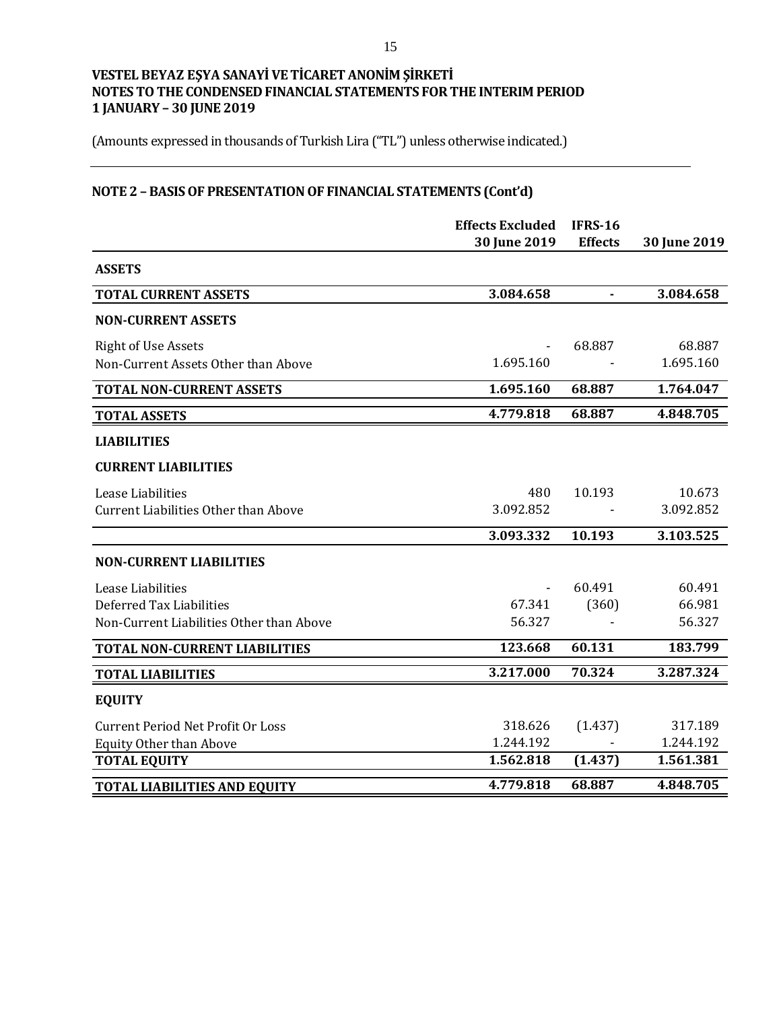(Amounts expressed in thousands of Turkish Lira ("TL") unless otherwise indicated.)

# **NOTE 2 – BASIS OF PRESENTATION OF FINANCIAL STATEMENTS (Cont'd)**

|                                             | <b>Effects Excluded</b><br>30 June 2019 | <b>IFRS-16</b><br><b>Effects</b> | 30 June 2019 |
|---------------------------------------------|-----------------------------------------|----------------------------------|--------------|
| <b>ASSETS</b>                               |                                         |                                  |              |
| <b>TOTAL CURRENT ASSETS</b>                 | 3.084.658                               | $\blacksquare$                   | 3.084.658    |
| <b>NON-CURRENT ASSETS</b>                   |                                         |                                  |              |
| <b>Right of Use Assets</b>                  |                                         | 68.887                           | 68.887       |
| Non-Current Assets Other than Above         | 1.695.160                               |                                  | 1.695.160    |
| <b>TOTAL NON-CURRENT ASSETS</b>             | 1.695.160                               | 68.887                           | 1.764.047    |
| <b>TOTAL ASSETS</b>                         | 4.779.818                               | 68.887                           | 4.848.705    |
| <b>LIABILITIES</b>                          |                                         |                                  |              |
| <b>CURRENT LIABILITIES</b>                  |                                         |                                  |              |
| Lease Liabilities                           | 480                                     | 10.193                           | 10.673       |
| <b>Current Liabilities Other than Above</b> | 3.092.852                               |                                  | 3.092.852    |
|                                             | 3.093.332                               | 10.193                           | 3.103.525    |
| <b>NON-CURRENT LIABILITIES</b>              |                                         |                                  |              |
| Lease Liabilities                           |                                         | 60.491                           | 60.491       |
| Deferred Tax Liabilities                    | 67.341                                  | (360)                            | 66.981       |
| Non-Current Liabilities Other than Above    | 56.327                                  |                                  | 56.327       |
| <b>TOTAL NON-CURRENT LIABILITIES</b>        | 123.668                                 | 60.131                           | 183.799      |
| <b>TOTAL LIABILITIES</b>                    | 3.217.000                               | 70.324                           | 3.287.324    |
| <b>EQUITY</b>                               |                                         |                                  |              |
| <b>Current Period Net Profit Or Loss</b>    | 318.626                                 | (1.437)                          | 317.189      |
| <b>Equity Other than Above</b>              | 1.244.192                               |                                  | 1.244.192    |
| <b>TOTAL EQUITY</b>                         | 1.562.818                               | (1.437)                          | 1.561.381    |
| <b>TOTAL LIABILITIES AND EQUITY</b>         | 4.779.818                               | 68.887                           | 4.848.705    |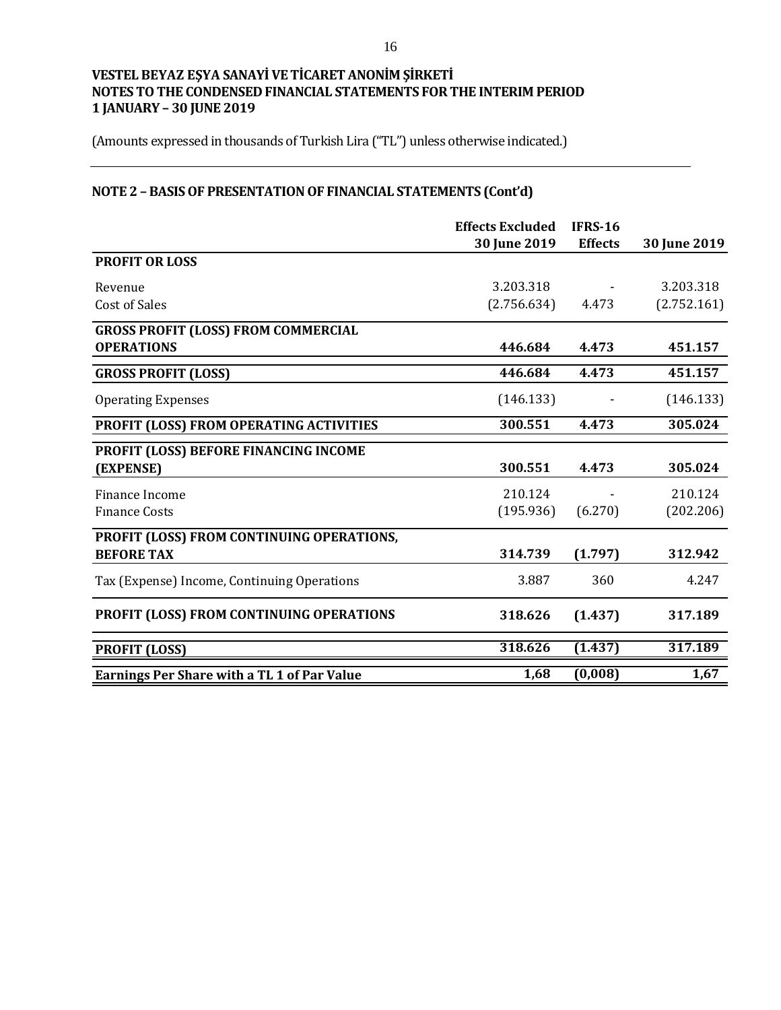(Amounts expressed in thousands of Turkish Lira ("TL") unless otherwise indicated.)

# **NOTE 2 – BASIS OF PRESENTATION OF FINANCIAL STATEMENTS (Cont'd)**

|                                                    | <b>Effects Excluded</b> | <b>IFRS-16</b> |              |
|----------------------------------------------------|-------------------------|----------------|--------------|
|                                                    | 30 June 2019            | <b>Effects</b> | 30 June 2019 |
| <b>PROFIT OR LOSS</b>                              |                         |                |              |
| Revenue                                            | 3.203.318               |                | 3.203.318    |
| <b>Cost of Sales</b>                               | (2.756.634)             | 4.473          | (2.752.161)  |
| <b>GROSS PROFIT (LOSS) FROM COMMERCIAL</b>         |                         |                |              |
| <b>OPERATIONS</b>                                  | 446.684                 | 4.473          | 451.157      |
| <b>GROSS PROFIT (LOSS)</b>                         | 446.684                 | 4.473          | 451.157      |
| <b>Operating Expenses</b>                          | (146.133)               |                | (146.133)    |
| PROFIT (LOSS) FROM OPERATING ACTIVITIES            | 300.551                 | 4.473          | 305.024      |
| PROFIT (LOSS) BEFORE FINANCING INCOME              |                         |                |              |
| (EXPENSE)                                          | 300.551                 | 4.473          | 305.024      |
| Finance Income                                     | 210.124                 |                | 210.124      |
| <b>Finance Costs</b>                               | (195.936)               | (6.270)        | (202.206)    |
| PROFIT (LOSS) FROM CONTINUING OPERATIONS,          |                         |                |              |
| <b>BEFORE TAX</b>                                  | 314.739                 | (1.797)        | 312.942      |
| Tax (Expense) Income, Continuing Operations        | 3.887                   | 360            | 4.247        |
| PROFIT (LOSS) FROM CONTINUING OPERATIONS           | 318.626                 | (1.437)        | 317.189      |
| <b>PROFIT (LOSS)</b>                               | 318.626                 | (1.437)        | 317.189      |
| <b>Earnings Per Share with a TL 1 of Par Value</b> | 1,68                    | (0,008)        | 1,67         |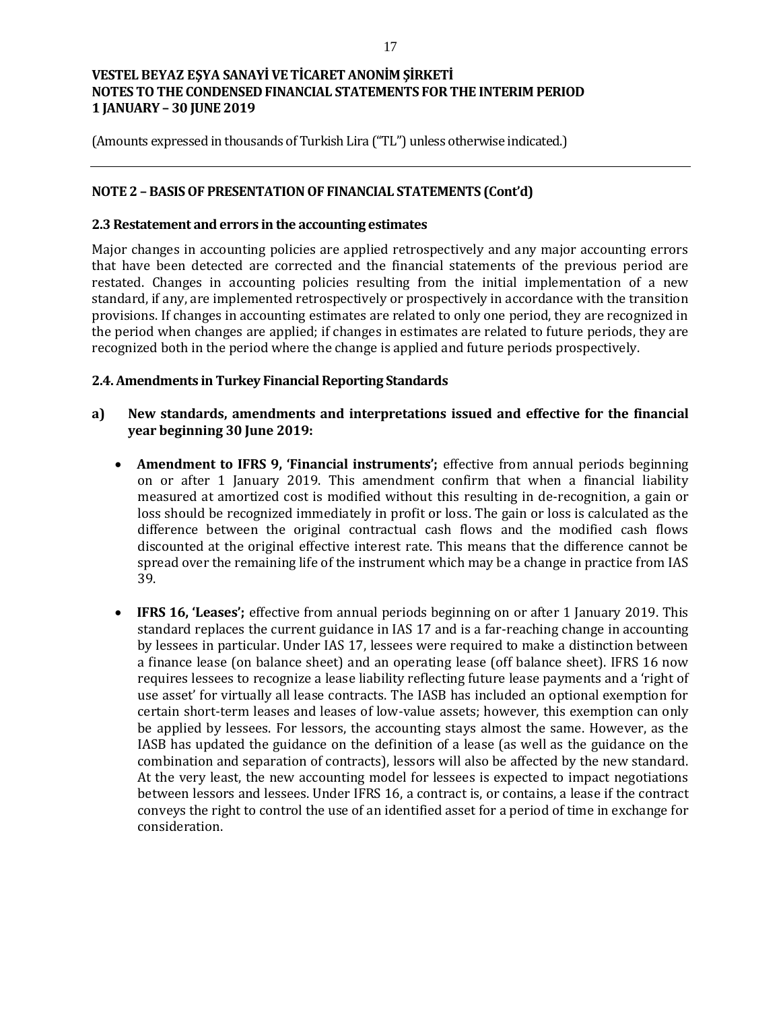(Amounts expressed in thousands of Turkish Lira ("TL") unless otherwise indicated.)

### **NOTE 2 – BASIS OF PRESENTATION OF FINANCIAL STATEMENTS (Cont'd)**

#### **2.3 Restatement and errors in the accounting estimates**

Major changes in accounting policies are applied retrospectively and any major accounting errors that have been detected are corrected and the financial statements of the previous period are restated. Changes in accounting policies resulting from the initial implementation of a new standard, if any, are implemented retrospectively or prospectively in accordance with the transition provisions. If changes in accounting estimates are related to only one period, they are recognized in the period when changes are applied; if changes in estimates are related to future periods, they are recognized both in the period where the change is applied and future periods prospectively.

#### **2.4. Amendments in Turkey Financial Reporting Standards**

- **a) New standards, amendments and interpretations issued and effective for the financial year beginning 30 June 2019:**
	- **Amendment to IFRS 9, 'Financial instruments';** effective from annual periods beginning on or after 1 January 2019. This amendment confirm that when a financial liability measured at amortized cost is modified without this resulting in de-recognition, a gain or loss should be recognized immediately in profit or loss. The gain or loss is calculated as the difference between the original contractual cash flows and the modified cash flows discounted at the original effective interest rate. This means that the difference cannot be spread over the remaining life of the instrument which may be a change in practice from IAS 39.
	- **IFRS 16, 'Leases';** effective from annual periods beginning on or after 1 January 2019. This standard replaces the current guidance in IAS 17 and is a far-reaching change in accounting by lessees in particular. Under IAS 17, lessees were required to make a distinction between a finance lease (on balance sheet) and an operating lease (off balance sheet). IFRS 16 now requires lessees to recognize a lease liability reflecting future lease payments and a 'right of use asset' for virtually all lease contracts. The IASB has included an optional exemption for certain short-term leases and leases of low-value assets; however, this exemption can only be applied by lessees. For lessors, the accounting stays almost the same. However, as the IASB has updated the guidance on the definition of a lease (as well as the guidance on the combination and separation of contracts), lessors will also be affected by the new standard. At the very least, the new accounting model for lessees is expected to impact negotiations between lessors and lessees. Under IFRS 16, a contract is, or contains, a lease if the contract conveys the right to control the use of an identified asset for a period of time in exchange for consideration.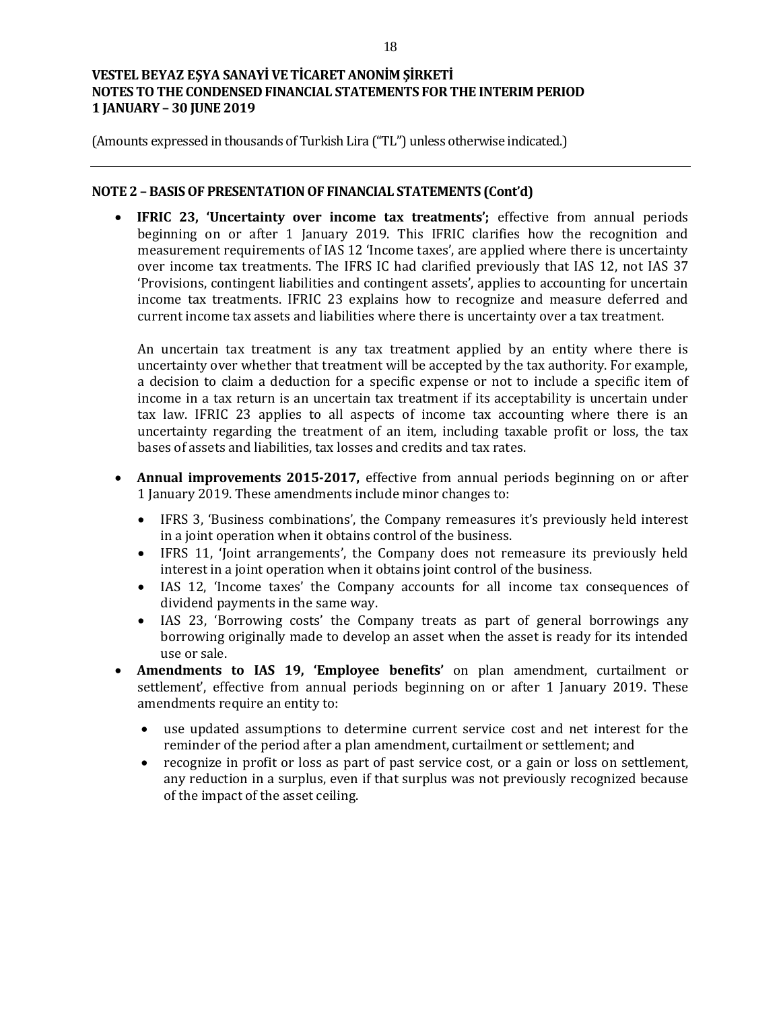(Amounts expressed in thousands of Turkish Lira ("TL") unless otherwise indicated.)

## **NOTE 2 – BASIS OF PRESENTATION OF FINANCIAL STATEMENTS (Cont'd)**

 **IFRIC 23, 'Uncertainty over income tax treatments';** effective from annual periods beginning on or after 1 January 2019. This IFRIC clarifies how the recognition and measurement requirements of IAS 12 'Income taxes', are applied where there is uncertainty over income tax treatments. The IFRS IC had clarified previously that IAS 12, not IAS 37 'Provisions, contingent liabilities and contingent assets', applies to accounting for uncertain income tax treatments. IFRIC 23 explains how to recognize and measure deferred and current income tax assets and liabilities where there is uncertainty over a tax treatment.

An uncertain tax treatment is any tax treatment applied by an entity where there is uncertainty over whether that treatment will be accepted by the tax authority. For example, a decision to claim a deduction for a specific expense or not to include a specific item of income in a tax return is an uncertain tax treatment if its acceptability is uncertain under tax law. IFRIC 23 applies to all aspects of income tax accounting where there is an uncertainty regarding the treatment of an item, including taxable profit or loss, the tax bases of assets and liabilities, tax losses and credits and tax rates.

- **Annual improvements 2015-2017,** effective from annual periods beginning on or after 1 January 2019. These amendments include minor changes to:
	- IFRS 3, 'Business combinations', the Company remeasures it's previously held interest in a joint operation when it obtains control of the business.
	- IFRS 11, 'Joint arrangements', the Company does not remeasure its previously held interest in a joint operation when it obtains joint control of the business.
	- IAS 12, 'Income taxes' the Company accounts for all income tax consequences of dividend payments in the same way.
	- IAS 23, 'Borrowing costs' the Company treats as part of general borrowings any borrowing originally made to develop an asset when the asset is ready for its intended use or sale.
- **Amendments to IAS 19, 'Employee benefits'** on plan amendment, curtailment or settlement', effective from annual periods beginning on or after 1 January 2019. These amendments require an entity to:
	- use updated assumptions to determine current service cost and net interest for the reminder of the period after a plan amendment, curtailment or settlement; and
	- recognize in profit or loss as part of past service cost, or a gain or loss on settlement, any reduction in a surplus, even if that surplus was not previously recognized because of the impact of the asset ceiling.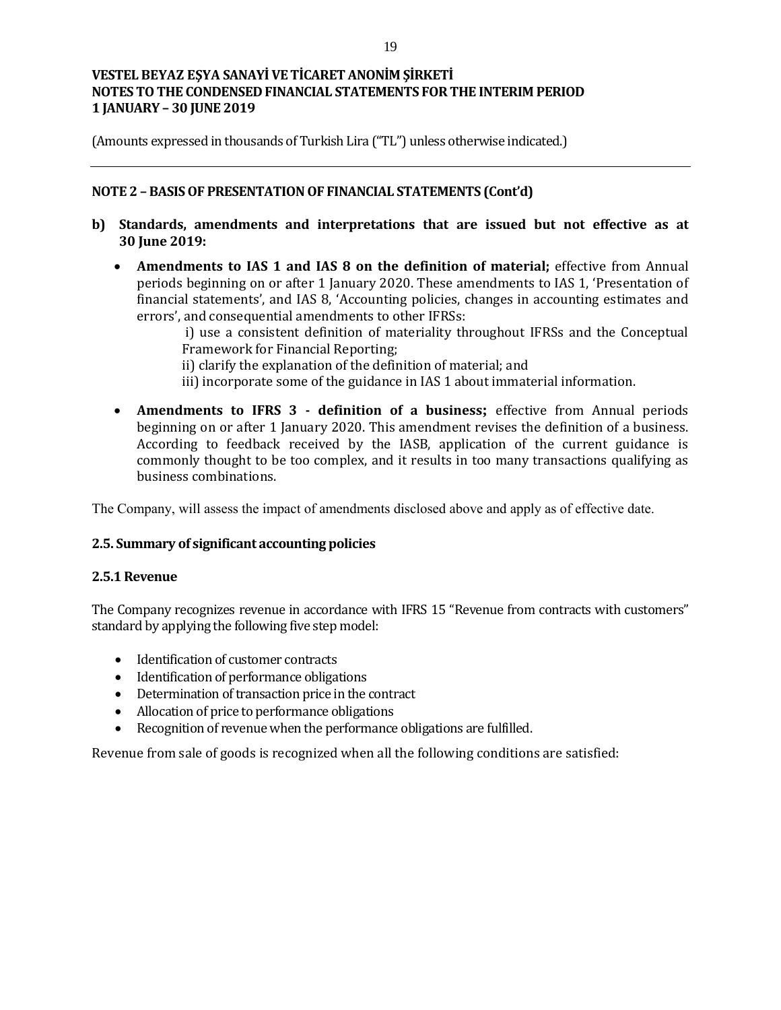(Amounts expressed in thousands of Turkish Lira ("TL") unless otherwise indicated.)

## **NOTE 2 – BASIS OF PRESENTATION OF FINANCIAL STATEMENTS (Cont'd)**

- **b) Standards, amendments and interpretations that are issued but not effective as at 30 June 2019:**
	- **Amendments to IAS 1 and IAS 8 on the definition of material;** effective from Annual periods beginning on or after 1 January 2020. These amendments to IAS 1, 'Presentation of financial statements', and IAS 8, 'Accounting policies, changes in accounting estimates and errors', and consequential amendments to other IFRSs:

i) use a consistent definition of materiality throughout IFRSs and the Conceptual Framework for Financial Reporting;

ii) clarify the explanation of the definition of material; and

- iii) incorporate some of the guidance in IAS 1 about immaterial information.
- **Amendments to IFRS 3 - definition of a business;** effective from Annual periods beginning on or after 1 January 2020. This amendment revises the definition of a business. According to feedback received by the IASB, application of the current guidance is commonly thought to be too complex, and it results in too many transactions qualifying as business combinations.

The Company, will assess the impact of amendments disclosed above and apply as of effective date.

# **2.5. Summary of significant accounting policies**

#### **2.5.1 Revenue**

The Company recognizes revenue in accordance with IFRS 15 "Revenue from contracts with customers" standard by applying the following five step model:

- Identification of customer contracts
- Identification of performance obligations
- Determination of transaction price in the contract
- Allocation of price to performance obligations
- Recognition of revenue when the performance obligations are fulfilled.

Revenue from sale of goods is recognized when all the following conditions are satisfied: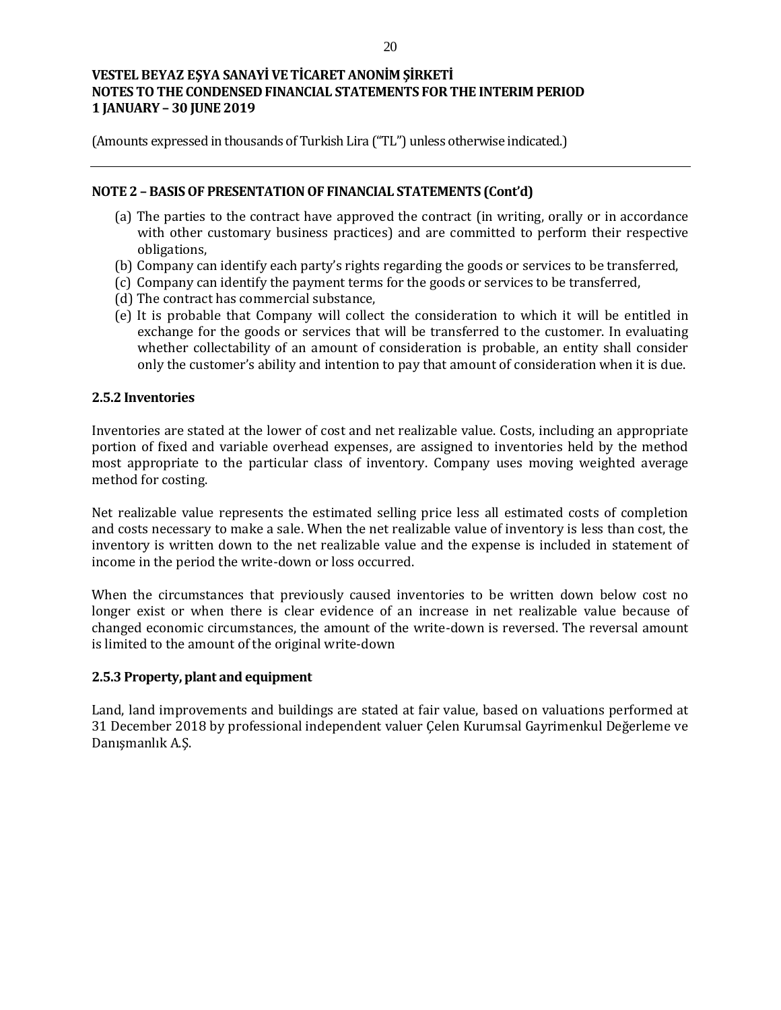(Amounts expressed in thousands of Turkish Lira ("TL") unless otherwise indicated.)

### **NOTE 2 – BASIS OF PRESENTATION OF FINANCIAL STATEMENTS (Cont'd)**

- (a) The parties to the contract have approved the contract (in writing, orally or in accordance with other customary business practices) and are committed to perform their respective obligations,
- (b) Company can identify each party's rights regarding the goods or services to be transferred,
- (c) Company can identify the payment terms for the goods or services to be transferred,
- (d) The contract has commercial substance,
- (e) It is probable that Company will collect the consideration to which it will be entitled in exchange for the goods or services that will be transferred to the customer. In evaluating whether collectability of an amount of consideration is probable, an entity shall consider only the customer's ability and intention to pay that amount of consideration when it is due.

## **2.5.2 Inventories**

Inventories are stated at the lower of cost and net realizable value. Costs, including an appropriate portion of fixed and variable overhead expenses, are assigned to inventories held by the method most appropriate to the particular class of inventory. Company uses moving weighted average method for costing.

Net realizable value represents the estimated selling price less all estimated costs of completion and costs necessary to make a sale. When the net realizable value of inventory is less than cost, the inventory is written down to the net realizable value and the expense is included in statement of income in the period the write-down or loss occurred.

When the circumstances that previously caused inventories to be written down below cost no longer exist or when there is clear evidence of an increase in net realizable value because of changed economic circumstances, the amount of the write-down is reversed. The reversal amount is limited to the amount of the original write-down

#### **2.5.3 Property, plant and equipment**

Land, land improvements and buildings are stated at fair value, based on valuations performed at 31 December 2018 by professional independent valuer Çelen Kurumsal Gayrimenkul Değerleme ve Danışmanlık A.Ş.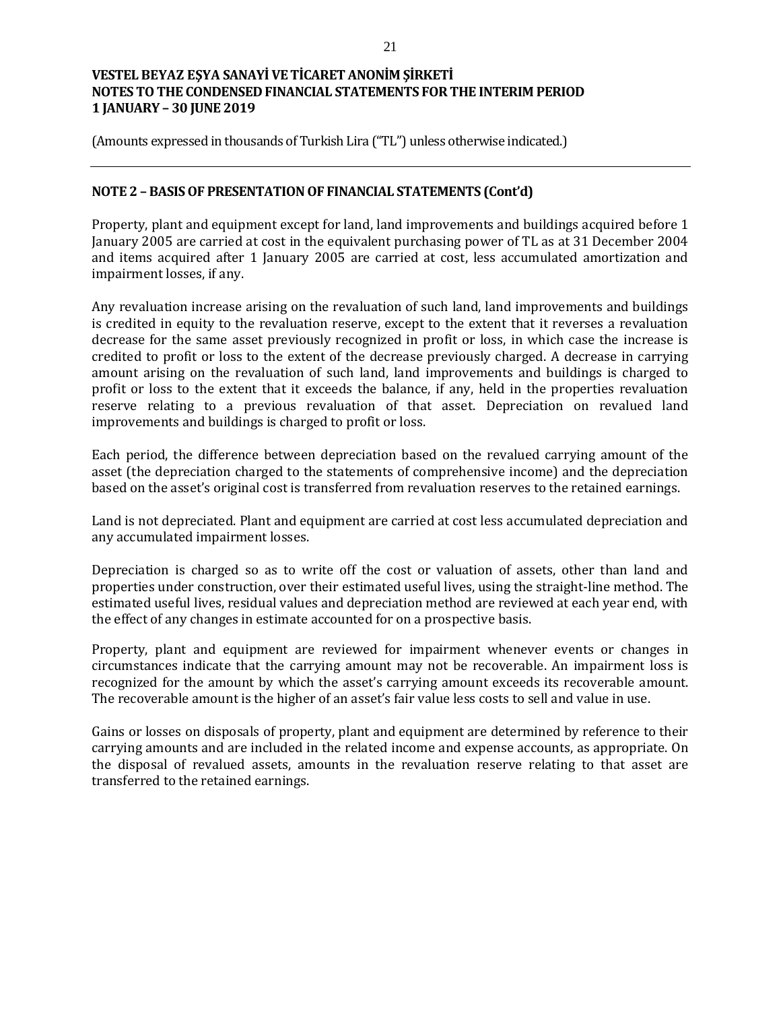(Amounts expressed in thousands of Turkish Lira ("TL") unless otherwise indicated.)

## **NOTE 2 – BASIS OF PRESENTATION OF FINANCIAL STATEMENTS (Cont'd)**

Property, plant and equipment except for land, land improvements and buildings acquired before 1 January 2005 are carried at cost in the equivalent purchasing power of TL as at 31 December 2004 and items acquired after 1 January 2005 are carried at cost, less accumulated amortization and impairment losses, if any.

Any revaluation increase arising on the revaluation of such land, land improvements and buildings is credited in equity to the revaluation reserve, except to the extent that it reverses a revaluation decrease for the same asset previously recognized in profit or loss, in which case the increase is credited to profit or loss to the extent of the decrease previously charged. A decrease in carrying amount arising on the revaluation of such land, land improvements and buildings is charged to profit or loss to the extent that it exceeds the balance, if any, held in the properties revaluation reserve relating to a previous revaluation of that asset. Depreciation on revalued land improvements and buildings is charged to profit or loss.

Each period, the difference between depreciation based on the revalued carrying amount of the asset (the depreciation charged to the statements of comprehensive income) and the depreciation based on the asset's original cost is transferred from revaluation reserves to the retained earnings.

Land is not depreciated. Plant and equipment are carried at cost less accumulated depreciation and any accumulated impairment losses.

Depreciation is charged so as to write off the cost or valuation of assets, other than land and properties under construction, over their estimated useful lives, using the straight-line method. The estimated useful lives, residual values and depreciation method are reviewed at each year end, with the effect of any changes in estimate accounted for on a prospective basis.

Property, plant and equipment are reviewed for impairment whenever events or changes in circumstances indicate that the carrying amount may not be recoverable. An impairment loss is recognized for the amount by which the asset's carrying amount exceeds its recoverable amount. The recoverable amount is the higher of an asset's fair value less costs to sell and value in use.

Gains or losses on disposals of property, plant and equipment are determined by reference to their carrying amounts and are included in the related income and expense accounts, as appropriate. On the disposal of revalued assets, amounts in the revaluation reserve relating to that asset are transferred to the retained earnings.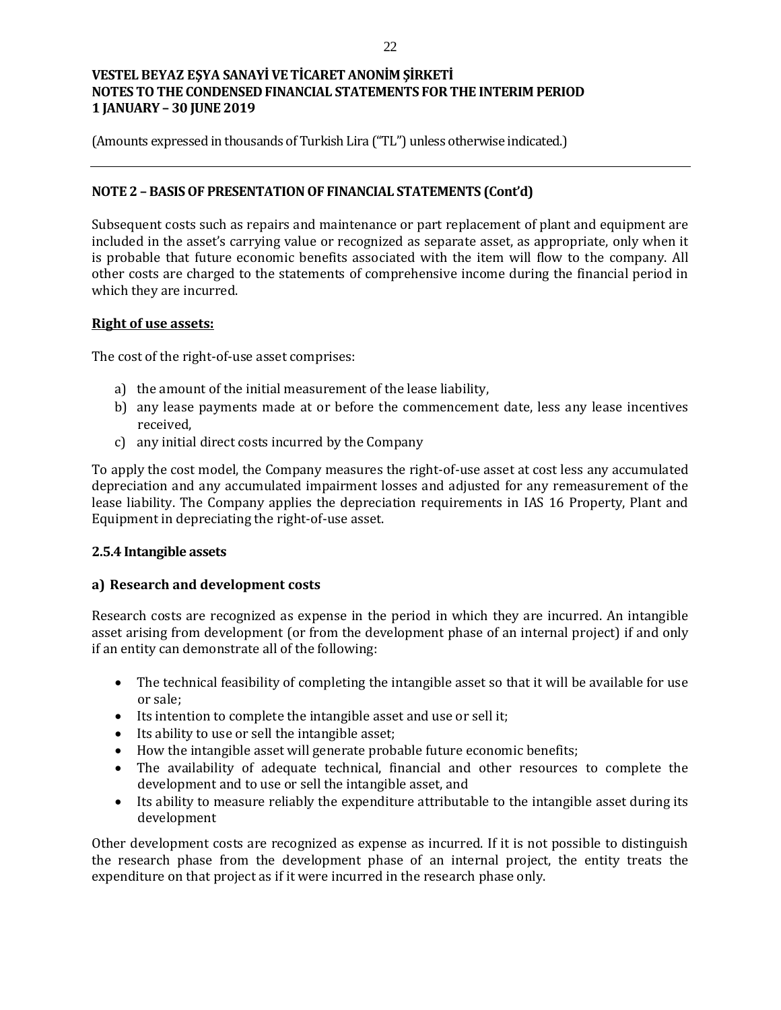(Amounts expressed in thousands of Turkish Lira ("TL") unless otherwise indicated.)

## **NOTE 2 – BASIS OF PRESENTATION OF FINANCIAL STATEMENTS (Cont'd)**

Subsequent costs such as repairs and maintenance or part replacement of plant and equipment are included in the asset's carrying value or recognized as separate asset, as appropriate, only when it is probable that future economic benefits associated with the item will flow to the company. All other costs are charged to the statements of comprehensive income during the financial period in which they are incurred.

#### **Right of use assets:**

The cost of the right-of-use asset comprises:

- a) the amount of the initial measurement of the lease liability,
- b) any lease payments made at or before the commencement date, less any lease incentives received,
- c) any initial direct costs incurred by the Company

To apply the cost model, the Company measures the right-of-use asset at cost less any accumulated depreciation and any accumulated impairment losses and adjusted for any remeasurement of the lease liability. The Company applies the depreciation requirements in IAS 16 Property, Plant and Equipment in depreciating the right-of-use asset.

#### **2.5.4 Intangible assets**

# **a) Research and development costs**

Research costs are recognized as expense in the period in which they are incurred. An intangible asset arising from development (or from the development phase of an internal project) if and only if an entity can demonstrate all of the following:

- The technical feasibility of completing the intangible asset so that it will be available for use or sale;
- Its intention to complete the intangible asset and use or sell it;
- Its ability to use or sell the intangible asset;
- How the intangible asset will generate probable future economic benefits;
- The availability of adequate technical, financial and other resources to complete the development and to use or sell the intangible asset, and
- Its ability to measure reliably the expenditure attributable to the intangible asset during its development

Other development costs are recognized as expense as incurred. If it is not possible to distinguish the research phase from the development phase of an internal project, the entity treats the expenditure on that project as if it were incurred in the research phase only.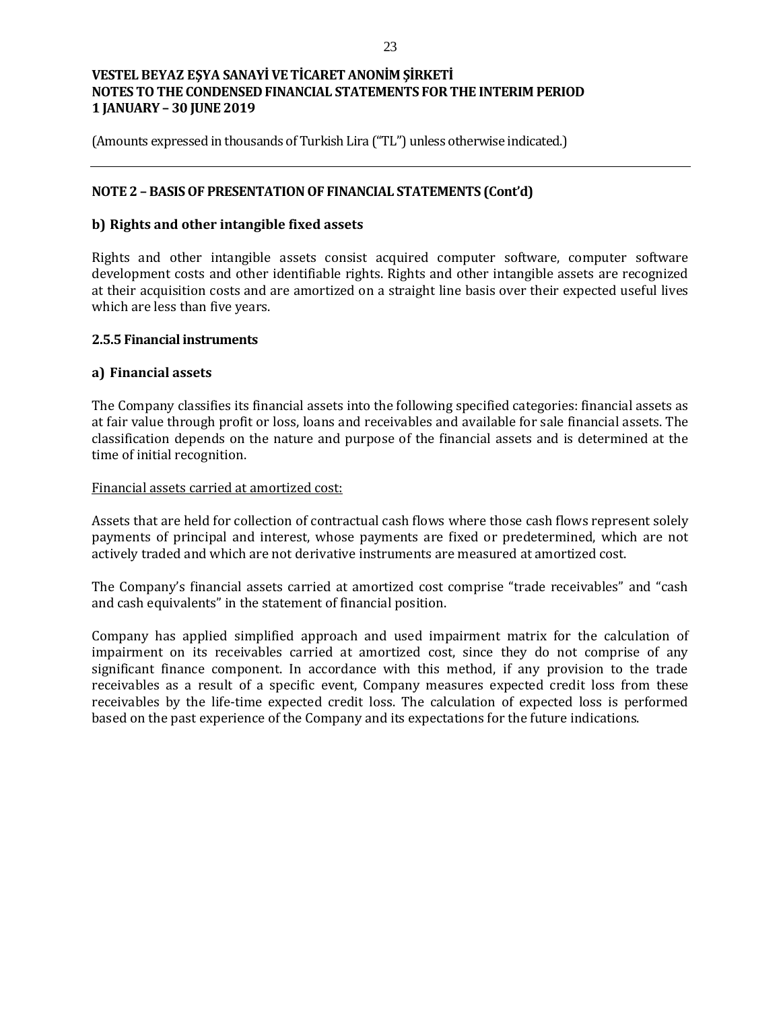(Amounts expressed in thousands of Turkish Lira ("TL") unless otherwise indicated.)

## **NOTE 2 – BASIS OF PRESENTATION OF FINANCIAL STATEMENTS (Cont'd)**

### **b) Rights and other intangible fixed assets**

Rights and other intangible assets consist acquired computer software, computer software development costs and other identifiable rights. Rights and other intangible assets are recognized at their acquisition costs and are amortized on a straight line basis over their expected useful lives which are less than five years.

#### **2.5.5 Financial instruments**

#### **a) Financial assets**

The Company classifies its financial assets into the following specified categories: financial assets as at fair value through profit or loss, loans and receivables and available for sale financial assets. The classification depends on the nature and purpose of the financial assets and is determined at the time of initial recognition.

#### Financial assets carried at amortized cost:

Assets that are held for collection of contractual cash flows where those cash flows represent solely payments of principal and interest, whose payments are fixed or predetermined, which are not actively traded and which are not derivative instruments are measured at amortized cost.

The Company's financial assets carried at amortized cost comprise "trade receivables" and "cash and cash equivalents" in the statement of financial position.

Company has applied simplified approach and used impairment matrix for the calculation of impairment on its receivables carried at amortized cost, since they do not comprise of any significant finance component. In accordance with this method, if any provision to the trade receivables as a result of a specific event, Company measures expected credit loss from these receivables by the life-time expected credit loss. The calculation of expected loss is performed based on the past experience of the Company and its expectations for the future indications.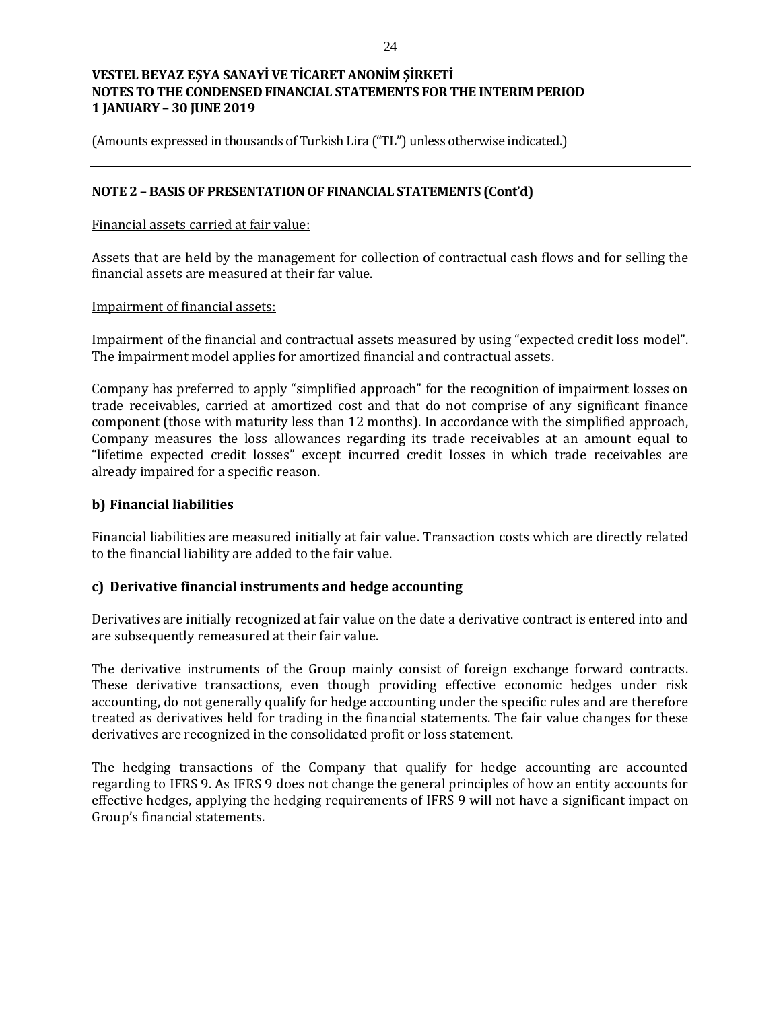(Amounts expressed in thousands of Turkish Lira ("TL") unless otherwise indicated.)

## **NOTE 2 – BASIS OF PRESENTATION OF FINANCIAL STATEMENTS (Cont'd)**

#### Financial assets carried at fair value:

Assets that are held by the management for collection of contractual cash flows and for selling the financial assets are measured at their far value.

#### Impairment of financial assets:

Impairment of the financial and contractual assets measured by using "expected credit loss model". The impairment model applies for amortized financial and contractual assets.

Company has preferred to apply "simplified approach" for the recognition of impairment losses on trade receivables, carried at amortized cost and that do not comprise of any significant finance component (those with maturity less than 12 months). In accordance with the simplified approach, Company measures the loss allowances regarding its trade receivables at an amount equal to "lifetime expected credit losses" except incurred credit losses in which trade receivables are already impaired for a specific reason.

#### **b) Financial liabilities**

Financial liabilities are measured initially at fair value. Transaction costs which are directly related to the financial liability are added to the fair value.

#### **c) Derivative financial instruments and hedge accounting**

Derivatives are initially recognized at fair value on the date a derivative contract is entered into and are subsequently remeasured at their fair value.

The derivative instruments of the Group mainly consist of foreign exchange forward contracts. These derivative transactions, even though providing effective economic hedges under risk accounting, do not generally qualify for hedge accounting under the specific rules and are therefore treated as derivatives held for trading in the financial statements. The fair value changes for these derivatives are recognized in the consolidated profit or loss statement.

The hedging transactions of the Company that qualify for hedge accounting are accounted regarding to IFRS 9. As IFRS 9 does not change the general principles of how an entity accounts for effective hedges, applying the hedging requirements of IFRS 9 will not have a significant impact on Group's financial statements.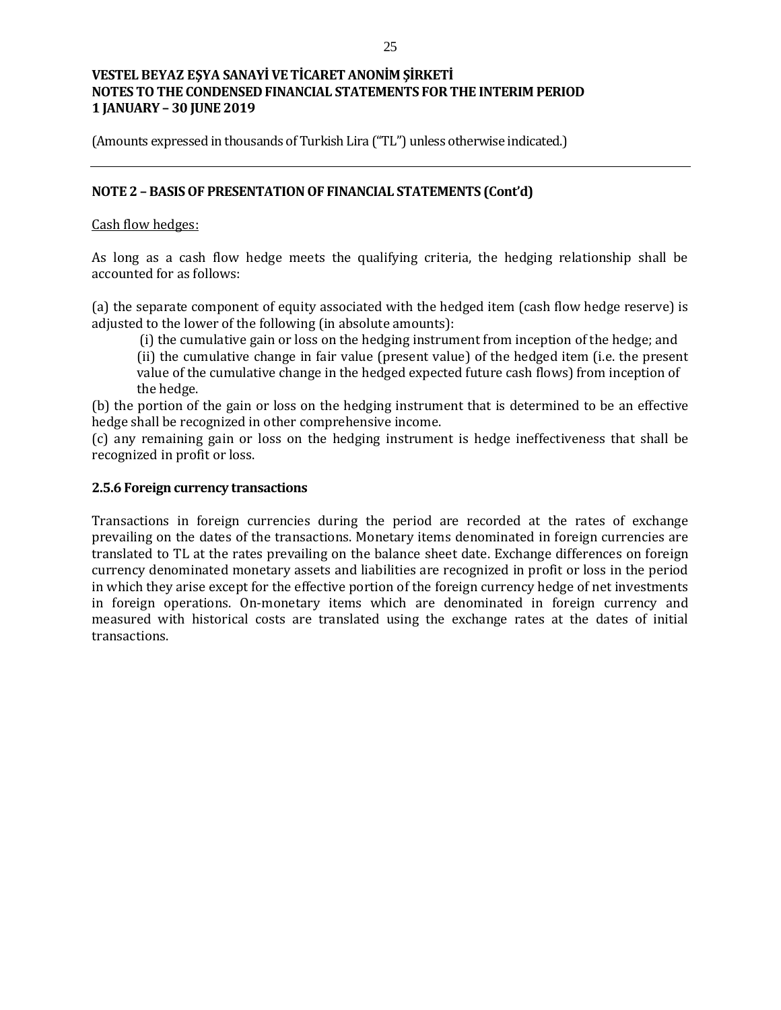(Amounts expressed in thousands of Turkish Lira ("TL") unless otherwise indicated.)

### **NOTE 2 – BASIS OF PRESENTATION OF FINANCIAL STATEMENTS (Cont'd)**

#### Cash flow hedges:

As long as a cash flow hedge meets the qualifying criteria, the hedging relationship shall be accounted for as follows:

(a) the separate component of equity associated with the hedged item (cash flow hedge reserve) is adjusted to the lower of the following (in absolute amounts):

(i) the cumulative gain or loss on the hedging instrument from inception of the hedge; and

(ii) the cumulative change in fair value (present value) of the hedged item (i.e. the present value of the cumulative change in the hedged expected future cash flows) from inception of the hedge.

(b) the portion of the gain or loss on the hedging instrument that is determined to be an effective hedge shall be recognized in other comprehensive income.

(c) any remaining gain or loss on the hedging instrument is hedge ineffectiveness that shall be recognized in profit or loss.

#### **2.5.6 Foreign currency transactions**

Transactions in foreign currencies during the period are recorded at the rates of exchange prevailing on the dates of the transactions. Monetary items denominated in foreign currencies are translated to TL at the rates prevailing on the balance sheet date. Exchange differences on foreign currency denominated monetary assets and liabilities are recognized in profit or loss in the period in which they arise except for the effective portion of the foreign currency hedge of net investments in foreign operations. On-monetary items which are denominated in foreign currency and measured with historical costs are translated using the exchange rates at the dates of initial transactions.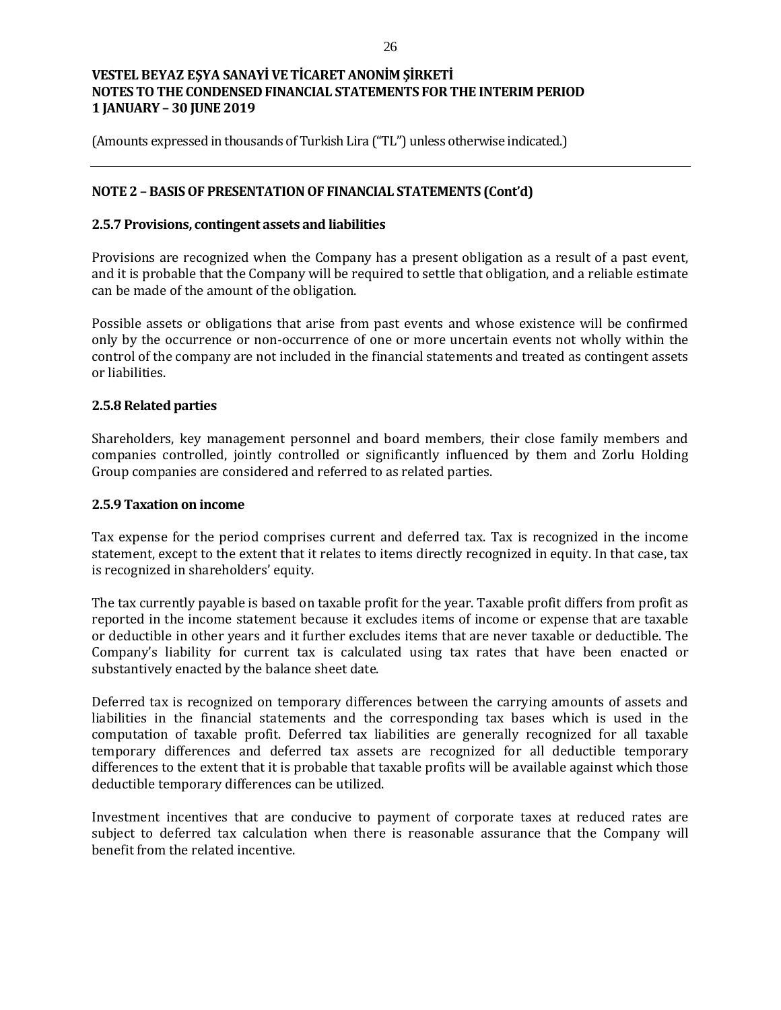(Amounts expressed in thousands of Turkish Lira ("TL") unless otherwise indicated.)

## **NOTE 2 – BASIS OF PRESENTATION OF FINANCIAL STATEMENTS (Cont'd)**

#### **2.5.7 Provisions, contingent assets and liabilities**

Provisions are recognized when the Company has a present obligation as a result of a past event, and it is probable that the Company will be required to settle that obligation, and a reliable estimate can be made of the amount of the obligation.

Possible assets or obligations that arise from past events and whose existence will be confirmed only by the occurrence or non-occurrence of one or more uncertain events not wholly within the control of the company are not included in the financial statements and treated as contingent assets or liabilities.

#### **2.5.8 Related parties**

Shareholders, key management personnel and board members, their close family members and companies controlled, jointly controlled or significantly influenced by them and Zorlu Holding Group companies are considered and referred to as related parties.

#### **2.5.9 Taxation on income**

Tax expense for the period comprises current and deferred tax. Tax is recognized in the income statement, except to the extent that it relates to items directly recognized in equity. In that case, tax is recognized in shareholders' equity.

The tax currently payable is based on taxable profit for the year. Taxable profit differs from profit as reported in the income statement because it excludes items of income or expense that are taxable or deductible in other years and it further excludes items that are never taxable or deductible. The Company's liability for current tax is calculated using tax rates that have been enacted or substantively enacted by the balance sheet date.

Deferred tax is recognized on temporary differences between the carrying amounts of assets and liabilities in the financial statements and the corresponding tax bases which is used in the computation of taxable profit. Deferred tax liabilities are generally recognized for all taxable temporary differences and deferred tax assets are recognized for all deductible temporary differences to the extent that it is probable that taxable profits will be available against which those deductible temporary differences can be utilized.

Investment incentives that are conducive to payment of corporate taxes at reduced rates are subject to deferred tax calculation when there is reasonable assurance that the Company will benefit from the related incentive.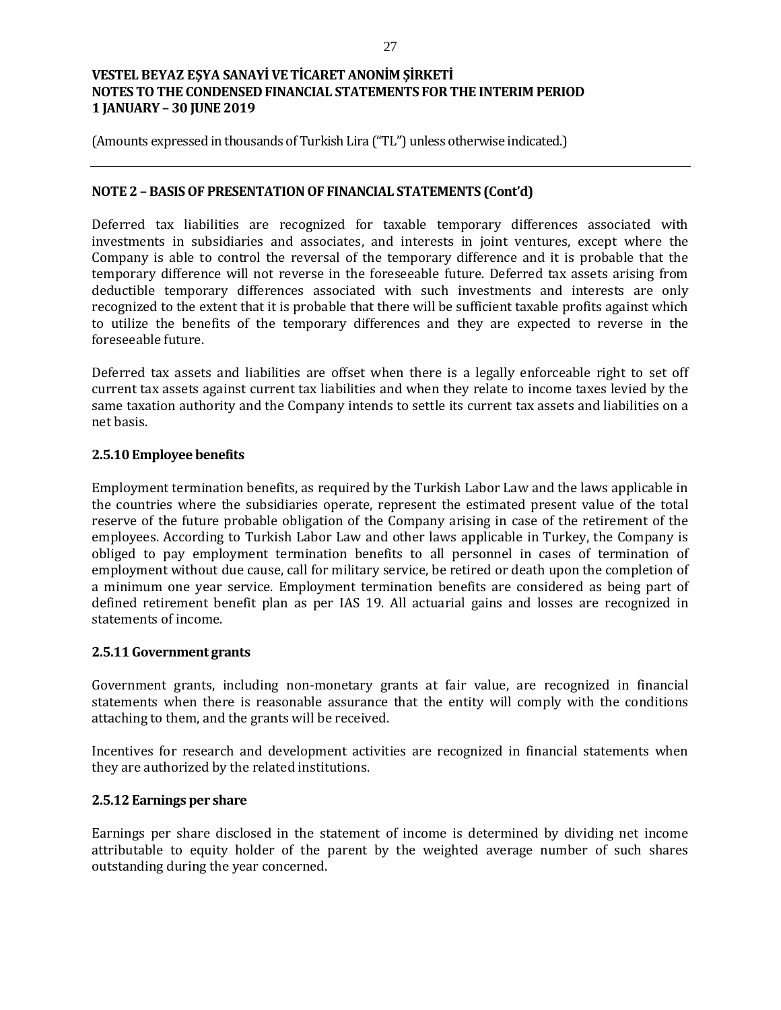(Amounts expressed in thousands of Turkish Lira ("TL") unless otherwise indicated.)

#### **NOTE 2 – BASIS OF PRESENTATION OF FINANCIAL STATEMENTS (Cont'd)**

Deferred tax liabilities are recognized for taxable temporary differences associated with investments in subsidiaries and associates, and interests in joint ventures, except where the Company is able to control the reversal of the temporary difference and it is probable that the temporary difference will not reverse in the foreseeable future. Deferred tax assets arising from deductible temporary differences associated with such investments and interests are only recognized to the extent that it is probable that there will be sufficient taxable profits against which to utilize the benefits of the temporary differences and they are expected to reverse in the foreseeable future.

Deferred tax assets and liabilities are offset when there is a legally enforceable right to set off current tax assets against current tax liabilities and when they relate to income taxes levied by the same taxation authority and the Company intends to settle its current tax assets and liabilities on a net basis.

## **2.5.10 Employee benefits**

Employment termination benefits, as required by the Turkish Labor Law and the laws applicable in the countries where the subsidiaries operate, represent the estimated present value of the total reserve of the future probable obligation of the Company arising in case of the retirement of the employees. According to Turkish Labor Law and other laws applicable in Turkey, the Company is obliged to pay employment termination benefits to all personnel in cases of termination of employment without due cause, call for military service, be retired or death upon the completion of a minimum one year service. Employment termination benefits are considered as being part of defined retirement benefit plan as per IAS 19. All actuarial gains and losses are recognized in statements of income.

#### **2.5.11 Government grants**

Government grants, including non-monetary grants at fair value, are recognized in financial statements when there is reasonable assurance that the entity will comply with the conditions attaching to them, and the grants will be received.

Incentives for research and development activities are recognized in financial statements when they are authorized by the related institutions.

#### **2.5.12 Earnings per share**

Earnings per share disclosed in the statement of income is determined by dividing net income attributable to equity holder of the parent by the weighted average number of such shares outstanding during the year concerned.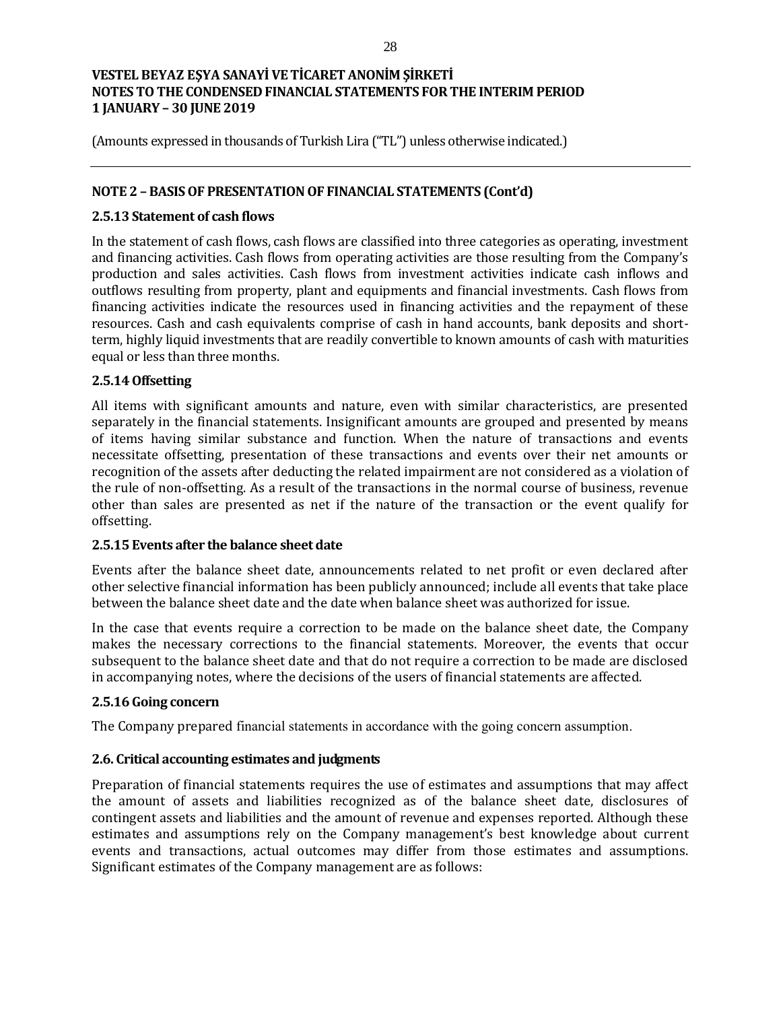(Amounts expressed in thousands of Turkish Lira ("TL") unless otherwise indicated.)

### **NOTE 2 – BASIS OF PRESENTATION OF FINANCIAL STATEMENTS (Cont'd)**

### **2.5.13 Statement of cash flows**

In the statement of cash flows, cash flows are classified into three categories as operating, investment and financing activities. Cash flows from operating activities are those resulting from the Company's production and sales activities. Cash flows from investment activities indicate cash inflows and outflows resulting from property, plant and equipments and financial investments. Cash flows from financing activities indicate the resources used in financing activities and the repayment of these resources. Cash and cash equivalents comprise of cash in hand accounts, bank deposits and shortterm, highly liquid investments that are readily convertible to known amounts of cash with maturities equal or less than three months.

## **2.5.14 Offsetting**

All items with significant amounts and nature, even with similar characteristics, are presented separately in the financial statements. Insignificant amounts are grouped and presented by means of items having similar substance and function. When the nature of transactions and events necessitate offsetting, presentation of these transactions and events over their net amounts or recognition of the assets after deducting the related impairment are not considered as a violation of the rule of non-offsetting. As a result of the transactions in the normal course of business, revenue other than sales are presented as net if the nature of the transaction or the event qualify for offsetting.

#### **2.5.15 Events after the balance sheet date**

Events after the balance sheet date, announcements related to net profit or even declared after other selective financial information has been publicly announced; include all events that take place between the balance sheet date and the date when balance sheet was authorized for issue.

In the case that events require a correction to be made on the balance sheet date, the Company makes the necessary corrections to the financial statements. Moreover, the events that occur subsequent to the balance sheet date and that do not require a correction to be made are disclosed in accompanying notes, where the decisions of the users of financial statements are affected.

# **2.5.16 Going concern**

The Company prepared financial statements in accordance with the going concern assumption.

#### **2.6. Critical accounting estimates and judgments**

Preparation of financial statements requires the use of estimates and assumptions that may affect the amount of assets and liabilities recognized as of the balance sheet date, disclosures of contingent assets and liabilities and the amount of revenue and expenses reported. Although these estimates and assumptions rely on the Company management's best knowledge about current events and transactions, actual outcomes may differ from those estimates and assumptions. Significant estimates of the Company management are as follows: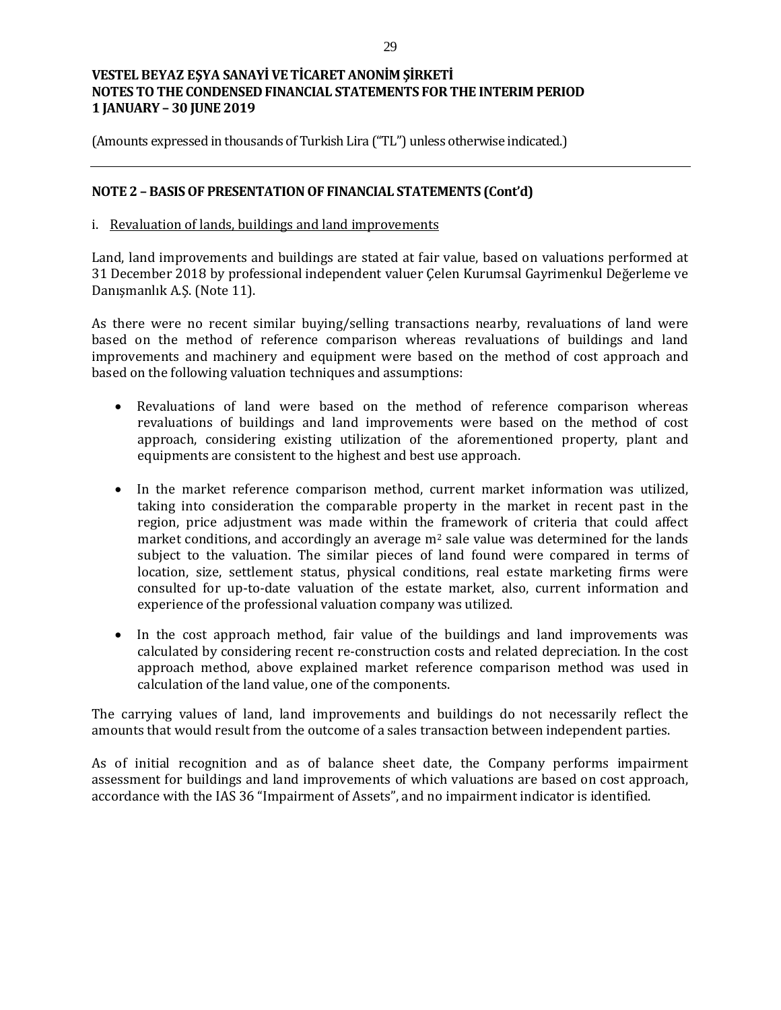(Amounts expressed in thousands of Turkish Lira ("TL") unless otherwise indicated.)

### **NOTE 2 – BASIS OF PRESENTATION OF FINANCIAL STATEMENTS (Cont'd)**

#### i. Revaluation of lands, buildings and land improvements

Land, land improvements and buildings are stated at fair value, based on valuations performed at 31 December 2018 by professional independent valuer Çelen Kurumsal Gayrimenkul Değerleme ve Danışmanlık A.Ş. (Note 11).

As there were no recent similar buying/selling transactions nearby, revaluations of land were based on the method of reference comparison whereas revaluations of buildings and land improvements and machinery and equipment were based on the method of cost approach and based on the following valuation techniques and assumptions:

- Revaluations of land were based on the method of reference comparison whereas revaluations of buildings and land improvements were based on the method of cost approach, considering existing utilization of the aforementioned property, plant and equipments are consistent to the highest and best use approach.
- In the market reference comparison method, current market information was utilized, taking into consideration the comparable property in the market in recent past in the region, price adjustment was made within the framework of criteria that could affect market conditions, and accordingly an average  $m<sup>2</sup>$  sale value was determined for the lands subject to the valuation. The similar pieces of land found were compared in terms of location, size, settlement status, physical conditions, real estate marketing firms were consulted for up-to-date valuation of the estate market, also, current information and experience of the professional valuation company was utilized.
- In the cost approach method, fair value of the buildings and land improvements was calculated by considering recent re-construction costs and related depreciation. In the cost approach method, above explained market reference comparison method was used in calculation of the land value, one of the components.

The carrying values of land, land improvements and buildings do not necessarily reflect the amounts that would result from the outcome of a sales transaction between independent parties.

As of initial recognition and as of balance sheet date, the Company performs impairment assessment for buildings and land improvements of which valuations are based on cost approach, accordance with the IAS 36 "Impairment of Assets", and no impairment indicator is identified.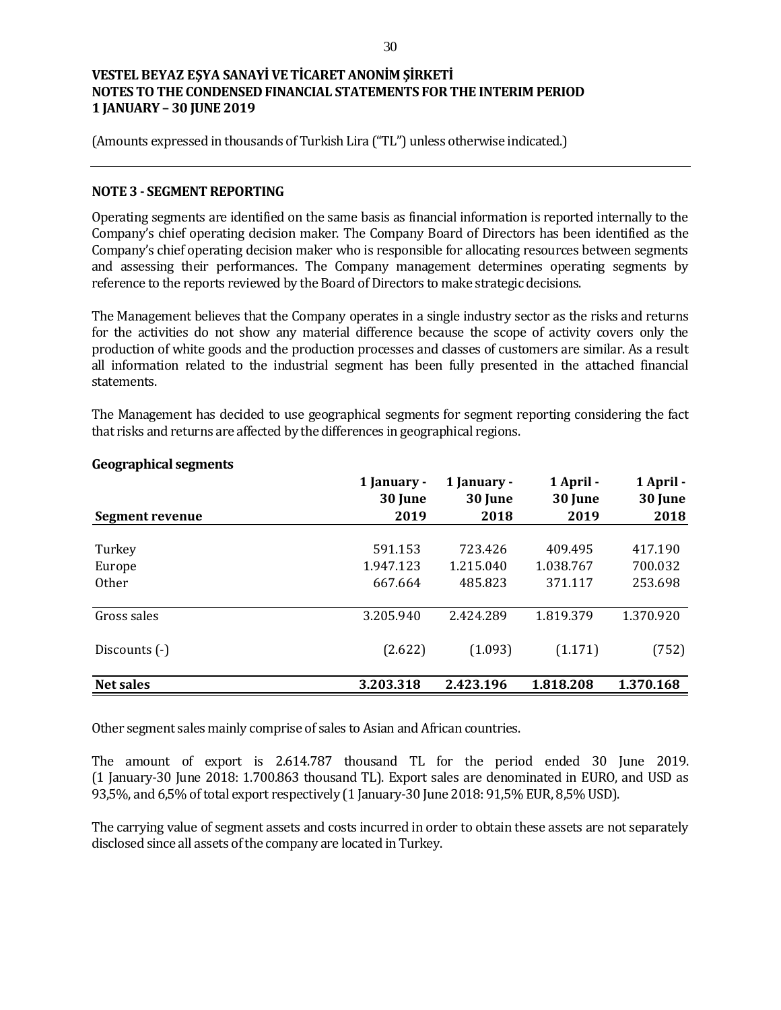(Amounts expressed in thousands of Turkish Lira ("TL") unless otherwise indicated.)

#### **NOTE 3 - SEGMENT REPORTING**

Operating segments are identified on the same basis as financial information is reported internally to the Company's chief operating decision maker. The Company Board of Directors has been identified as the Company's chief operating decision maker who is responsible for allocating resources between segments and assessing their performances. The Company management determines operating segments by reference to the reports reviewed by the Board of Directors to make strategic decisions.

The Management believes that the Company operates in a single industry sector as the risks and returns for the activities do not show any material difference because the scope of activity covers only the production of white goods and the production processes and classes of customers are similar. As a result all information related to the industrial segment has been fully presented in the attached financial statements.

The Management has decided to use geographical segments for segment reporting considering the fact that risks and returns are affected by the differences in geographical regions.

| Segment revenue  | 1 January -<br>30 June<br>2019 | 1 January -<br>30 June<br>2018 | 1 April -<br>30 June<br>2019 | 1 April -<br>30 June<br>2018 |
|------------------|--------------------------------|--------------------------------|------------------------------|------------------------------|
|                  |                                |                                |                              |                              |
| Turkey           | 591.153                        | 723.426                        | 409.495                      | 417.190                      |
| Europe           | 1.947.123                      | 1.215.040                      | 1.038.767                    | 700.032                      |
| <b>Other</b>     | 667.664                        | 485.823                        | 371.117                      | 253.698                      |
| Gross sales      | 3.205.940                      | 2.424.289                      | 1.819.379                    | 1.370.920                    |
| Discounts (-)    | (2.622)                        | (1.093)                        | (1.171)                      | (752)                        |
| <b>Net sales</b> | 3.203.318                      | 2.423.196                      | 1.818.208                    | 1.370.168                    |

### **Geographical segments**

Other segment sales mainly comprise of sales to Asian and African countries.

The amount of export is 2.614.787 thousand TL for the period ended 30 June 2019. (1 January-30 June 2018: 1.700.863 thousand TL). Export sales are denominated in EURO, and USD as 93,5%, and 6,5% of total export respectively (1 January-30 June 2018: 91,5% EUR, 8,5% USD).

The carrying value of segment assets and costs incurred in order to obtain these assets are not separately disclosed since all assets of the company are located in Turkey.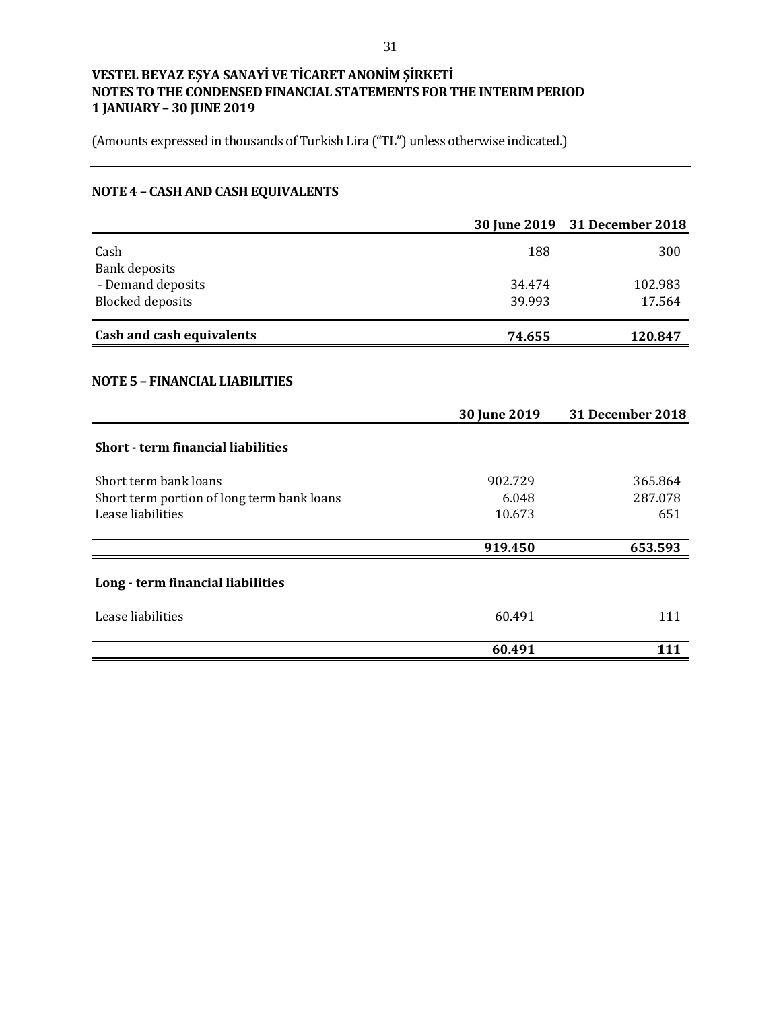(Amounts expressed in thousands of Turkish Lira ("TL") unless otherwise indicated.)

# **NOTE 4 – CASH AND CASH EQUIVALENTS**

|                                            |              | 30 June 2019 31 December 2018 |
|--------------------------------------------|--------------|-------------------------------|
| Cash                                       | 188          | 300                           |
| <b>Bank deposits</b>                       |              |                               |
| - Demand deposits                          | 34.474       | 102.983                       |
| <b>Blocked deposits</b>                    | 39.993       | 17.564                        |
| <b>Cash and cash equivalents</b>           | 74.655       | 120.847                       |
| <b>NOTE 5 - FINANCIAL LIABILITIES</b>      |              |                               |
|                                            | 30 June 2019 | 31 December 2018              |
| <b>Short - term financial liabilities</b>  |              |                               |
| Short term bank loans                      | 902.729      | 365.864                       |
| Short term portion of long term bank loans | 6.048        | 287.078                       |
| Lease liabilities                          | 10.673       | 651                           |
|                                            | 919.450      | 653.593                       |
| Long - term financial liabilities          |              |                               |
| Lease liabilities                          | 60.491       | 111                           |
|                                            | 60.491       | 111                           |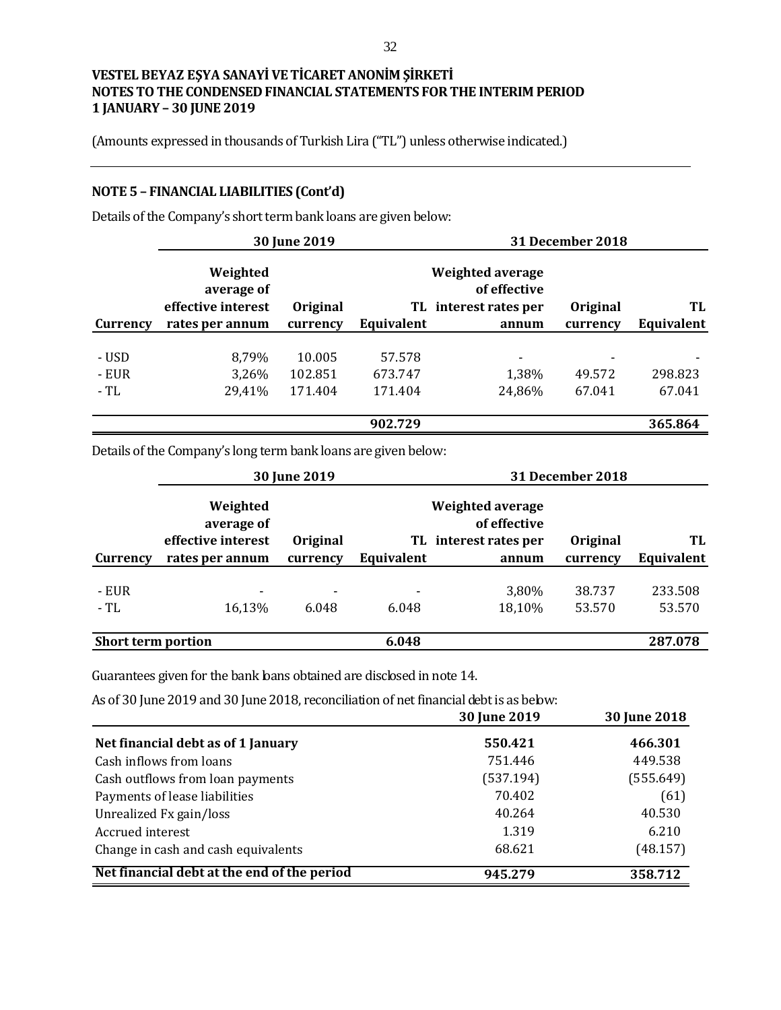(Amounts expressed in thousands of Turkish Lira ("TL") unless otherwise indicated.)

# **NOTE 5 – FINANCIAL LIABILITIES (Cont'd)**

Details of the Company's short term bank loans are given below:

|                        | 30 June 2019                                 |                              |                              |                                                                  | <b>31 December 2018</b>                      |                   |
|------------------------|----------------------------------------------|------------------------------|------------------------------|------------------------------------------------------------------|----------------------------------------------|-------------------|
|                        | Weighted<br>average of<br>effective interest | Original                     |                              | <b>Weighted average</b><br>of effective<br>TL interest rates per | Original                                     | TL                |
| Currency               | rates per annum                              | currency                     | Equivalent                   | annum                                                            | currency                                     | Equivalent        |
| - USD<br>- EUR<br>- TL | 8,79%<br>3,26%<br>29,41%                     | 10.005<br>102.851<br>171.404 | 57.578<br>673.747<br>171.404 | 1,38%<br>24,86%                                                  | $\overline{\phantom{a}}$<br>49.572<br>67.041 | 298.823<br>67.041 |
|                        |                                              |                              | 902.729                      |                                                                  |                                              | 365.864           |

Details of the Company's long term bank loans are given below:

|                           | <b>30 June 2019</b>                          |                                   |                                   |                                                                  | 31 December 2018 |                   |
|---------------------------|----------------------------------------------|-----------------------------------|-----------------------------------|------------------------------------------------------------------|------------------|-------------------|
|                           | Weighted<br>average of<br>effective interest | <b>Original</b>                   |                                   | <b>Weighted average</b><br>of effective<br>TL interest rates per | Original         | TL                |
| Currency                  | rates per annum                              | currency                          | Equivalent                        | annum                                                            | currency         | Equivalent        |
| - EUR<br>- TL             | $\blacksquare$<br>16,13%                     | $\overline{\phantom{a}}$<br>6.048 | $\overline{\phantom{0}}$<br>6.048 | 3,80%<br>18,10%                                                  | 38.737<br>53.570 | 233.508<br>53.570 |
| <b>Short term portion</b> |                                              |                                   | 6.048                             |                                                                  |                  | 287.078           |

Guarantees given for the bank loans obtained are disclosed in note 14.

As of 30 June 2019 and 30 June 2018, reconciliation of net financial debt is as below:

|                                             | 30 June 2019 | 30 June 2018 |
|---------------------------------------------|--------------|--------------|
| Net financial debt as of 1 January          | 550.421      | 466.301      |
| Cash inflows from loans                     | 751.446      | 449.538      |
| Cash outflows from loan payments            | (537.194)    | (555.649)    |
| Payments of lease liabilities               | 70.402       | (61)         |
| Unrealized Fx gain/loss                     | 40.264       | 40.530       |
| Accrued interest                            | 1.319        | 6.210        |
| Change in cash and cash equivalents         | 68.621       | (48.157)     |
| Net financial debt at the end of the period | 945.279      | 358.712      |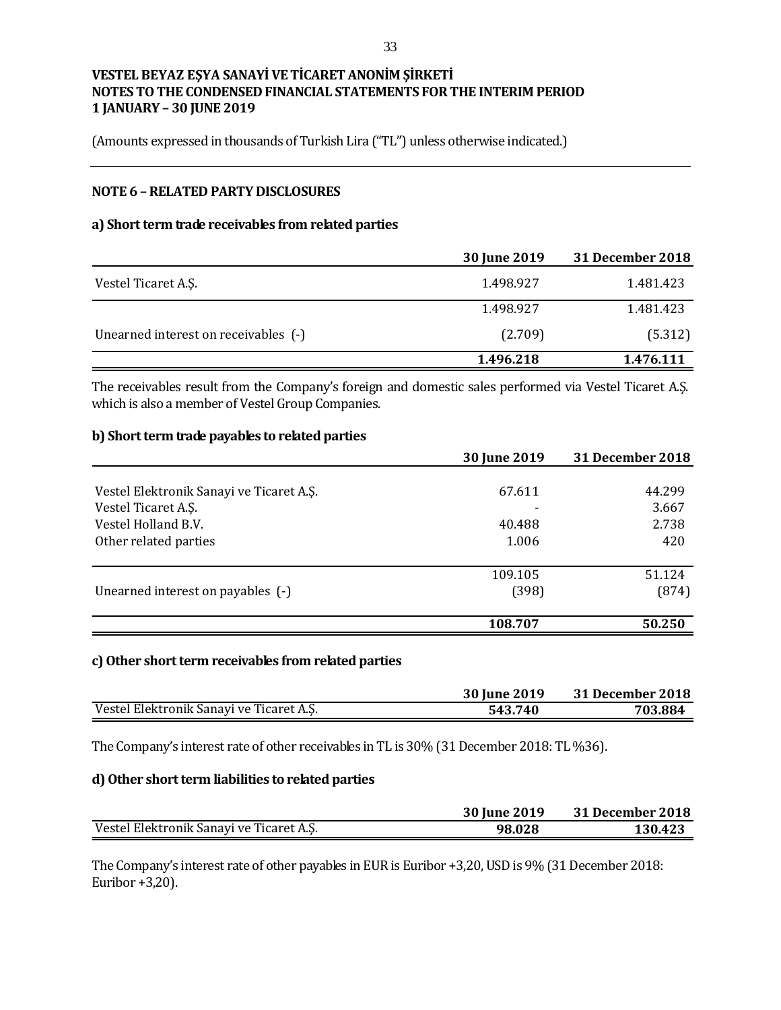(Amounts expressed in thousands of Turkish Lira ("TL") unless otherwise indicated.)

## **NOTE 6 –RELATED PARTY DISCLOSURES**

#### **a) Short term trade receivables from related parties**

|                                      | <b>30 June 2019</b> | <b>31 December 2018</b> |
|--------------------------------------|---------------------|-------------------------|
| Vestel Ticaret A.S.                  | 1.498.927           | 1.481.423               |
|                                      | 1.498.927           | 1.481.423               |
| Unearned interest on receivables (-) | (2.709)             | (5.312)                 |
|                                      | 1.496.218           | 1.476.111               |

The receivables result from the Company's foreign and domestic sales performed via Vestel Ticaret A.Ş. which is also a member of Vestel Group Companies.

#### **b) Short term trade payables to related parties**

|                                          | 30 June 2019 | 31 December 2018 |
|------------------------------------------|--------------|------------------|
|                                          |              |                  |
| Vestel Elektronik Sanayi ve Ticaret A.Ş. | 67.611       | 44.299           |
| Vestel Ticaret A.S.                      |              | 3.667            |
| Vestel Holland B.V.                      | 40.488       | 2.738            |
| Other related parties                    | 1.006        | 420              |
|                                          | 109.105      | 51.124           |
| Unearned interest on payables (-)        | (398)        | (874)            |
|                                          | 108.707      | 50.250           |

#### **c)Other short term receivables from related parties**

|                                          | 30 June 2019 | 31 December 2018 |
|------------------------------------------|--------------|------------------|
| Vestel Elektronik Sanayi ve Ticaret A.Ş. | 543.740      | 703.884          |

The Company's interest rate of other receivables in TL is 30% (31 December 2018: TL %36).

#### **d) Other short term liabilities to related parties**

|                                          | 30 June 2019 | 31 December 2018 |
|------------------------------------------|--------------|------------------|
| Vestel Elektronik Sanayi ve Ticaret A.S. | 98.028       | 130.423          |

The Company's interest rate of other payables in EUR is Euribor +3,20, USD is 9% (31 December 2018: Euribor +3,20).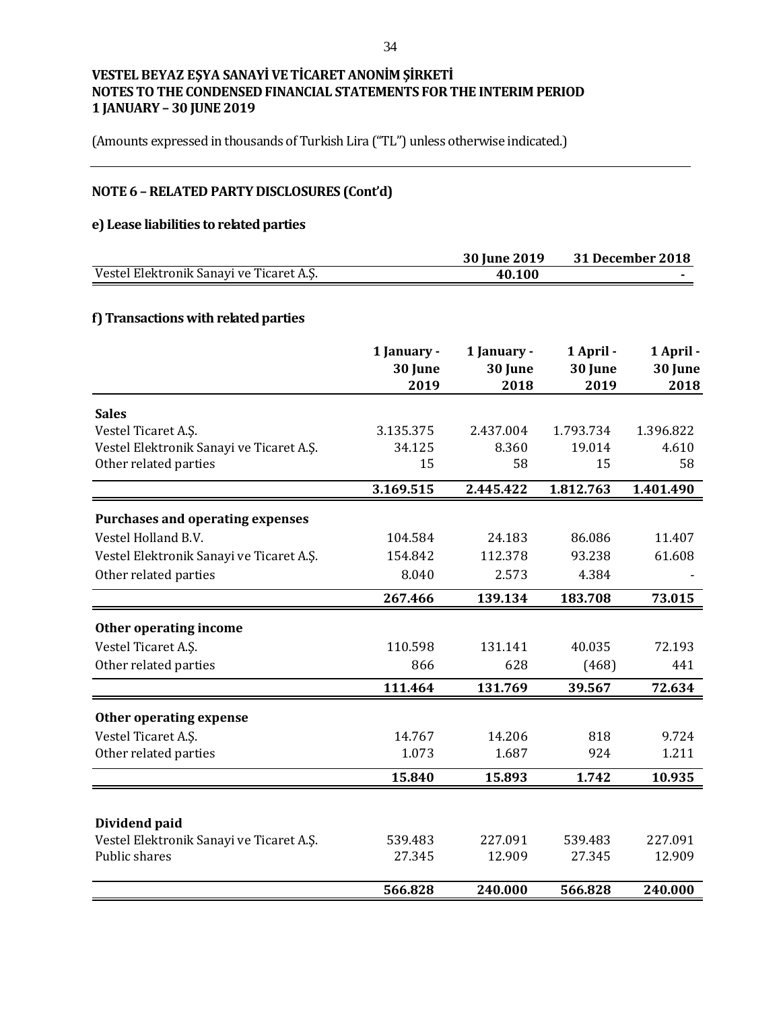(Amounts expressed in thousands of Turkish Lira ("TL") unless otherwise indicated.)

# **NOTE 6 –RELATED PARTY DISCLOSURES (Cont'd)**

# **e) Lease liabilities to related parties**

|                                          | 30 June 2019 | 31 December 2018 |
|------------------------------------------|--------------|------------------|
| Vestel Elektronik Sanayi ve Ticaret A.Ş. | 40.100       |                  |

# **f) Transactions with related parties**

|                                          | 1 January -<br>30 June<br>2019 | 1 January -<br>30 June<br>2018 | 1 April -<br>30 June<br>2019 | 1 April -<br>30 June<br>2018 |
|------------------------------------------|--------------------------------|--------------------------------|------------------------------|------------------------------|
| <b>Sales</b>                             |                                |                                |                              |                              |
| Vestel Ticaret A.Ş.                      | 3.135.375                      | 2.437.004                      | 1.793.734                    | 1.396.822                    |
| Vestel Elektronik Sanayi ve Ticaret A.Ş. | 34.125                         | 8.360                          | 19.014                       | 4.610                        |
| Other related parties                    | 15                             | 58                             | 15                           | 58                           |
|                                          | 3.169.515                      | 2.445.422                      | 1.812.763                    | 1.401.490                    |
| <b>Purchases and operating expenses</b>  |                                |                                |                              |                              |
| Vestel Holland B.V.                      | 104.584                        | 24.183                         | 86.086                       | 11.407                       |
| Vestel Elektronik Sanayi ve Ticaret A.Ş. | 154.842                        | 112.378                        | 93.238                       | 61.608                       |
| Other related parties                    | 8.040                          | 2.573                          | 4.384                        |                              |
|                                          | 267.466                        | 139.134                        | 183.708                      | 73.015                       |
| Other operating income                   |                                |                                |                              |                              |
| Vestel Ticaret A.Ş.                      | 110.598                        | 131.141                        | 40.035                       | 72.193                       |
| Other related parties                    | 866                            | 628                            | (468)                        | 441                          |
|                                          | 111.464                        | 131.769                        | 39.567                       | 72.634                       |
| Other operating expense                  |                                |                                |                              |                              |
| Vestel Ticaret A.Ş.                      | 14.767                         | 14.206                         | 818                          | 9.724                        |
| Other related parties                    | 1.073                          | 1.687                          | 924                          | 1.211                        |
|                                          | 15.840                         | 15.893                         | 1.742                        | 10.935                       |
|                                          |                                |                                |                              |                              |
| Dividend paid                            |                                |                                |                              |                              |
| Vestel Elektronik Sanayi ve Ticaret A.Ş. | 539.483                        | 227.091                        | 539.483                      | 227.091                      |
| Public shares                            | 27.345                         | 12.909                         | 27.345                       | 12.909                       |
|                                          | 566.828                        | 240.000                        | 566.828                      | 240.000                      |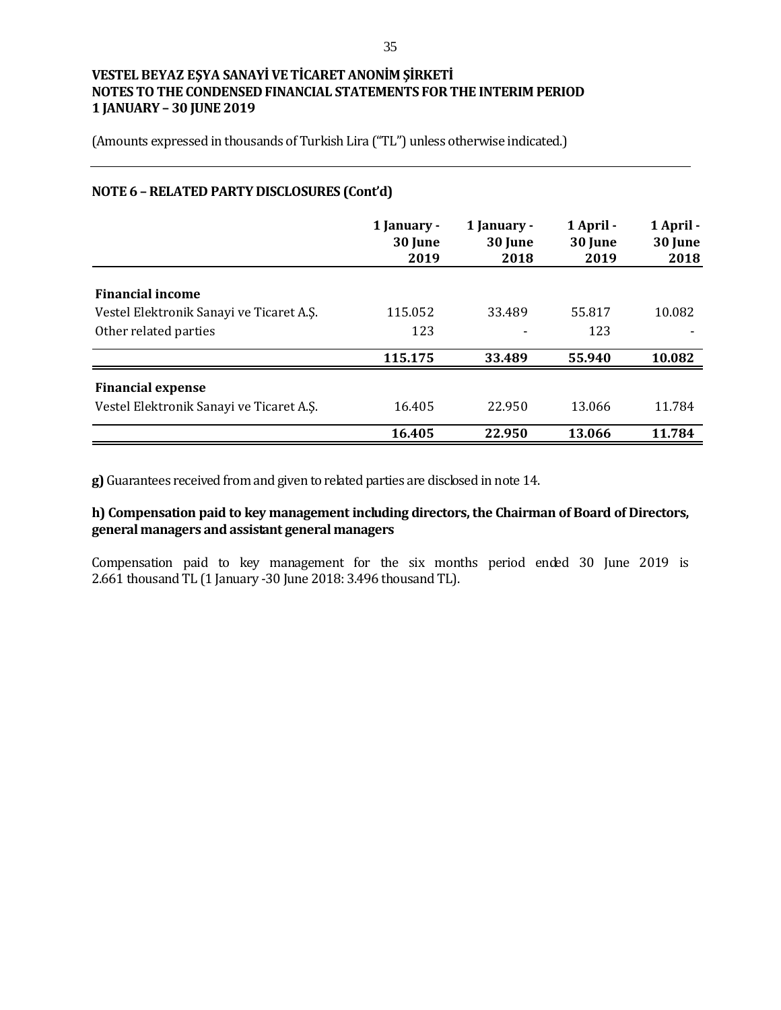(Amounts expressed in thousands of Turkish Lira ("TL") unless otherwise indicated.)

### **NOTE 6 –RELATED PARTY DISCLOSURES (Cont'd)**

|                                          | 1 January -<br>30 June<br>2019 | 1 January -<br>30 June<br>2018 | 1 April -<br>30 June<br>2019 | 1 April -<br>30 June<br>2018 |
|------------------------------------------|--------------------------------|--------------------------------|------------------------------|------------------------------|
|                                          |                                |                                |                              |                              |
| <b>Financial income</b>                  |                                |                                |                              |                              |
| Vestel Elektronik Sanayi ve Ticaret A.Ş. | 115.052                        | 33.489                         | 55.817                       | 10.082                       |
| Other related parties                    | 123                            |                                | 123                          |                              |
|                                          | 115.175                        | 33.489                         | 55.940                       | 10.082                       |
| <b>Financial expense</b>                 |                                |                                |                              |                              |
| Vestel Elektronik Sanayi ve Ticaret A.Ş. | 16.405                         | 22.950                         | 13.066                       | 11.784                       |
|                                          | 16.405                         | 22.950                         | 13.066                       | 11.784                       |

**g)** Guarantees received from and given to related parties are disclosed in note 14.

# **h) Compensation paid to key management including directors, the Chairman of Board of Directors, general managers and assistant general managers**

Compensation paid to key management for the six months period ended 30 June 2019 is 2.661 thousand TL (1 January -30 June 2018: 3.496 thousand TL).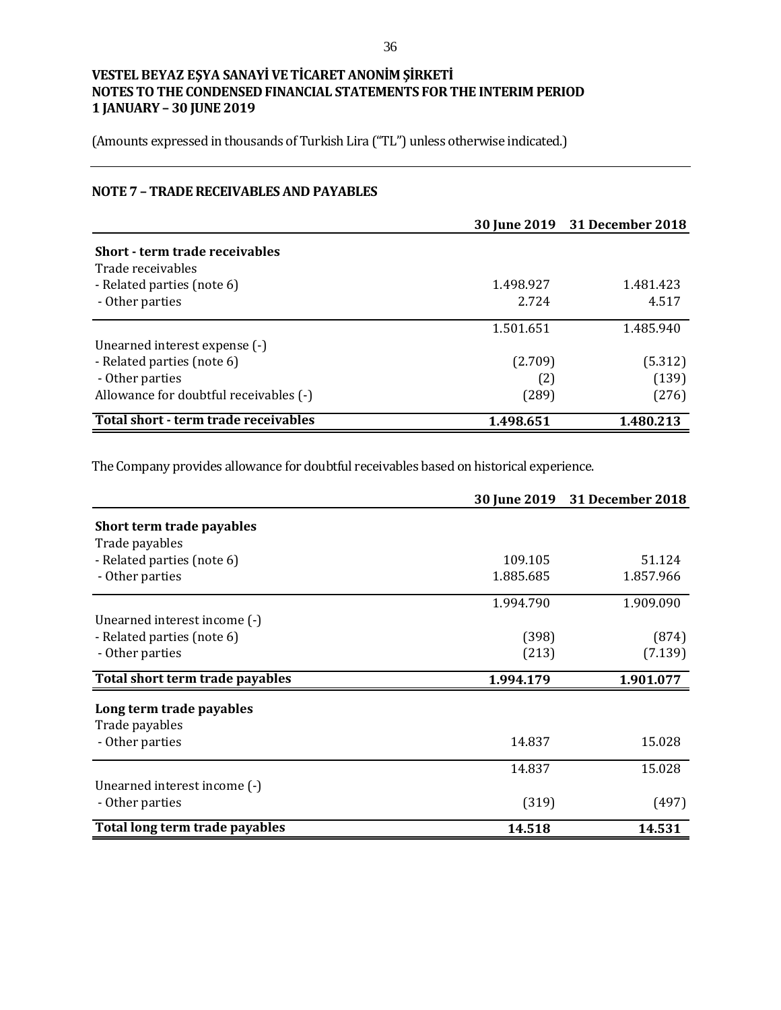(Amounts expressed in thousands of Turkish Lira ("TL") unless otherwise indicated.)

# **NOTE 7 – TRADE RECEIVABLES AND PAYABLES**

|                                        |           | 30 June 2019 31 December 2018 |
|----------------------------------------|-----------|-------------------------------|
| Short - term trade receivables         |           |                               |
| Trade receivables                      |           |                               |
| - Related parties (note 6)             | 1.498.927 | 1.481.423                     |
| - Other parties                        | 2.724     | 4.517                         |
|                                        | 1.501.651 | 1.485.940                     |
| Unearned interest expense (-)          |           |                               |
| - Related parties (note 6)             | (2.709)   | (5.312)                       |
| - Other parties                        | (2)       | (139)                         |
| Allowance for doubtful receivables (-) | (289)     | (276)                         |
| Total short - term trade receivables   | 1.498.651 | 1.480.213                     |

The Company provides allowance for doubtful receivables based on historical experience.

|                                 |           | 30 June 2019 31 December 2018 |
|---------------------------------|-----------|-------------------------------|
| Short term trade payables       |           |                               |
| Trade payables                  |           |                               |
| - Related parties (note 6)      | 109.105   | 51.124                        |
| - Other parties                 | 1.885.685 | 1.857.966                     |
|                                 | 1.994.790 | 1.909.090                     |
| Unearned interest income (-)    |           |                               |
| - Related parties (note 6)      | (398)     | (874)                         |
| - Other parties                 | (213)     | (7.139)                       |
| Total short term trade payables | 1.994.179 | 1.901.077                     |
| Long term trade payables        |           |                               |
| Trade payables                  |           |                               |
| - Other parties                 | 14.837    | 15.028                        |
|                                 | 14.837    | 15.028                        |
| Unearned interest income (-)    |           |                               |
| - Other parties                 | (319)     | (497)                         |
| Total long term trade payables  | 14.518    | 14.531                        |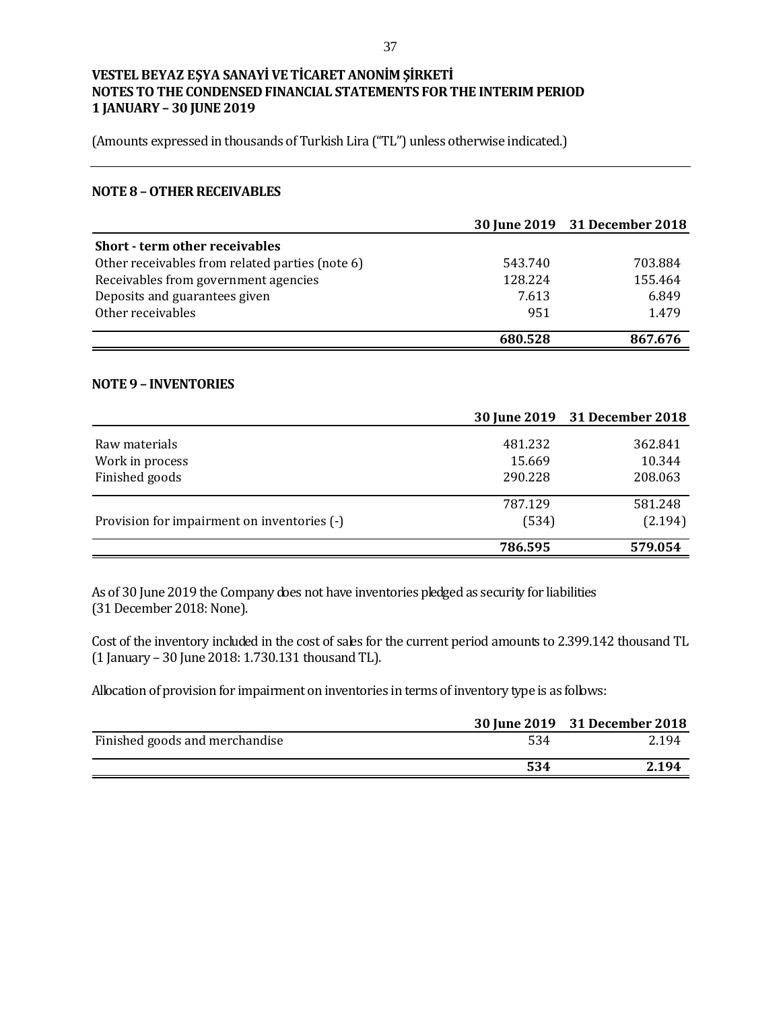(Amounts expressed in thousands of Turkish Lira ("TL") unless otherwise indicated.)

#### **NOTE 8 –OTHER RECEIVABLES**

|                                                 |         | 30 June 2019 31 December 2018 |
|-------------------------------------------------|---------|-------------------------------|
| <b>Short - term other receivables</b>           |         |                               |
| Other receivables from related parties (note 6) | 543.740 | 703.884                       |
| Receivables from government agencies            | 128.224 | 155.464                       |
| Deposits and guarantees given                   | 7.613   | 6.849                         |
| Other receivables                               | 951     | 1.479                         |
|                                                 | 680.528 | 867.676                       |

#### **NOTE 9 – INVENTORIES**

|                                             |         | 30 June 2019 31 December 2018 |
|---------------------------------------------|---------|-------------------------------|
| Raw materials                               | 481.232 | 362.841                       |
| Work in process                             | 15.669  | 10.344                        |
| Finished goods                              | 290.228 | 208.063                       |
|                                             | 787.129 | 581.248                       |
| Provision for impairment on inventories (-) | (534)   | (2.194)                       |
|                                             | 786.595 | 579.054                       |

As of 30 June 2019 the Company does not have inventories pledged as security for liabilities (31 December 2018: None).

Cost of the inventory included in the cost of sales for the current period amounts to 2.399.142 thousand TL (1 January – 30 June 2018: 1.730.131 thousand TL).

Allocation of provision for impairment on inventories in terms of inventory type is as follows:

|                                |     | 30 June 2019 31 December 2018 |
|--------------------------------|-----|-------------------------------|
| Finished goods and merchandise | 534 | 2.194                         |
|                                | 534 | 2.194                         |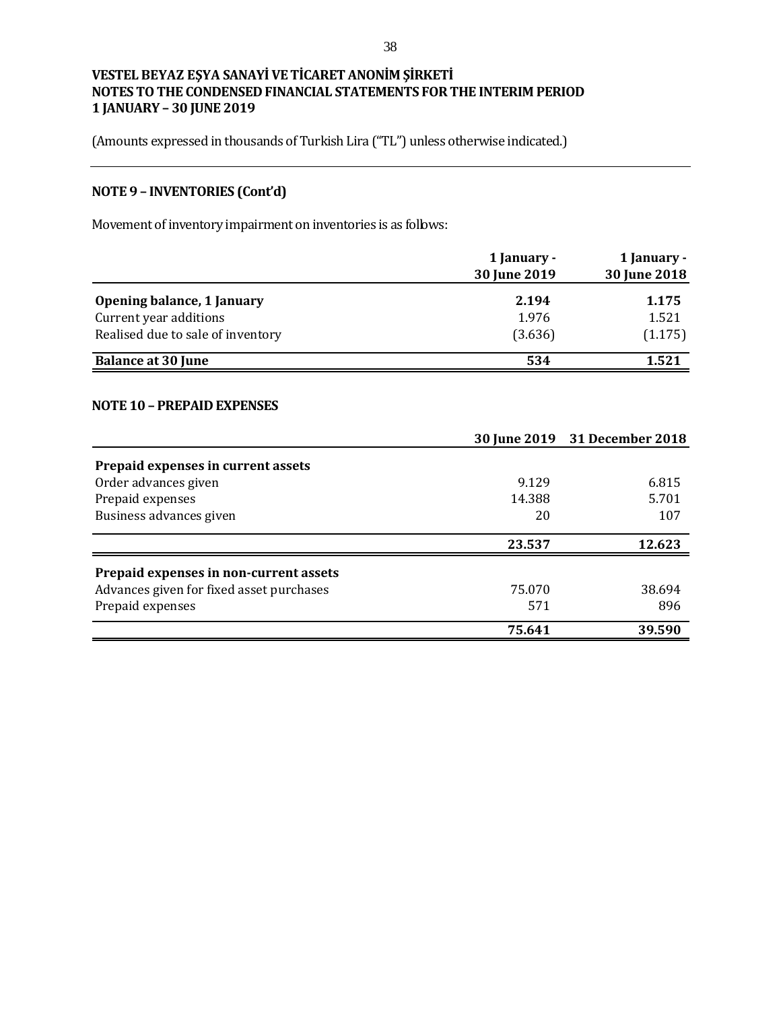(Amounts expressed in thousands of Turkish Lira ("TL") unless otherwise indicated.)

# **NOTE 9 – INVENTORIES (Cont'd)**

Movement of inventory impairment on inventories is as follows:

|                                   | 1 January -<br>30 June 2019 | 1 January -<br>30 June 2018 |
|-----------------------------------|-----------------------------|-----------------------------|
| Opening balance, 1 January        | 2.194                       | 1.175                       |
| Current year additions            | 1.976                       | 1.521                       |
| Realised due to sale of inventory | (3.636)                     | (1.175)                     |
| <b>Balance at 30 June</b>         | 534                         | 1.521                       |

#### **NOTE 10 – PREPAID EXPENSES**

|                                          |        | 30 June 2019 31 December 2018 |
|------------------------------------------|--------|-------------------------------|
| Prepaid expenses in current assets       |        |                               |
| Order advances given                     | 9.129  | 6.815                         |
| Prepaid expenses                         | 14.388 | 5.701                         |
| Business advances given                  | 20     | 107                           |
|                                          | 23.537 | 12.623                        |
| Prepaid expenses in non-current assets   |        |                               |
| Advances given for fixed asset purchases | 75.070 | 38.694                        |
| Prepaid expenses                         | 571    | 896                           |
|                                          | 75.641 | 39.590                        |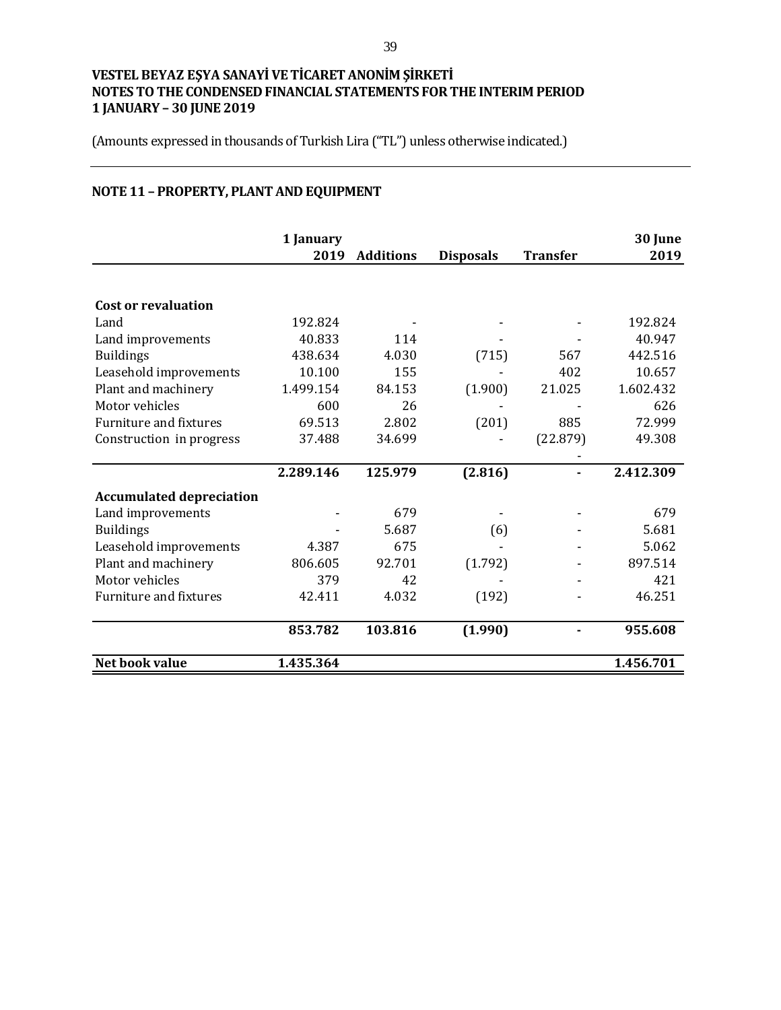(Amounts expressed in thousands of Turkish Lira ("TL") unless otherwise indicated.)

# **NOTE 11 – PROPERTY, PLANT AND EQUIPMENT**

|                                 | 1 January<br>2019 | <b>Additions</b> | <b>Disposals</b> | <b>Transfer</b> | 30 June<br>2019 |
|---------------------------------|-------------------|------------------|------------------|-----------------|-----------------|
|                                 |                   |                  |                  |                 |                 |
| <b>Cost or revaluation</b>      |                   |                  |                  |                 |                 |
| Land                            | 192.824           |                  |                  |                 | 192.824         |
| Land improvements               | 40.833            | 114              |                  |                 | 40.947          |
| <b>Buildings</b>                | 438.634           | 4.030            | (715)            | 567             | 442.516         |
| Leasehold improvements          | 10.100            | 155              |                  | 402             | 10.657          |
| Plant and machinery             | 1.499.154         | 84.153           | (1.900)          | 21.025          | 1.602.432       |
| Motor vehicles                  | 600               | 26               |                  |                 | 626             |
| Furniture and fixtures          | 69.513            | 2.802            | (201)            | 885             | 72.999          |
| Construction in progress        | 37.488            | 34.699           |                  | (22.879)        | 49.308          |
|                                 |                   |                  |                  |                 |                 |
|                                 | 2.289.146         | 125.979          | (2.816)          |                 | 2.412.309       |
| <b>Accumulated depreciation</b> |                   |                  |                  |                 |                 |
| Land improvements               |                   | 679              |                  |                 | 679             |
| <b>Buildings</b>                |                   | 5.687            | (6)              |                 | 5.681           |
| Leasehold improvements          | 4.387             | 675              |                  |                 | 5.062           |
| Plant and machinery             | 806.605           | 92.701           | (1.792)          |                 | 897.514         |
| Motor vehicles                  | 379               | 42               |                  |                 | 421             |
| <b>Furniture and fixtures</b>   | 42.411            | 4.032            | (192)            |                 | 46.251          |
|                                 | 853.782           | 103.816          | (1.990)          |                 | 955.608         |
| Net book value                  | 1.435.364         |                  |                  |                 | 1.456.701       |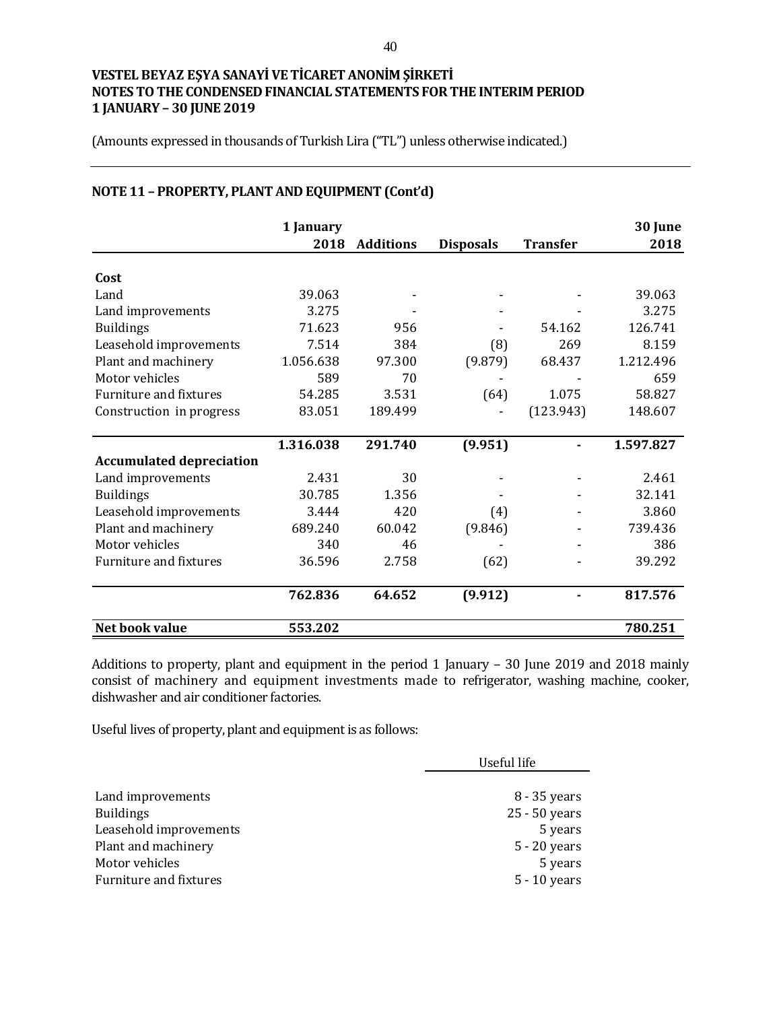(Amounts expressed in thousands of Turkish Lira ("TL") unless otherwise indicated.)

| NOTE 11 - PROPERTY, PLANT AND EQUIPMENT (Cont'd) |  |  |
|--------------------------------------------------|--|--|
|                                                  |  |  |

|                                 | 1 January |                  |                  |                 | 30 June   |
|---------------------------------|-----------|------------------|------------------|-----------------|-----------|
|                                 | 2018      | <b>Additions</b> | <b>Disposals</b> | <b>Transfer</b> | 2018      |
| Cost                            |           |                  |                  |                 |           |
| Land                            | 39.063    |                  |                  |                 | 39.063    |
| Land improvements               | 3.275     |                  |                  |                 | 3.275     |
| <b>Buildings</b>                | 71.623    | 956              |                  | 54.162          | 126.741   |
| Leasehold improvements          | 7.514     | 384              | (8)              | 269             | 8.159     |
| Plant and machinery             | 1.056.638 | 97.300           | (9.879)          | 68.437          | 1.212.496 |
| Motor vehicles                  | 589       | 70               |                  |                 | 659       |
| <b>Furniture and fixtures</b>   | 54.285    | 3.531            | (64)             | 1.075           | 58.827    |
| Construction in progress        | 83.051    | 189.499          |                  | (123.943)       | 148.607   |
|                                 | 1.316.038 | 291.740          | (9.951)          |                 | 1.597.827 |
| <b>Accumulated depreciation</b> |           |                  |                  |                 |           |
| Land improvements               | 2.431     | 30               |                  |                 | 2.461     |
| <b>Buildings</b>                | 30.785    | 1.356            |                  |                 | 32.141    |
| Leasehold improvements          | 3.444     | 420              | (4)              |                 | 3.860     |
| Plant and machinery             | 689.240   | 60.042           | (9.846)          |                 | 739.436   |
| Motor vehicles                  | 340       | 46               |                  |                 | 386       |
| <b>Furniture and fixtures</b>   | 36.596    | 2.758            | (62)             |                 | 39.292    |
|                                 | 762.836   | 64.652           | (9.912)          |                 | 817.576   |
| Net book value                  | 553.202   |                  |                  |                 | 780.251   |

Additions to property, plant and equipment in the period 1 January – 30 June 2019 and 2018 mainly consist of machinery and equipment investments made to refrigerator, washing machine, cooker, dishwasher and air conditioner factories.

Useful lives of property, plant and equipment is as follows:

|                        | Useful life    |  |
|------------------------|----------------|--|
|                        |                |  |
| Land improvements      | 8 - 35 years   |  |
| <b>Buildings</b>       | 25 - 50 years  |  |
| Leasehold improvements | 5 years        |  |
| Plant and machinery    | $5 - 20$ years |  |
| Motor vehicles         | 5 years        |  |
| Furniture and fixtures | 5 - 10 years   |  |
|                        |                |  |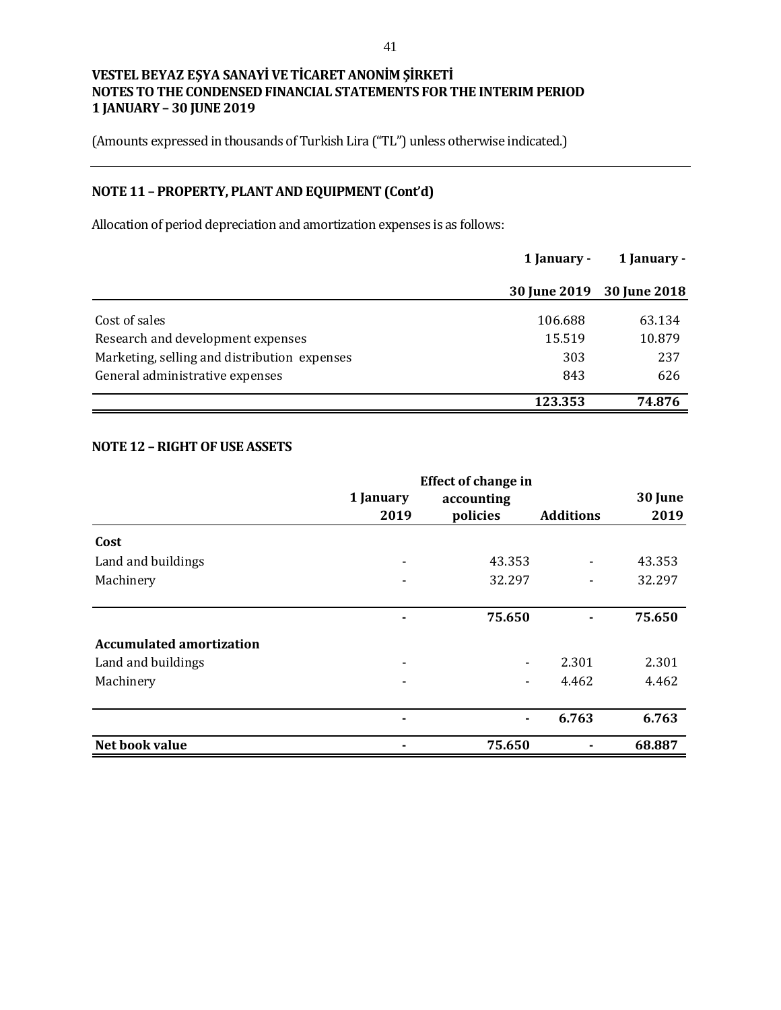(Amounts expressed in thousands of Turkish Lira ("TL") unless otherwise indicated.)

# **NOTE 11 – PROPERTY, PLANT AND EQUIPMENT (Cont'd)**

Allocation of period depreciation and amortization expenses is as follows:

|                                              | 1 January -         | 1 January -  |  |
|----------------------------------------------|---------------------|--------------|--|
|                                              | <b>30 June 2019</b> | 30 June 2018 |  |
| Cost of sales                                | 106.688             | 63.134       |  |
| Research and development expenses            | 15.519              | 10.879       |  |
| Marketing, selling and distribution expenses | 303                 | 237          |  |
| General administrative expenses              | 843                 | 626          |  |
|                                              | 123.353             | 74.876       |  |

#### **NOTE 12 –RIGHT OF USE ASSETS**

|                                 |                | <b>Effect of change in</b> |                  |         |
|---------------------------------|----------------|----------------------------|------------------|---------|
|                                 | 1 January      | accounting                 |                  | 30 June |
|                                 | 2019           | policies                   | <b>Additions</b> | 2019    |
| Cost                            |                |                            |                  |         |
| Land and buildings              |                | 43.353                     |                  | 43.353  |
| Machinery                       |                | 32.297                     |                  | 32.297  |
|                                 |                | 75.650                     | $\blacksquare$   | 75.650  |
| <b>Accumulated amortization</b> |                |                            |                  |         |
| Land and buildings              | -              | $\overline{\phantom{a}}$   | 2.301            | 2.301   |
| Machinery                       |                |                            | 4.462            | 4.462   |
|                                 | $\blacksquare$ | $\blacksquare$             | 6.763            | 6.763   |
| Net book value                  |                | 75.650                     |                  | 68.887  |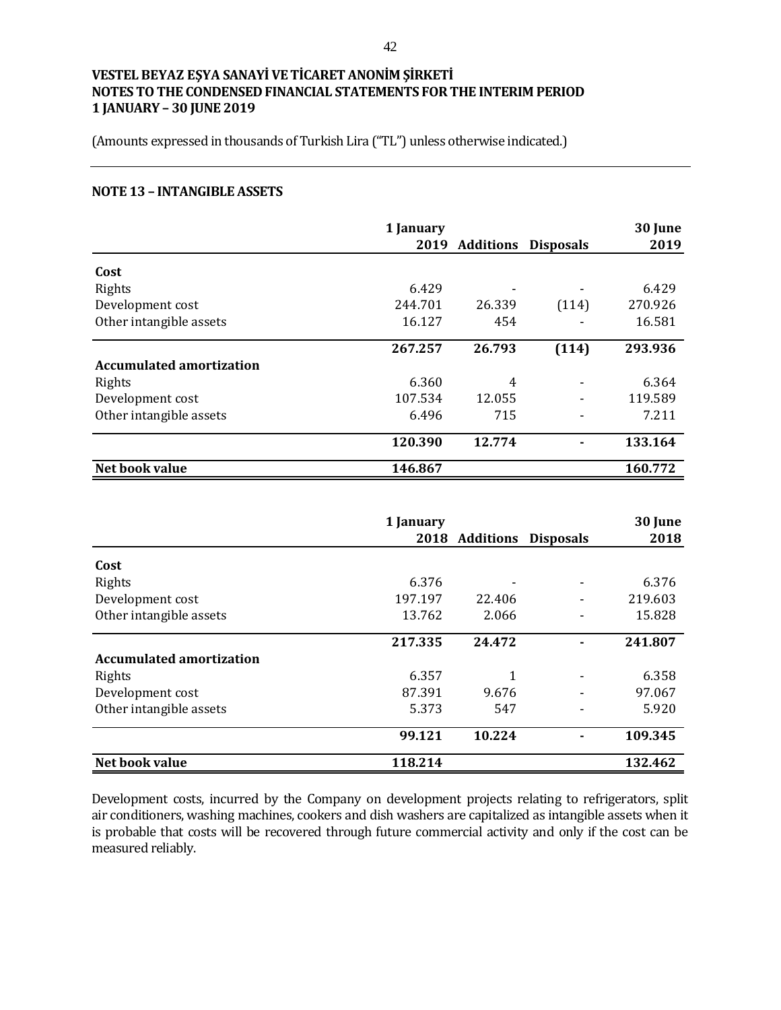(Amounts expressed in thousands of Turkish Lira ("TL") unless otherwise indicated.)

#### **NOTE 13 – INTANGIBLE ASSETS**

|                                 | 1 January<br>2019 | <b>Additions</b> | <b>Disposals</b> | 30 June<br>2019 |
|---------------------------------|-------------------|------------------|------------------|-----------------|
|                                 |                   |                  |                  |                 |
| Cost                            |                   |                  |                  |                 |
| Rights                          | 6.429             |                  |                  | 6.429           |
| Development cost                | 244.701           | 26.339           | (114)            | 270.926         |
| Other intangible assets         | 16.127            | 454              |                  | 16.581          |
|                                 | 267.257           | 26.793           | (114)            | 293.936         |
| <b>Accumulated amortization</b> |                   |                  |                  |                 |
| Rights                          | 6.360             | 4                |                  | 6.364           |
| Development cost                | 107.534           | 12.055           |                  | 119.589         |
| Other intangible assets         | 6.496             | 715              |                  | 7.211           |
|                                 | 120.390           | 12.774           |                  | 133.164         |
| Net book value                  | 146.867           |                  |                  | 160.772         |

|                                 | 1 January |                |                  | 30 June |
|---------------------------------|-----------|----------------|------------------|---------|
|                                 |           | 2018 Additions | <b>Disposals</b> | 2018    |
| Cost                            |           |                |                  |         |
| Rights                          | 6.376     |                |                  | 6.376   |
| Development cost                | 197.197   | 22.406         |                  | 219.603 |
| Other intangible assets         | 13.762    | 2.066          |                  | 15.828  |
|                                 | 217.335   | 24.472         |                  | 241.807 |
| <b>Accumulated amortization</b> |           |                |                  |         |
| Rights                          | 6.357     | 1              |                  | 6.358   |
| Development cost                | 87.391    | 9.676          |                  | 97.067  |
| Other intangible assets         | 5.373     | 547            |                  | 5.920   |
|                                 | 99.121    | 10.224         |                  | 109.345 |
| Net book value                  | 118.214   |                |                  | 132.462 |

Development costs, incurred by the Company on development projects relating to refrigerators, split air conditioners, washing machines, cookers and dish washers are capitalized as intangible assets when it is probable that costs will be recovered through future commercial activity and only if the cost can be measured reliably.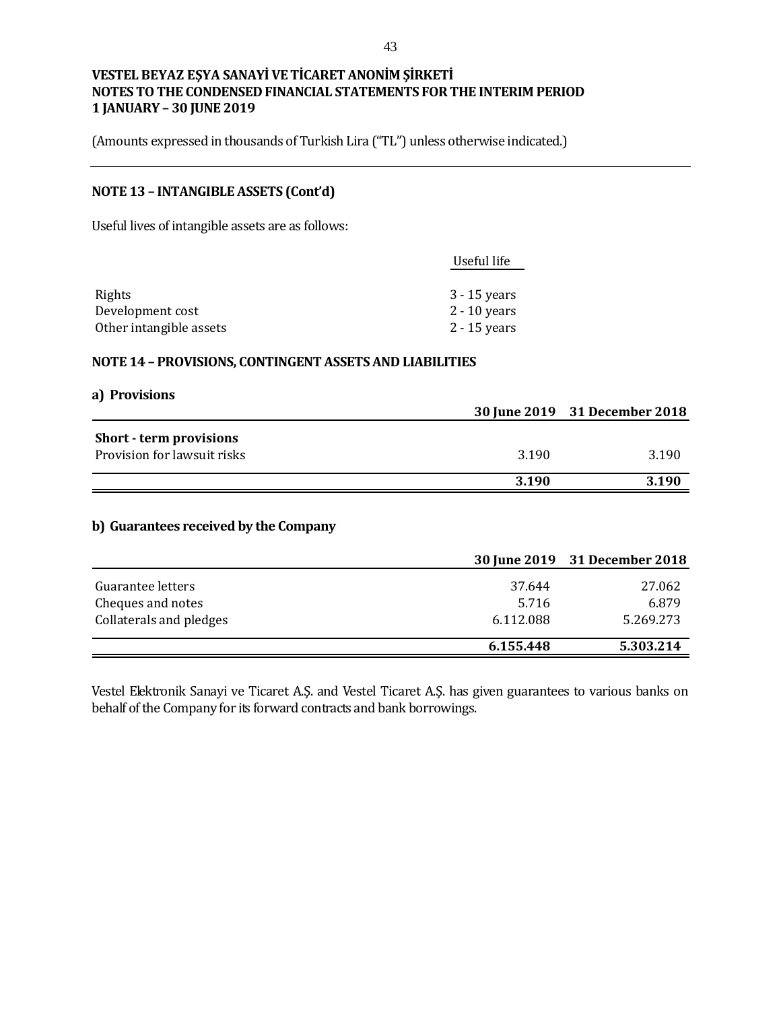(Amounts expressed in thousands of Turkish Lira ("TL") unless otherwise indicated.)

# **NOTE 13 – INTANGIBLE ASSETS (Cont'd)**

Useful lives of intangible assets are as follows:

|                         | Useful life    |
|-------------------------|----------------|
|                         |                |
| Rights                  | $3 - 15$ years |
| Development cost        | $2 - 10$ years |
| Other intangible assets | $2 - 15$ years |

#### **NOTE 14 – PROVISIONS, CONTINGENT ASSETS AND LIABILITIES**

| a) Provisions                  |       |                               |
|--------------------------------|-------|-------------------------------|
|                                |       | 30 June 2019 31 December 2018 |
| <b>Short - term provisions</b> |       |                               |
| Provision for lawsuit risks    | 3.190 | 3.190                         |
|                                |       |                               |
|                                | 3.190 | 3.190                         |

## **b) Guarantees received by the Company**

|                         |           | 30 June 2019 31 December 2018 |
|-------------------------|-----------|-------------------------------|
| Guarantee letters       | 37.644    | 27.062                        |
| Cheques and notes       | 5.716     | 6.879                         |
| Collaterals and pledges | 6.112.088 | 5.269.273                     |
|                         | 6.155.448 | 5.303.214                     |

Vestel Elektronik Sanayi ve Ticaret A.Ş. and Vestel Ticaret A.Ş. has given guarantees to various banks on behalf of the Company for its forward contracts and bank borrowings.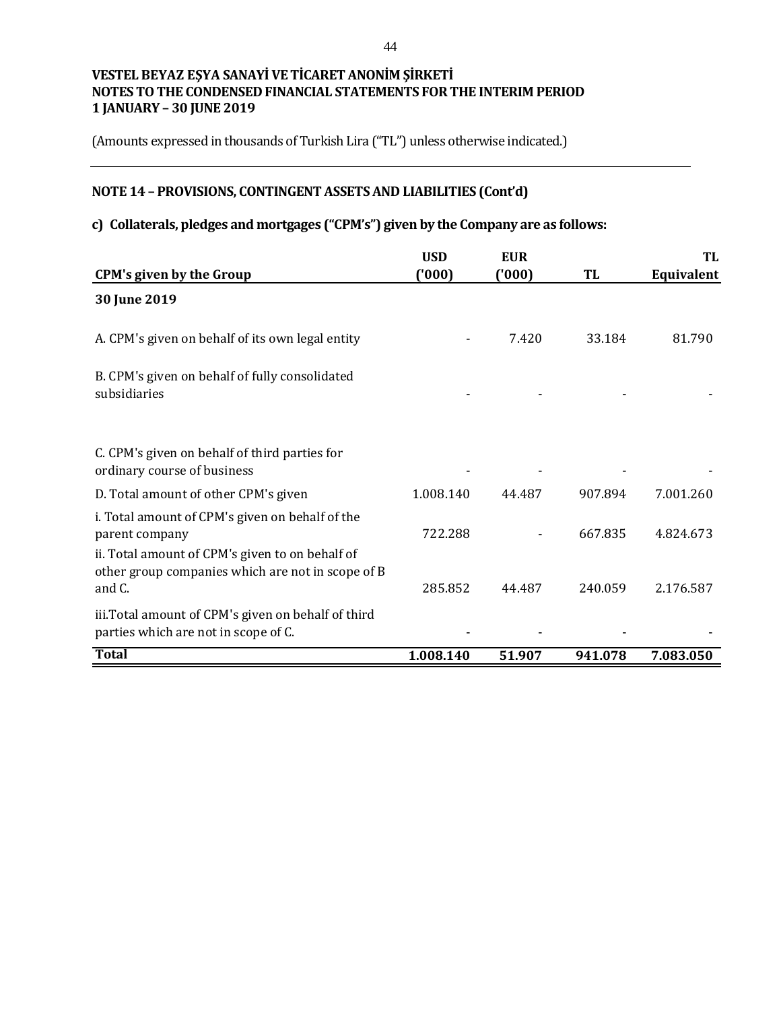(Amounts expressed in thousands of Turkish Lira ("TL") unless otherwise indicated.)

# **NOTE 14 – PROVISIONS, CONTINGENT ASSETS AND LIABILITIES (Cont'd)**

# **c) Collaterals, pledges and mortgages ("CPM's") given by the Company are as follows:**

|                                                                                                                                                                           | <b>USD</b> | <b>EUR</b> |         | TL         |
|---------------------------------------------------------------------------------------------------------------------------------------------------------------------------|------------|------------|---------|------------|
| <b>CPM's given by the Group</b>                                                                                                                                           | (000)      | (000)      | TL      | Equivalent |
| 30 June 2019                                                                                                                                                              |            |            |         |            |
| A. CPM's given on behalf of its own legal entity                                                                                                                          |            | 7.420      | 33.184  | 81.790     |
| B. CPM's given on behalf of fully consolidated<br>subsidiaries                                                                                                            |            |            |         |            |
| C. CPM's given on behalf of third parties for<br>ordinary course of business                                                                                              |            |            |         |            |
| D. Total amount of other CPM's given                                                                                                                                      | 1.008.140  | 44.487     | 907.894 | 7.001.260  |
| i. Total amount of CPM's given on behalf of the<br>parent company<br>ii. Total amount of CPM's given to on behalf of<br>other group companies which are not in scope of B | 722.288    |            | 667.835 | 4.824.673  |
| and C.                                                                                                                                                                    | 285.852    | 44.487     | 240.059 | 2.176.587  |
| iii. Total amount of CPM's given on behalf of third<br>parties which are not in scope of C.                                                                               |            |            |         |            |
| <b>Total</b>                                                                                                                                                              | 1.008.140  | 51.907     | 941.078 | 7.083.050  |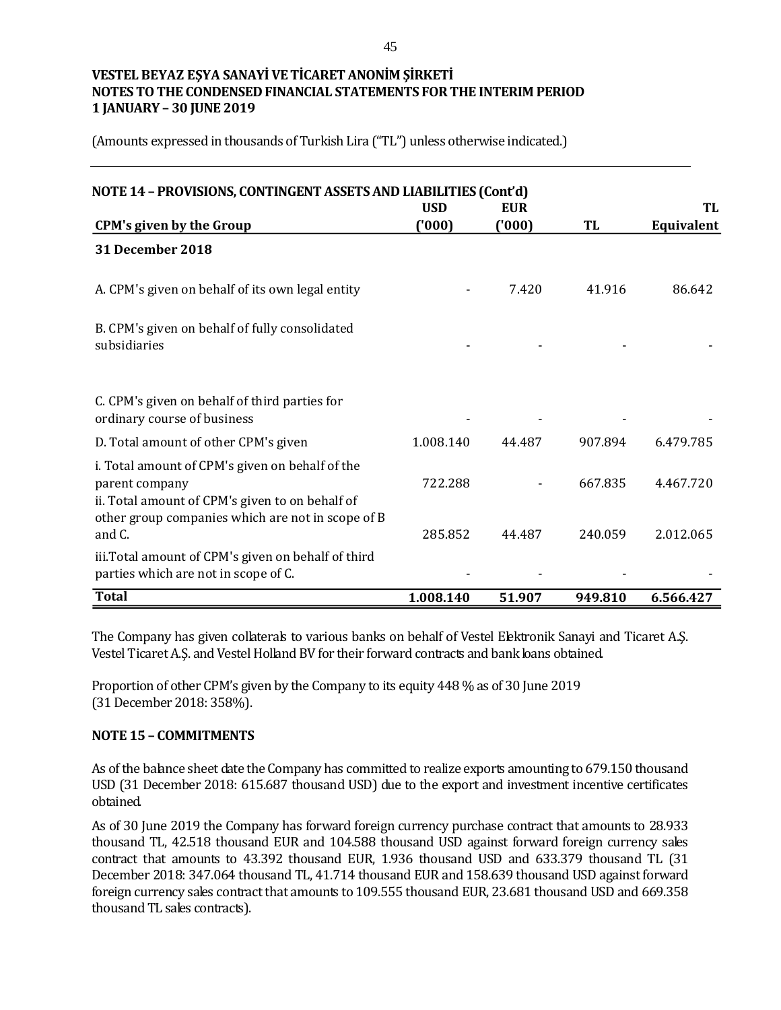(Amounts expressed in thousands of Turkish Lira ("TL") unless otherwise indicated.)

| NOTE 14 - PROVISIONS, CONTINGENT ASSETS AND LIABILITIES (Cont'd)                                                                                                          | <b>USD</b> | <b>EUR</b> |         | TL         |
|---------------------------------------------------------------------------------------------------------------------------------------------------------------------------|------------|------------|---------|------------|
| <b>CPM's given by the Group</b>                                                                                                                                           | (000)      | (000)      | TL      | Equivalent |
| 31 December 2018                                                                                                                                                          |            |            |         |            |
| A. CPM's given on behalf of its own legal entity                                                                                                                          |            | 7.420      | 41.916  | 86.642     |
| B. CPM's given on behalf of fully consolidated<br>subsidiaries                                                                                                            |            |            |         |            |
| C. CPM's given on behalf of third parties for<br>ordinary course of business                                                                                              |            |            |         |            |
| D. Total amount of other CPM's given                                                                                                                                      | 1.008.140  | 44.487     | 907.894 | 6.479.785  |
| i. Total amount of CPM's given on behalf of the<br>parent company<br>ii. Total amount of CPM's given to on behalf of<br>other group companies which are not in scope of B | 722.288    |            | 667.835 | 4.467.720  |
| and C.                                                                                                                                                                    | 285.852    | 44.487     | 240.059 | 2.012.065  |
| iii. Total amount of CPM's given on behalf of third<br>parties which are not in scope of C.                                                                               |            |            |         |            |
| <b>Total</b>                                                                                                                                                              | 1.008.140  | 51.907     | 949.810 | 6.566.427  |

The Company has given collaterals to various banks on behalf of Vestel Elektronik Sanayi and Ticaret A.Ş. Vestel Ticaret A.Ş. and Vestel Holland BV for their forward contracts and bank loans obtained.

Proportion of other CPM's given by the Company to its equity 448 % as of 30 June 2019 (31 December 2018: 358%).

#### **NOTE 15 – COMMITMENTS**

As of the balance sheet date the Company has committed to realize exports amounting to 679.150 thousand USD (31 December 2018: 615.687 thousand USD) due to the export and investment incentive certificates obtained.

As of 30 June 2019 the Company has forward foreign currency purchase contract that amounts to 28.933 thousand TL, 42.518 thousand EUR and 104.588 thousand USD against forward foreign currency sales contract that amounts to 43.392 thousand EUR, 1.936 thousand USD and 633.379 thousand TL (31 December 2018: 347.064 thousand TL, 41.714 thousand EUR and 158.639 thousand USD against forward foreign currency sales contract that amounts to 109.555 thousand EUR, 23.681 thousand USD and 669.358 thousand TL sales contracts).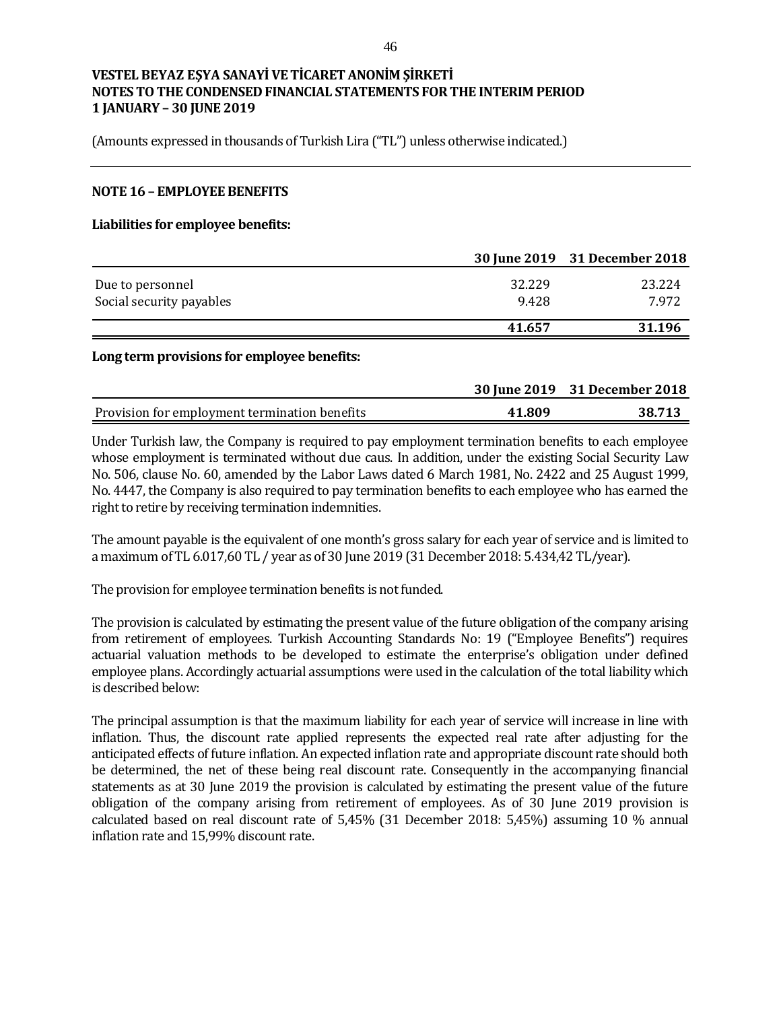(Amounts expressed in thousands of Turkish Lira ("TL") unless otherwise indicated.)

#### **NOTE 16 – EMPLOYEE BENEFITS**

#### **Liabilities for employee benefits:**

|                                              |                 | 30 June 2019 31 December 2018 |
|----------------------------------------------|-----------------|-------------------------------|
| Due to personnel<br>Social security payables | 32.229<br>9.428 | 23.224<br>7.972               |
|                                              | 41.657          | 31.196                        |

#### **Long term provisions for employee benefits:**

|                                               |        | 30 June 2019 31 December 2018 |
|-----------------------------------------------|--------|-------------------------------|
| Provision for employment termination benefits | 41.809 | 38.713                        |

Under Turkish law, the Company is required to pay employment termination benefits to each employee whose employment is terminated without due caus. In addition, under the existing Social Security Law No. 506, clause No. 60, amended by the Labor Laws dated 6 March 1981, No. 2422 and 25 August 1999, No. 4447, the Company is also required to pay termination benefits to each employee who has earned the right to retire by receiving termination indemnities.

The amount payable is the equivalent of one month's gross salary for each year of service and is limited to a maximum of TL 6.017,60 TL / year as of 30 June 2019 (31 December 2018: 5.434,42 TL/year).

The provision for employee termination benefits is not funded.

The provision is calculated by estimating the present value of the future obligation of the company arising from retirement of employees. Turkish Accounting Standards No: 19 ("Employee Benefits") requires actuarial valuation methods to be developed to estimate the enterprise's obligation under defined employee plans. Accordingly actuarial assumptions were used in the calculation of the total liability which is described below:

The principal assumption is that the maximum liability for each year of service will increase in line with inflation. Thus, the discount rate applied represents the expected real rate after adjusting for the anticipated effects of future inflation. An expected inflation rate and appropriate discount rate should both be determined, the net of these being real discount rate. Consequently in the accompanying financial statements as at 30 June 2019 the provision is calculated by estimating the present value of the future obligation of the company arising from retirement of employees. As of 30 June 2019 provision is calculated based on real discount rate of 5,45% (31 December 2018: 5,45%) assuming 10 % annual inflation rate and 15,99% discount rate.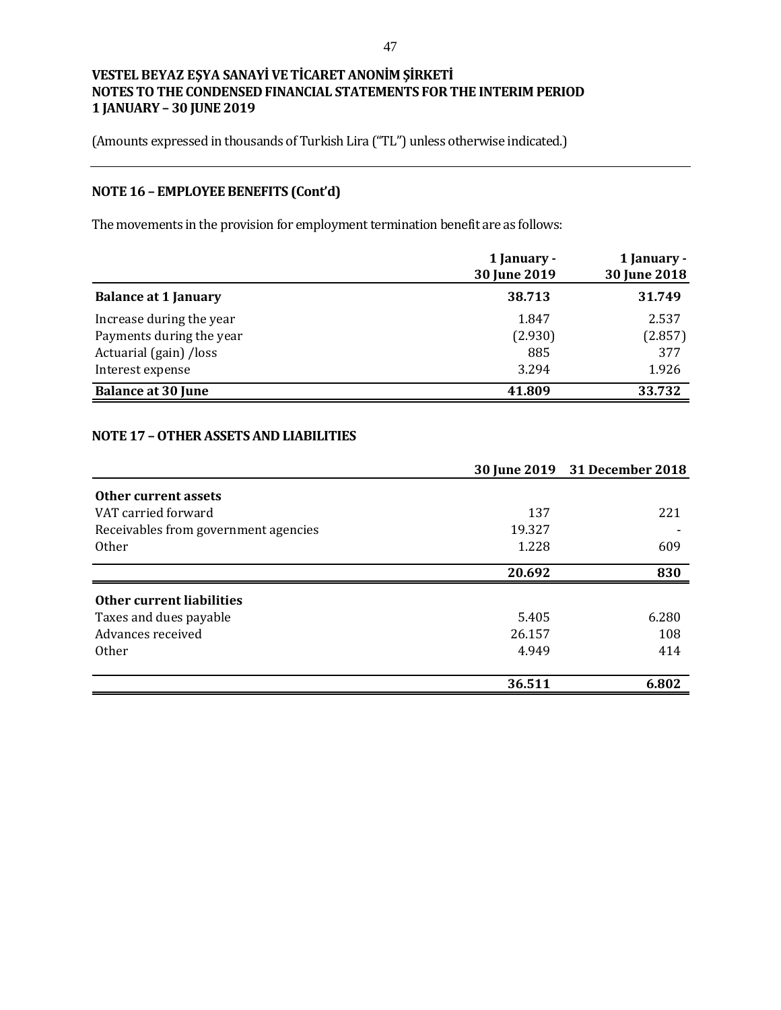(Amounts expressed in thousands of Turkish Lira ("TL") unless otherwise indicated.)

# **NOTE 16 – EMPLOYEE BENEFITS (Cont'd)**

The movements in the provision for employment termination benefit are as follows:

|                             | 1 January -<br>30 June 2019 | 1 January -<br>30 June 2018 |
|-----------------------------|-----------------------------|-----------------------------|
| <b>Balance at 1 January</b> | 38.713                      | 31.749                      |
| Increase during the year    | 1.847                       | 2.537                       |
| Payments during the year    | (2.930)                     | (2.857)                     |
| Actuarial (gain) /loss      | 885                         | 377                         |
| Interest expense            | 3.294                       | 1.926                       |
| <b>Balance at 30 June</b>   | 41.809                      | 33.732                      |

# **NOTE 17 –OTHER ASSETS AND LIABILITIES**

|                                      |        | 30 June 2019 31 December 2018 |
|--------------------------------------|--------|-------------------------------|
| Other current assets                 |        |                               |
| VAT carried forward                  | 137    | 221                           |
| Receivables from government agencies | 19.327 |                               |
| <b>Other</b>                         | 1.228  | 609                           |
|                                      | 20.692 | 830                           |
| Other current liabilities            |        |                               |
| Taxes and dues payable               | 5.405  | 6.280                         |
| Advances received                    | 26.157 | 108                           |
| <b>Other</b>                         | 4.949  | 414                           |
|                                      |        |                               |
|                                      | 36.511 | 6.802                         |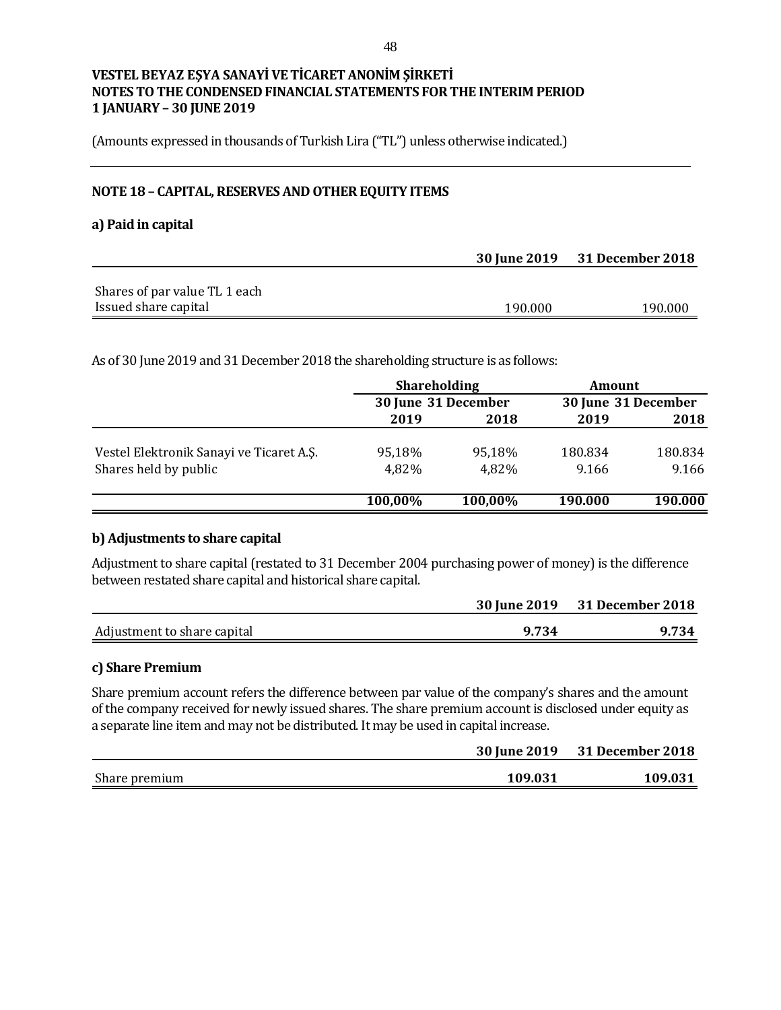(Amounts expressed in thousands of Turkish Lira ("TL") unless otherwise indicated.)

# **NOTE 18 – CAPITAL, RESERVES AND OTHER EQUITY ITEMS**

#### **a) Paid in capital**

|                               |         | 30 June 2019 31 December 2018 |
|-------------------------------|---------|-------------------------------|
|                               |         |                               |
| Shares of par value TL 1 each |         |                               |
| Issued share capital          | 190.000 | 190.000                       |

As of 30 June 2019 and 31 December 2018 the shareholding structure is as follows:

|                                          | <b>Shareholding</b> |                     | <b>Amount</b> |                     |
|------------------------------------------|---------------------|---------------------|---------------|---------------------|
|                                          |                     | 30 June 31 December |               | 30 June 31 December |
|                                          | 2019                | 2018                | 2019          | 2018                |
| Vestel Elektronik Sanayi ve Ticaret A.S. | 95,18%              | 95.18%              | 180.834       | 180.834             |
| Shares held by public                    | 4,82%               | 4,82%               | 9.166         | 9.166               |
|                                          | 100,00%             | 100,00%             | 190.000       | 190.000             |

#### **b) Adjustments to share capital**

Adjustment to share capital (restated to 31 December 2004 purchasing power of money) is the difference between restated share capital and historical share capital.

|                             |       | 30 June 2019 31 December 2018 |
|-----------------------------|-------|-------------------------------|
| Adjustment to share capital | 9.734 | 9.734                         |

#### **c) Share Premium**

Share premium account refers the difference between par value of the company's shares and the amount of the company received for newly issued shares. The share premium account is disclosed under equity as a separate line item and may not be distributed. It may be used in capital increase.

|               | <b>30 June 2019</b> | <b>31 December 2018</b> |
|---------------|---------------------|-------------------------|
| Share premium | 109.031             | 109.031                 |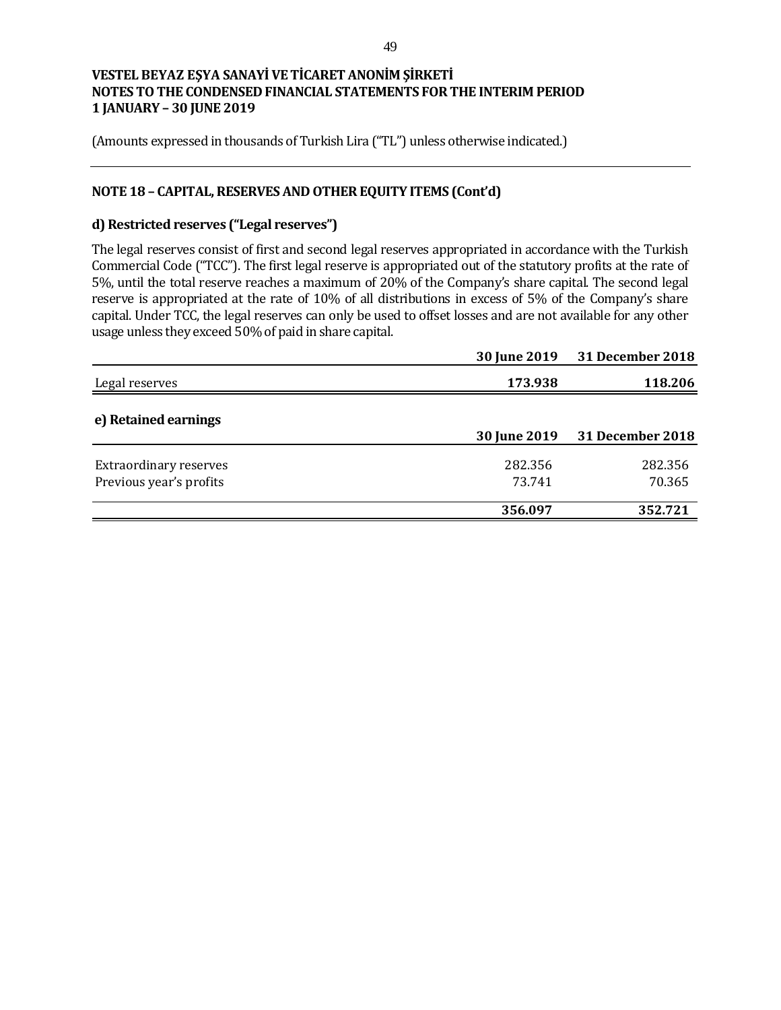(Amounts expressed in thousands of Turkish Lira ("TL") unless otherwise indicated.)

## **NOTE 18 – CAPITAL, RESERVES AND OTHER EQUITY ITEMS (Cont'd)**

# **d) Restricted reserves ("Legal reserves")**

The legal reserves consist of first and second legal reserves appropriated in accordance with the Turkish Commercial Code ("TCC"). The first legal reserve is appropriated out of the statutory profits at the rate of 5%, until the total reserve reaches a maximum of 20% of the Company's share capital. The second legal reserve is appropriated at the rate of 10% of all distributions in excess of 5% of the Company's share capital. Under TCC, the legal reserves can only be used to offset losses and are not available for any other usage unless they exceed 50% of paid in share capital.

|                                                          | <b>30 June 2019</b> | 31 December 2018        |
|----------------------------------------------------------|---------------------|-------------------------|
| Legal reserves                                           | 173.938             | 118.206                 |
| e) Retained earnings                                     | <b>30 June 2019</b> | <b>31 December 2018</b> |
| <b>Extraordinary reserves</b><br>Previous year's profits | 282.356<br>73.741   | 282.356<br>70.365       |
|                                                          | 356.097             | 352.721                 |
|                                                          |                     |                         |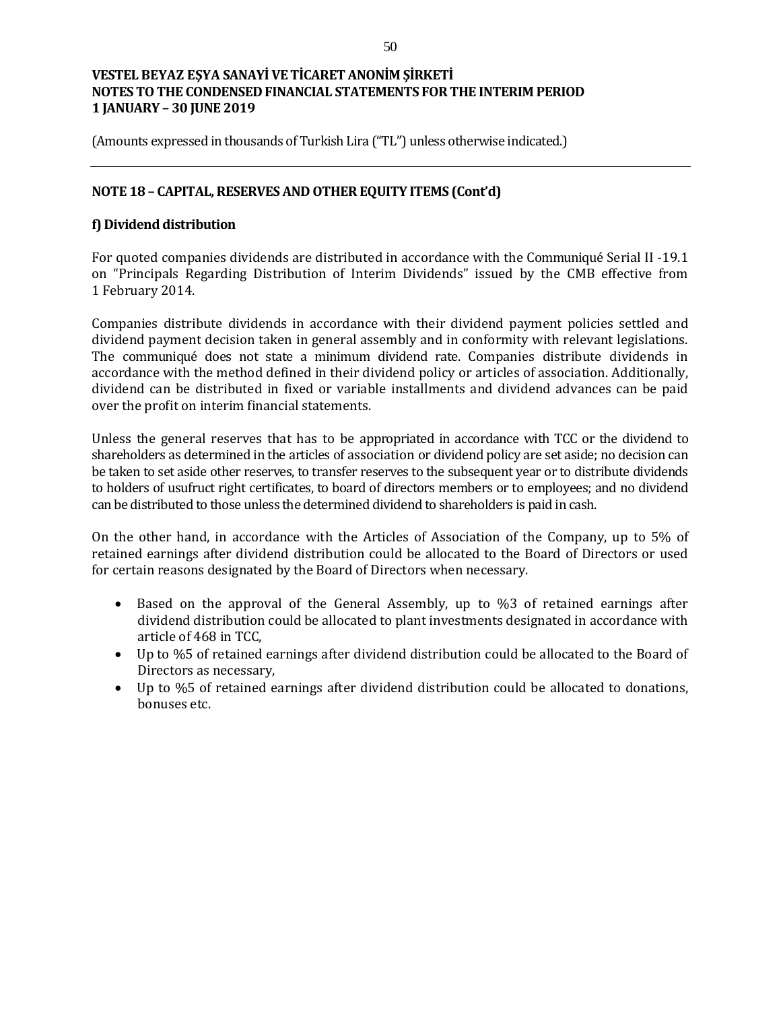(Amounts expressed in thousands of Turkish Lira ("TL") unless otherwise indicated.)

## **NOTE 18 – CAPITAL, RESERVES AND OTHER EQUITY ITEMS (Cont'd)**

## **f) Dividend distribution**

For quoted companies dividends are distributed in accordance with the Communiqué Serial II -19.1 on "Principals Regarding Distribution of Interim Dividends" issued by the CMB effective from 1 February 2014.

Companies distribute dividends in accordance with their dividend payment policies settled and dividend payment decision taken in general assembly and in conformity with relevant legislations. The communiqué does not state a minimum dividend rate. Companies distribute dividends in accordance with the method defined in their dividend policy or articles of association. Additionally, dividend can be distributed in fixed or variable installments and dividend advances can be paid over the profit on interim financial statements.

Unless the general reserves that has to be appropriated in accordance with TCC or the dividend to shareholders as determined in the articles of association or dividend policy are set aside; no decision can be taken to set aside other reserves, to transfer reserves to the subsequent year or to distribute dividends to holders of usufruct right certificates, to board of directors members or to employees; and no dividend can be distributed to those unless the determined dividend to shareholders is paid in cash.

On the other hand, in accordance with the Articles of Association of the Company, up to 5% of retained earnings after dividend distribution could be allocated to the Board of Directors or used for certain reasons designated by the Board of Directors when necessary.

- Based on the approval of the General Assembly, up to %3 of retained earnings after dividend distribution could be allocated to plant investments designated in accordance with article of 468 in TCC,
- Up to %5 of retained earnings after dividend distribution could be allocated to the Board of Directors as necessary,
- Up to %5 of retained earnings after dividend distribution could be allocated to donations, bonuses etc.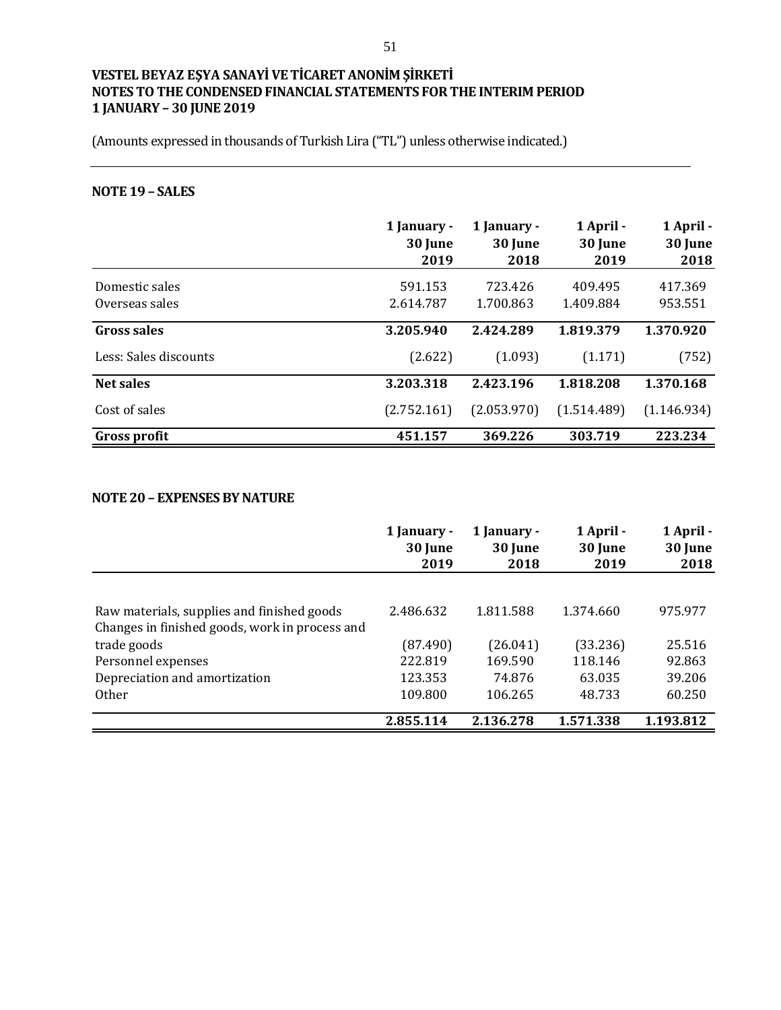(Amounts expressed in thousands of Turkish Lira ("TL") unless otherwise indicated.)

# **NOTE 19 – SALES**

|                       | 1 January -<br>30 June<br>2019 | 1 January -<br>30 June<br>2018 | 1 April -<br>30 June<br>2019 | 1 April -<br>30 June<br>2018 |
|-----------------------|--------------------------------|--------------------------------|------------------------------|------------------------------|
| Domestic sales        | 591.153                        | 723.426                        | 409.495                      | 417.369                      |
| Overseas sales        | 2.614.787                      | 1.700.863                      | 1.409.884                    | 953.551                      |
| Gross sales           | 3.205.940                      | 2.424.289                      | 1.819.379                    | 1.370.920                    |
| Less: Sales discounts | (2.622)                        | (1.093)                        | (1.171)                      | (752)                        |
| <b>Net sales</b>      | 3.203.318                      | 2.423.196                      | 1.818.208                    | 1.370.168                    |
| Cost of sales         | (2.752.161)                    | (2.053.970)                    | (1.514.489)                  | (1.146.934)                  |
| <b>Gross profit</b>   | 451.157                        | 369.226                        | 303.719                      | 223.234                      |

### **NOTE 20 – EXPENSES BY NATURE**

|                                                                                              | 1 January -<br>30 June<br>2019 | 1 January -<br>30 June<br>2018 | 1 April -<br>30 June<br>2019 | 1 April -<br>30 June<br>2018 |
|----------------------------------------------------------------------------------------------|--------------------------------|--------------------------------|------------------------------|------------------------------|
|                                                                                              |                                |                                |                              |                              |
| Raw materials, supplies and finished goods<br>Changes in finished goods, work in process and | 2.486.632                      | 1.811.588                      | 1.374.660                    | 975.977                      |
| trade goods                                                                                  | (87.490)                       | (26.041)                       | (33.236)                     | 25.516                       |
| Personnel expenses                                                                           | 222.819                        | 169.590                        | 118.146                      | 92.863                       |
| Depreciation and amortization                                                                | 123.353                        | 74.876                         | 63.035                       | 39.206                       |
| <b>Other</b>                                                                                 | 109.800                        | 106.265                        | 48.733                       | 60.250                       |
|                                                                                              | 2.855.114                      | 2.136.278                      | 1.571.338                    | 1.193.812                    |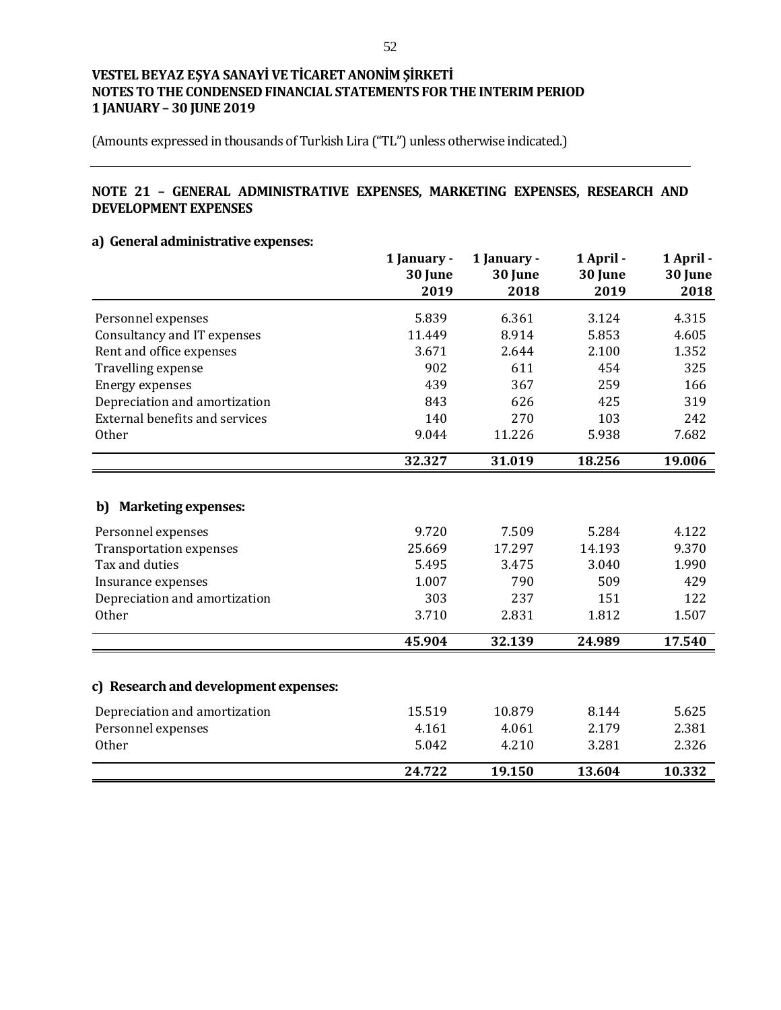(Amounts expressed in thousands of Turkish Lira ("TL") unless otherwise indicated.)

# **NOTE 21 – GENERAL ADMINISTRATIVE EXPENSES, MARKETING EXPENSES, RESEARCH AND DEVELOPMENT EXPENSES**

# **a) General administrative expenses:**

|                                       | 1 January -<br>30 June<br>2019 | 1 January -<br>30 June<br>2018 | 1 April -<br>30 June<br>2019 | 1 April -<br>30 June<br>2018 |
|---------------------------------------|--------------------------------|--------------------------------|------------------------------|------------------------------|
| Personnel expenses                    | 5.839                          | 6.361                          | 3.124                        | 4.315                        |
| Consultancy and IT expenses           | 11.449                         | 8.914                          | 5.853                        | 4.605                        |
| Rent and office expenses              | 3.671                          | 2.644                          | 2.100                        | 1.352                        |
| Travelling expense                    | 902                            | 611                            | 454                          | 325                          |
| <b>Energy expenses</b>                | 439                            | 367                            | 259                          | 166                          |
| Depreciation and amortization         | 843                            | 626                            | 425                          | 319                          |
| <b>External benefits and services</b> | 140                            | 270                            | 103                          | 242                          |
| Other                                 | 9.044                          | 11.226                         | 5.938                        | 7.682                        |
|                                       | 32.327                         | 31.019                         | 18.256                       | 19.006                       |
| <b>Marketing expenses:</b><br>b)      |                                |                                |                              |                              |
| Personnel expenses                    | 9.720                          | 7.509                          | 5.284                        | 4.122                        |
| <b>Transportation expenses</b>        | 25.669                         | 17.297                         | 14.193                       | 9.370                        |
| Tax and duties                        | 5.495                          | 3.475                          | 3.040                        | 1.990                        |
| Insurance expenses                    | 1.007                          | 790                            | 509                          | 429                          |
| Depreciation and amortization         | 303                            | 237                            | 151                          | 122                          |
| <b>Other</b>                          | 3.710                          | 2.831                          | 1.812                        | 1.507                        |
|                                       | 45.904                         | 32.139                         | 24.989                       | 17.540                       |
| c) Research and development expenses: |                                |                                |                              |                              |
| Depreciation and amortization         | 15.519                         | 10.879                         | 8.144                        | 5.625                        |
| Personnel expenses                    | 4.161                          | 4.061                          | 2.179                        | 2.381                        |
| Other                                 | 5.042                          | 4.210                          | 3.281                        | 2.326                        |
|                                       | 24.722                         | 19.150                         | 13.604                       | 10.332                       |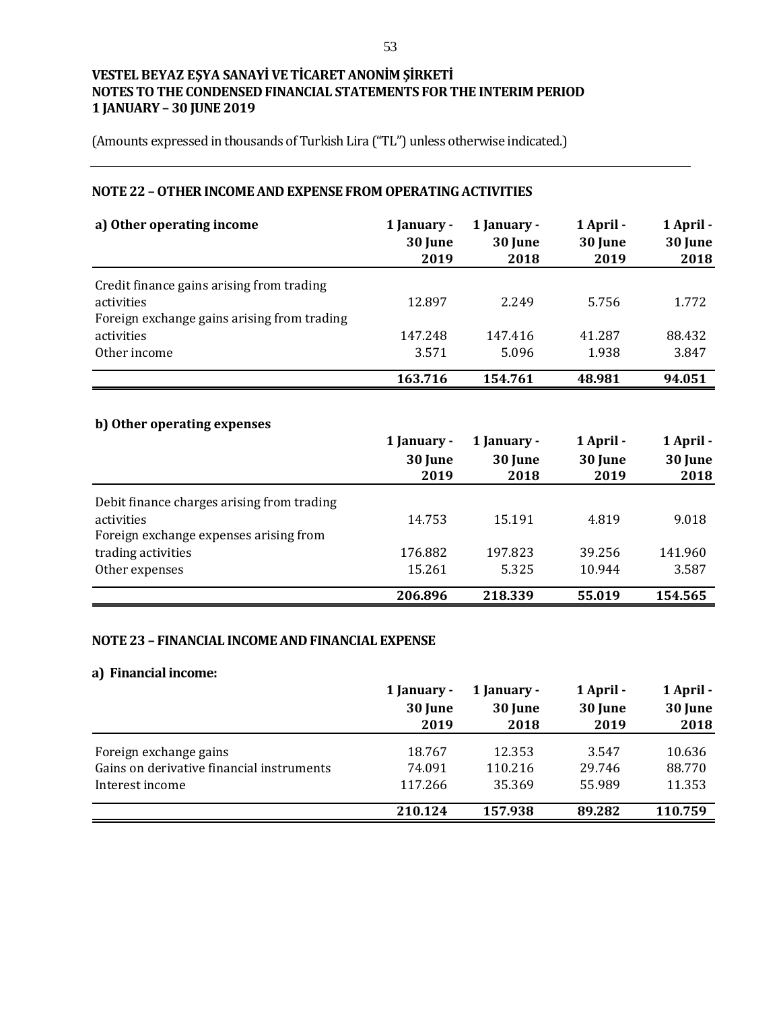(Amounts expressed in thousands of Turkish Lira ("TL") unless otherwise indicated.)

# **NOTE 22 –OTHER INCOME AND EXPENSE FROM OPERATING ACTIVITIES**

| a) Other operating income                                                                              | 1 January -<br>30 June<br>2019 | 1 January -<br>30 June<br>2018 | 1 April -<br>30 June<br>2019 | 1 April -<br>30 June<br>2018 |
|--------------------------------------------------------------------------------------------------------|--------------------------------|--------------------------------|------------------------------|------------------------------|
| Credit finance gains arising from trading<br>activities<br>Foreign exchange gains arising from trading | 12.897                         | 2.249                          | 5.756                        | 1.772                        |
| activities                                                                                             | 147.248                        | 147.416                        | 41.287                       | 88.432                       |
| Other income                                                                                           | 3.571                          | 5.096                          | 1.938                        | 3.847                        |
|                                                                                                        | 163.716                        | 154.761                        | 48.981                       | 94.051                       |

# **b) Other operating expenses**

|                                            | 1 January -     | 1 January -     | 1 April -       | 1 April -       |  |
|--------------------------------------------|-----------------|-----------------|-----------------|-----------------|--|
|                                            | 30 June<br>2019 | 30 June<br>2018 | 30 June<br>2019 | 30 June<br>2018 |  |
| Debit finance charges arising from trading |                 |                 |                 |                 |  |
| activities                                 | 14.753          | 15.191          | 4.819           | 9.018           |  |
| Foreign exchange expenses arising from     |                 |                 |                 |                 |  |
| trading activities                         | 176.882         | 197.823         | 39.256          | 141.960         |  |
| Other expenses                             | 15.261          | 5.325           | 10.944          | 3.587           |  |
|                                            | 206.896         | 218.339         | 55.019          | 154.565         |  |

#### **NOTE 23 – FINANCIAL INCOME AND FINANCIAL EXPENSE**

#### **a) Financial income:**

|                                           | 1 January - | 1 April -<br>1 January - |         | 1 April - |  |
|-------------------------------------------|-------------|--------------------------|---------|-----------|--|
|                                           | 30 June     | 30 June                  | 30 June | 30 June   |  |
|                                           | 2019        | 2018                     | 2019    | 2018      |  |
| Foreign exchange gains                    | 18.767      | 12.353                   | 3.547   | 10.636    |  |
| Gains on derivative financial instruments | 74.091      | 110.216                  | 29.746  | 88.770    |  |
| Interest income                           | 117.266     | 35.369                   | 55.989  | 11.353    |  |
|                                           | 210.124     | 157.938                  | 89.282  | 110.759   |  |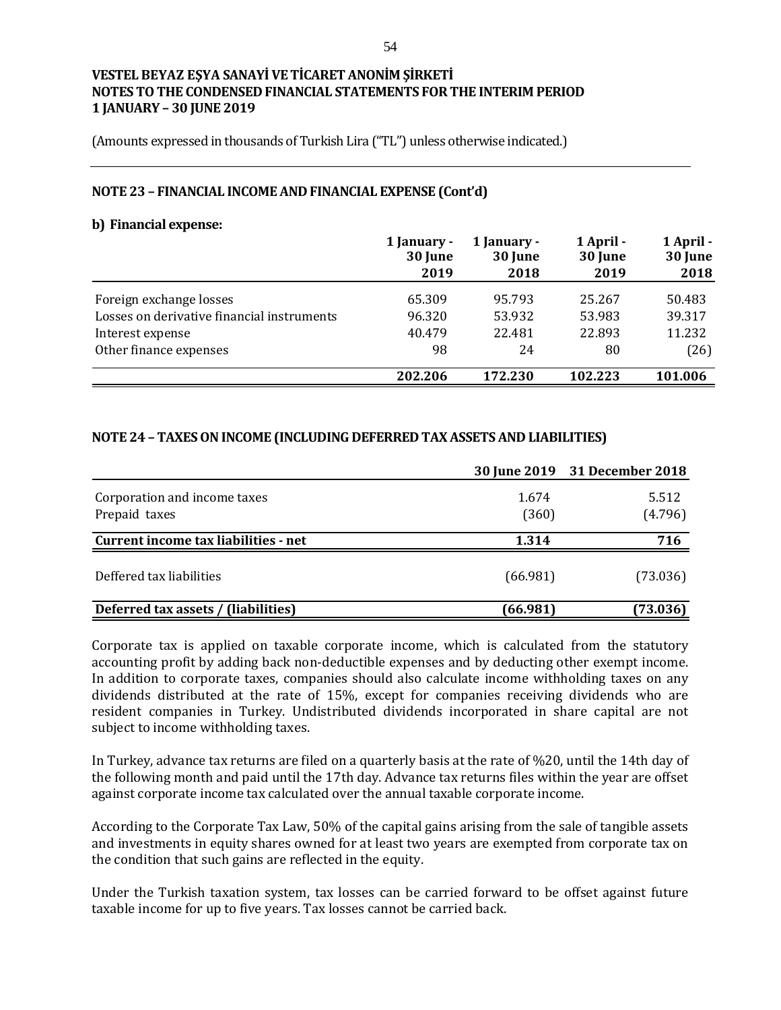(Amounts expressed in thousands of Turkish Lira ("TL") unless otherwise indicated.)

#### **NOTE 23 – FINANCIAL INCOME AND FINANCIAL EXPENSE (Cont'd)**

#### **b) Financial expense:**

|                                            | 1 January -<br>30 June<br>2019 | 1 January -<br>30 June<br>2018 | 1 April -<br>30 June<br>2019 | 1 April -<br>30 June<br>2018 |
|--------------------------------------------|--------------------------------|--------------------------------|------------------------------|------------------------------|
| Foreign exchange losses                    | 65.309                         | 95.793                         | 25.267                       | 50.483                       |
| Losses on derivative financial instruments | 96.320                         | 53.932                         | 53.983                       | 39.317                       |
| Interest expense                           | 40.479                         | 22.481                         | 22.893                       | 11.232                       |
| Other finance expenses                     | 98                             | 24                             | 80                           | (26)                         |
|                                            | 202.206                        | 172.230                        | 102.223                      | 101.006                      |

#### **NOTE 24 – TAXES ON INCOME (INCLUDING DEFERRED TAX ASSETS AND LIABILITIES)**

|                                      |          | 30 June 2019 31 December 2018 |
|--------------------------------------|----------|-------------------------------|
| Corporation and income taxes         | 1.674    | 5.512                         |
| Prepaid taxes                        | (360)    | (4.796)                       |
| Current income tax liabilities - net | 1.314    | 716                           |
| Deffered tax liabilities             | (66.981) | (73.036)                      |
| Deferred tax assets / (liabilities)  | (66.981) | (73.036)                      |

Corporate tax is applied on taxable corporate income, which is calculated from the statutory accounting profit by adding back non-deductible expenses and by deducting other exempt income. In addition to corporate taxes, companies should also calculate income withholding taxes on any dividends distributed at the rate of 15%, except for companies receiving dividends who are resident companies in Turkey. Undistributed dividends incorporated in share capital are not subject to income withholding taxes.

In Turkey, advance tax returns are filed on a quarterly basis at the rate of %20, until the 14th day of the following month and paid until the 17th day. Advance tax returns files within the year are offset against corporate income tax calculated over the annual taxable corporate income.

According to the Corporate Tax Law, 50% of the capital gains arising from the sale of tangible assets and investments in equity shares owned for at least two years are exempted from corporate tax on the condition that such gains are reflected in the equity.

Under the Turkish taxation system, tax losses can be carried forward to be offset against future taxable income for up to five years. Tax losses cannot be carried back.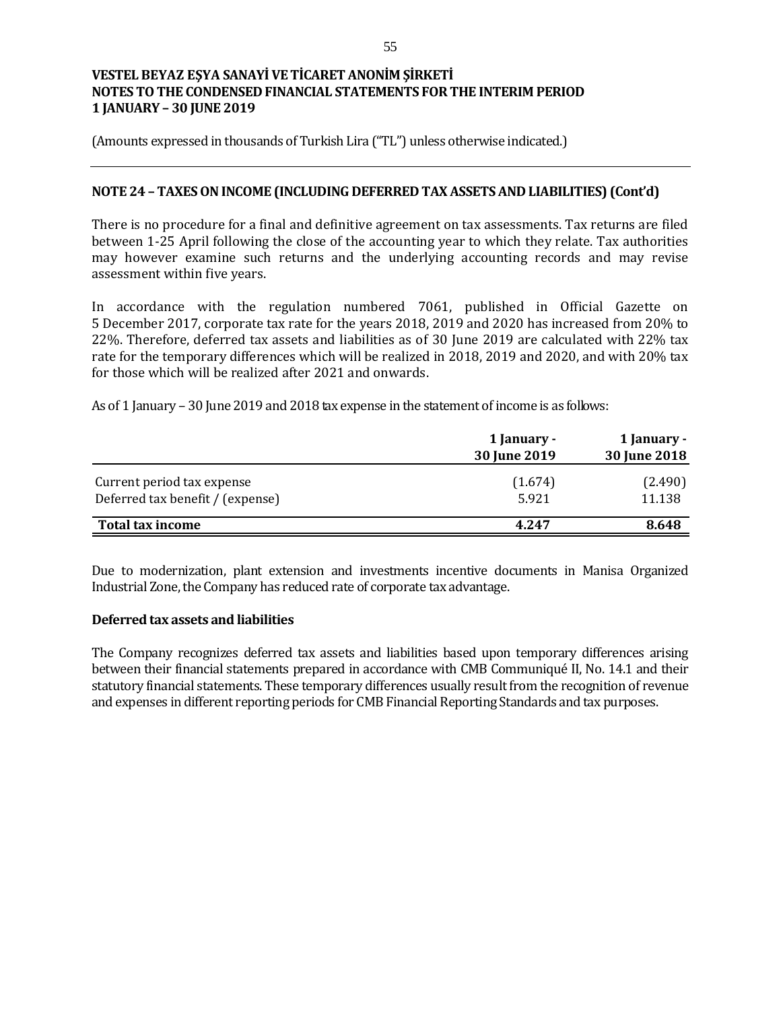(Amounts expressed in thousands of Turkish Lira ("TL") unless otherwise indicated.)

### **NOTE 24 – TAXES ON INCOME (INCLUDING DEFERRED TAX ASSETS AND LIABILITIES) (Cont'd)**

There is no procedure for a final and definitive agreement on tax assessments. Tax returns are filed between 1-25 April following the close of the accounting year to which they relate. Tax authorities may however examine such returns and the underlying accounting records and may revise assessment within five years.

In accordance with the regulation numbered 7061, published in Official Gazette on 5 December 2017, corporate tax rate for the years 2018, 2019 and 2020 has increased from 20% to 22%. Therefore, deferred tax assets and liabilities as of 30 June 2019 are calculated with 22% tax rate for the temporary differences which will be realized in 2018, 2019 and 2020, and with 20% tax for those which will be realized after 2021 and onwards.

As of 1 January – 30 June 2019 and 2018 tax expense in the statement of income is as follows:

|                                                                | 1 January -<br>30 June 2019 | 1 January -<br>30 June 2018 |
|----------------------------------------------------------------|-----------------------------|-----------------------------|
| Current period tax expense<br>Deferred tax benefit / (expense) | (1.674)<br>5.921            | (2.490)<br>11.138           |
| Total tax income                                               | 4.247                       | 8.648                       |

Due to modernization, plant extension and investments incentive documents in Manisa Organized Industrial Zone, the Company has reduced rate of corporate tax advantage.

#### **Deferred tax assets and liabilities**

The Company recognizes deferred tax assets and liabilities based upon temporary differences arising between their financial statements prepared in accordance with CMB Communiqué II, No. 14.1 and their statutory financial statements. These temporary differences usually result from the recognition of revenue and expenses in different reporting periods for CMB Financial Reporting Standards and tax purposes.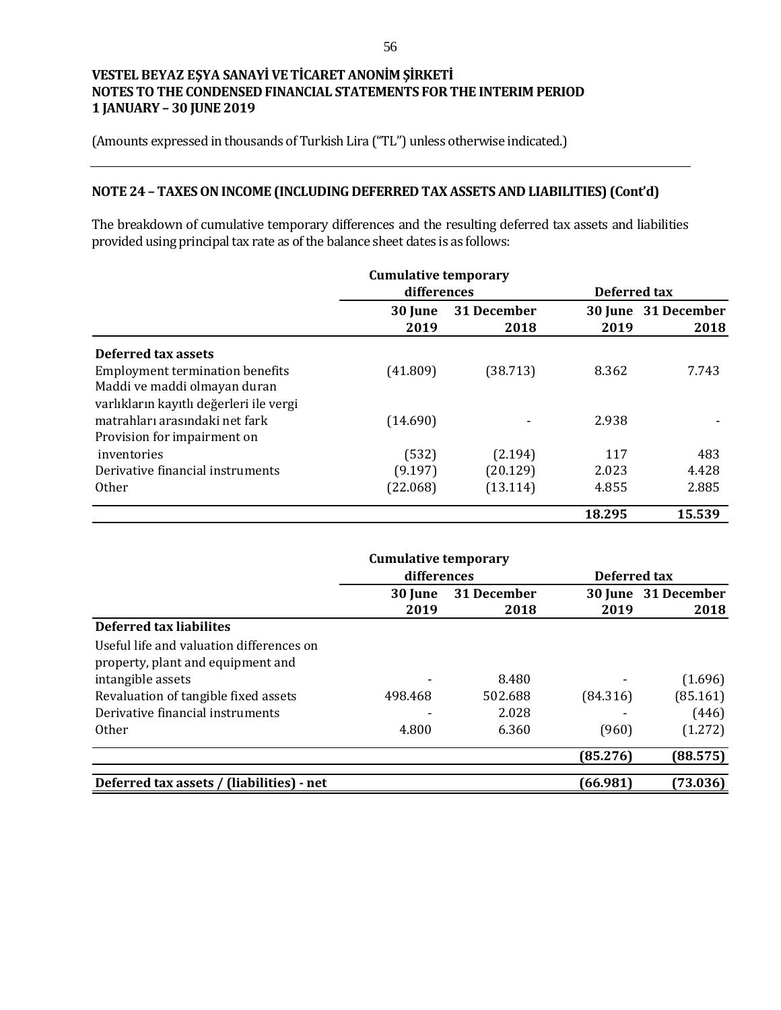(Amounts expressed in thousands of Turkish Lira ("TL") unless otherwise indicated.)

# **NOTE 24 – TAXES ON INCOME (INCLUDING DEFERRED TAX ASSETS AND LIABILITIES) (Cont'd)**

The breakdown of cumulative temporary differences and the resulting deferred tax assets and liabilities provided using principal tax rate as of the balance sheet dates is as follows:

|                                         | <b>Cumulative temporary</b> |                     |              |                             |
|-----------------------------------------|-----------------------------|---------------------|--------------|-----------------------------|
|                                         | differences                 |                     | Deferred tax |                             |
|                                         | 30 June<br>2019             | 31 December<br>2018 | 2019         | 30 June 31 December<br>2018 |
| Deferred tax assets                     |                             |                     |              |                             |
| <b>Employment termination benefits</b>  | (41.809)                    | (38.713)            | 8.362        | 7.743                       |
| Maddi ve maddi olmayan duran            |                             |                     |              |                             |
| varlıkların kayıtlı değerleri ile vergi |                             |                     |              |                             |
| matrahları arasındaki net fark          | (14.690)                    |                     | 2.938        |                             |
| Provision for impairment on             |                             |                     |              |                             |
| inventories                             | (532)                       | (2.194)             | 117          | 483                         |
| Derivative financial instruments        | (9.197)                     | (20.129)            | 2.023        | 4.428                       |
| <b>Other</b>                            | (22.068)                    | (13.114)            | 4.855        | 2.885                       |
|                                         |                             |                     | 18.295       | 15.539                      |

|                                           | <b>Cumulative temporary</b> |         |          |                     |  |
|-------------------------------------------|-----------------------------|---------|----------|---------------------|--|
|                                           | differences                 |         |          | Deferred tax        |  |
|                                           | 31 December<br>30 June      |         |          | 30 June 31 December |  |
|                                           | 2019                        | 2018    | 2019     | 2018                |  |
| <b>Deferred tax liabilites</b>            |                             |         |          |                     |  |
| Useful life and valuation differences on  |                             |         |          |                     |  |
| property, plant and equipment and         |                             |         |          |                     |  |
| intangible assets                         |                             | 8.480   |          | (1.696)             |  |
| Revaluation of tangible fixed assets      | 498.468                     | 502.688 | (84.316) | (85.161)            |  |
| Derivative financial instruments          |                             | 2.028   |          | (446)               |  |
| <b>Other</b>                              | 4.800                       | 6.360   | (960)    | (1.272)             |  |
|                                           |                             |         | (85.276) | (88.575)            |  |
| Deferred tax assets / (liabilities) - net |                             |         | (66.981) | (73.036)            |  |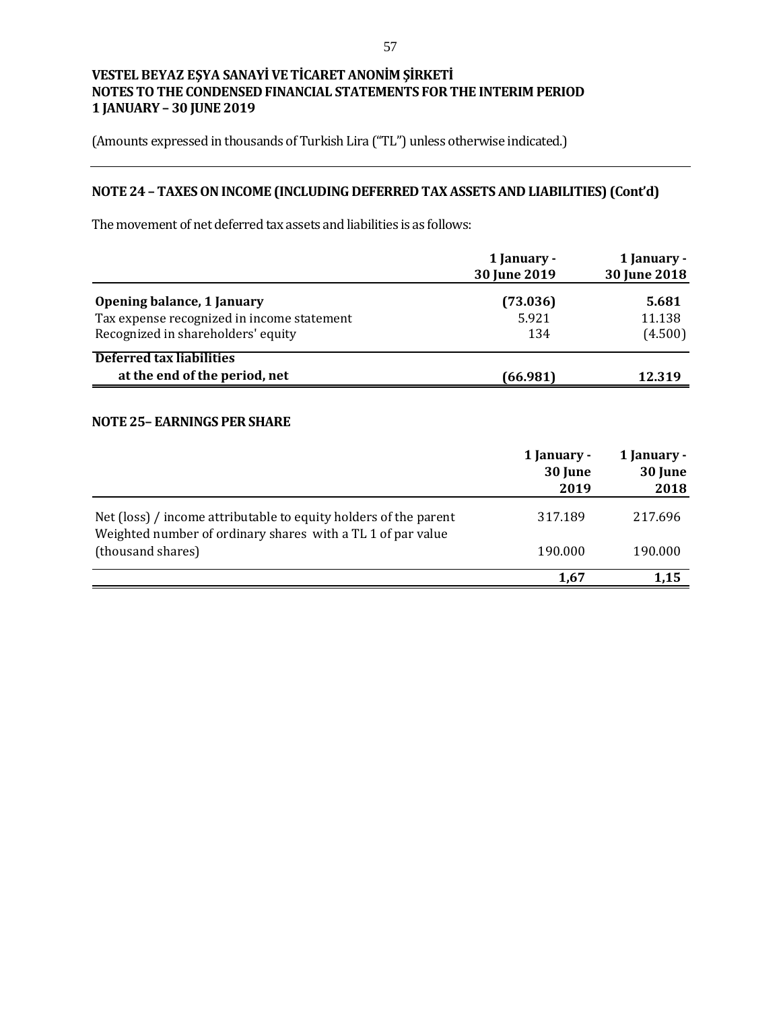(Amounts expressed in thousands of Turkish Lira ("TL") unless otherwise indicated.)

# **NOTE 24 – TAXES ON INCOME (INCLUDING DEFERRED TAX ASSETS AND LIABILITIES) (Cont'd)**

The movement of net deferred tax assets and liabilities is as follows:

|                                                                                                                | 1 January -<br>30 June 2019 | 1 January -<br>30 June 2018 |
|----------------------------------------------------------------------------------------------------------------|-----------------------------|-----------------------------|
| Opening balance, 1 January<br>Tax expense recognized in income statement<br>Recognized in shareholders' equity | (73.036)<br>5.921<br>134    | 5.681<br>11.138<br>(4.500)  |
| <b>Deferred tax liabilities</b><br>at the end of the period, net                                               | (66.981)                    | 12.319                      |

## **NOTE 25– EARNINGS PER SHARE**

|                                                                                                                                 | 1 January -<br>30 June<br>2019 | 1 January -<br>30 June<br>2018 |
|---------------------------------------------------------------------------------------------------------------------------------|--------------------------------|--------------------------------|
| Net (loss) / income attributable to equity holders of the parent<br>Weighted number of ordinary shares with a TL 1 of par value | 317.189                        | 217.696                        |
| (thousand shares)                                                                                                               | 190.000                        | 190.000                        |
|                                                                                                                                 | 1.67                           | 1,15                           |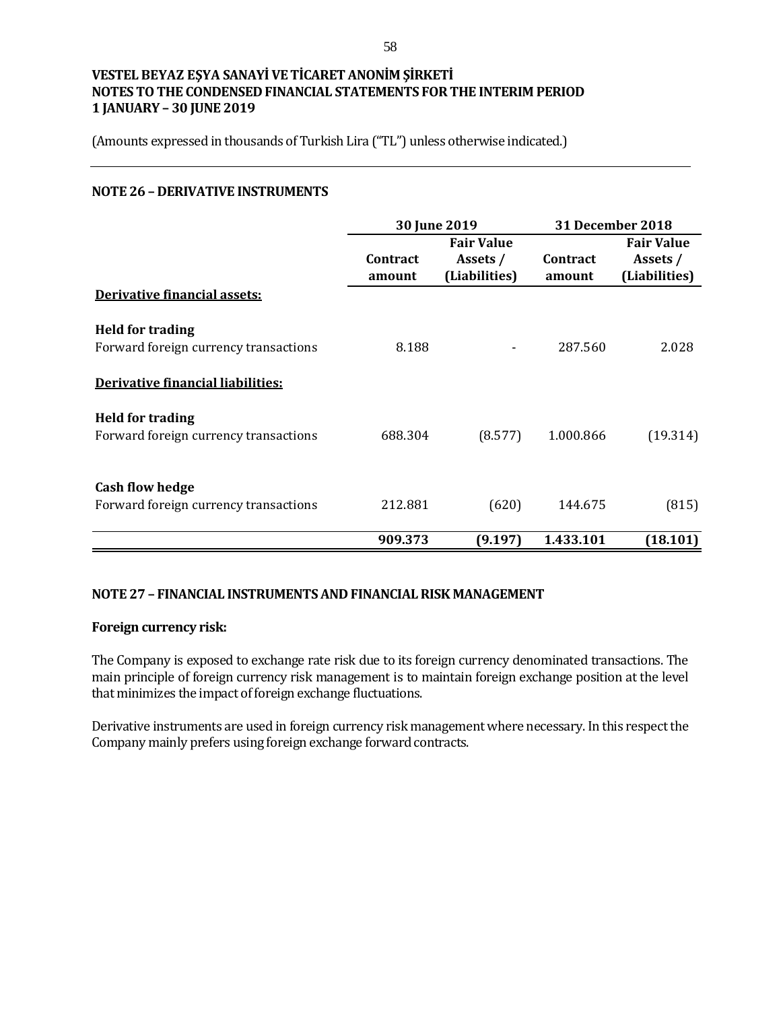(Amounts expressed in thousands of Turkish Lira ("TL") unless otherwise indicated.)

### **NOTE 26 – DERIVATIVE INSTRUMENTS**

|                                       | 30 June 2019 |                   | <b>31 December 2018</b> |                   |
|---------------------------------------|--------------|-------------------|-------------------------|-------------------|
|                                       |              | <b>Fair Value</b> |                         | <b>Fair Value</b> |
|                                       | Contract     | Assets /          | Contract                | Assets /          |
|                                       | amount       | (Liabilities)     | amount                  | (Liabilities)     |
| Derivative financial assets:          |              |                   |                         |                   |
| <b>Held for trading</b>               |              |                   |                         |                   |
| Forward foreign currency transactions | 8.188        |                   | 287.560                 | 2.028             |
| Derivative financial liabilities:     |              |                   |                         |                   |
| <b>Held for trading</b>               |              |                   |                         |                   |
| Forward foreign currency transactions | 688.304      | (8.577)           | 1.000.866               | (19.314)          |
|                                       |              |                   |                         |                   |
| <b>Cash flow hedge</b>                |              |                   |                         |                   |
| Forward foreign currency transactions | 212.881      | (620)             | 144.675                 | (815)             |
|                                       | 909.373      | (9.197)           | 1.433.101               | (18.101)          |

## **NOTE 27 – FINANCIAL INSTRUMENTS AND FINANCIAL RISK MANAGEMENT**

### **Foreign currency risk:**

The Company is exposed to exchange rate risk due to its foreign currency denominated transactions. The main principle of foreign currency risk management is to maintain foreign exchange position at the level that minimizes the impact of foreign exchange fluctuations.

Derivative instruments are used in foreign currency risk management where necessary. In this respect the Company mainly prefers using foreign exchange forward contracts.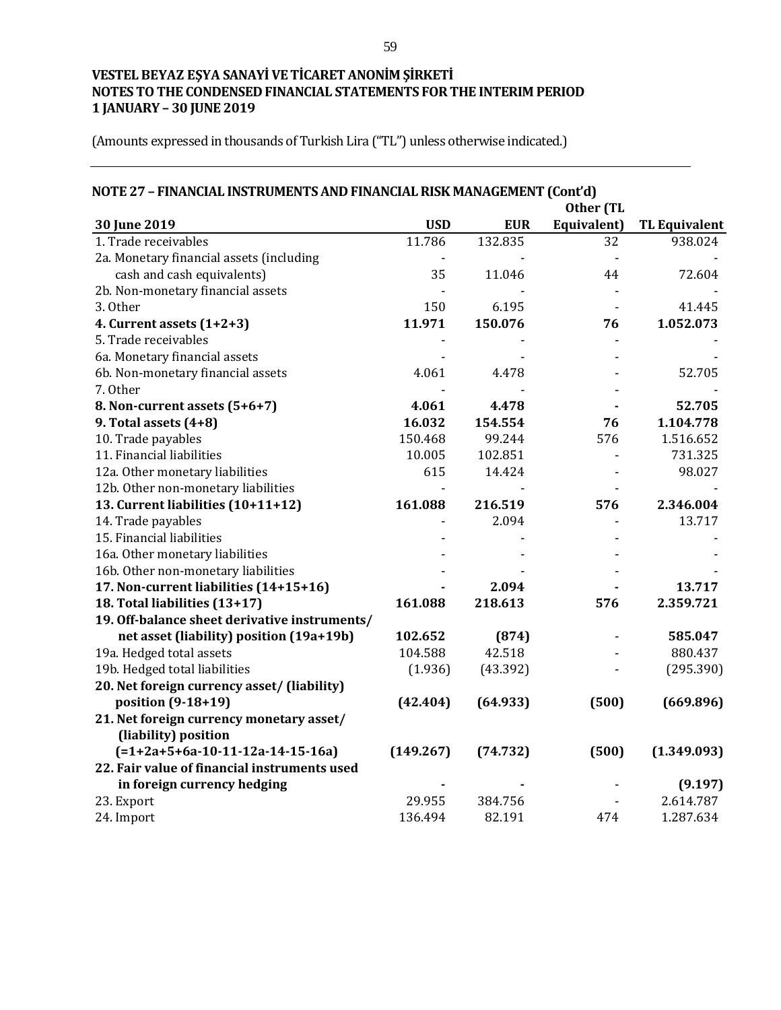| NOTE 27 - FINANCIAL INSTRUMENTS AND FINANCIAL RISK MANAGEMENT (Cont'd) |            |            |             |                      |
|------------------------------------------------------------------------|------------|------------|-------------|----------------------|
| Other (TL                                                              |            |            |             |                      |
| 30 June 2019                                                           | <b>USD</b> | <b>EUR</b> | Equivalent) | <b>TL Equivalent</b> |
| 1. Trade receivables                                                   | 11.786     | 132.835    | 32          | 938.024              |
| 2a. Monetary financial assets (including                               |            |            |             |                      |
| cash and cash equivalents)                                             | 35         | 11.046     | 44          | 72.604               |
| 2b. Non-monetary financial assets                                      |            |            |             |                      |
| 3. Other                                                               | 150        | 6.195      |             | 41.445               |
| 4. Current assets (1+2+3)                                              | 11.971     | 150.076    | 76          | 1.052.073            |
| 5. Trade receivables                                                   |            |            |             |                      |
| 6a. Monetary financial assets                                          |            |            |             |                      |
| 6b. Non-monetary financial assets                                      | 4.061      | 4.478      |             | 52.705               |
| 7. Other                                                               |            |            |             |                      |
| 8. Non-current assets (5+6+7)                                          | 4.061      | 4.478      |             | 52.705               |
| 9. Total assets (4+8)                                                  | 16.032     | 154.554    | 76          | 1.104.778            |
| 10. Trade payables                                                     | 150.468    | 99.244     | 576         | 1.516.652            |
| 11. Financial liabilities                                              | 10.005     | 102.851    |             | 731.325              |
| 12a. Other monetary liabilities                                        | 615        | 14.424     |             | 98.027               |
| 12b. Other non-monetary liabilities                                    |            |            |             |                      |
| 13. Current liabilities (10+11+12)                                     | 161.088    | 216.519    | 576         | 2.346.004            |
| 14. Trade payables                                                     |            | 2.094      |             | 13.717               |
| 15. Financial liabilities                                              |            |            |             |                      |
| 16a. Other monetary liabilities                                        |            |            |             |                      |
| 16b. Other non-monetary liabilities                                    |            |            |             |                      |
| 17. Non-current liabilities (14+15+16)                                 |            | 2.094      |             | 13.717               |
| 18. Total liabilities (13+17)                                          | 161.088    | 218.613    | 576         | 2.359.721            |
| 19. Off-balance sheet derivative instruments/                          |            |            |             |                      |
| net asset (liability) position (19a+19b)                               | 102.652    | (874)      |             | 585.047              |
| 19a. Hedged total assets                                               | 104.588    | 42.518     |             | 880.437              |
| 19b. Hedged total liabilities                                          | (1.936)    | (43.392)   |             | (295.390)            |
| 20. Net foreign currency asset/ (liability)                            |            |            |             |                      |
| position (9-18+19)                                                     | (42.404)   | (64.933)   | (500)       | (669.896)            |
| 21. Net foreign currency monetary asset/                               |            |            |             |                      |
| (liability) position                                                   |            |            |             |                      |
| $(=1+2a+5+6a-10-11-12a-14-15-16a)$                                     | (149.267)  | (74.732)   | (500)       | (1.349.093)          |
| 22. Fair value of financial instruments used                           |            |            |             |                      |
| in foreign currency hedging                                            |            |            |             | (9.197)              |
| 23. Export                                                             | 29.955     | 384.756    |             | 2.614.787            |
| 24. Import                                                             | 136.494    | 82.191     | 474         | 1.287.634            |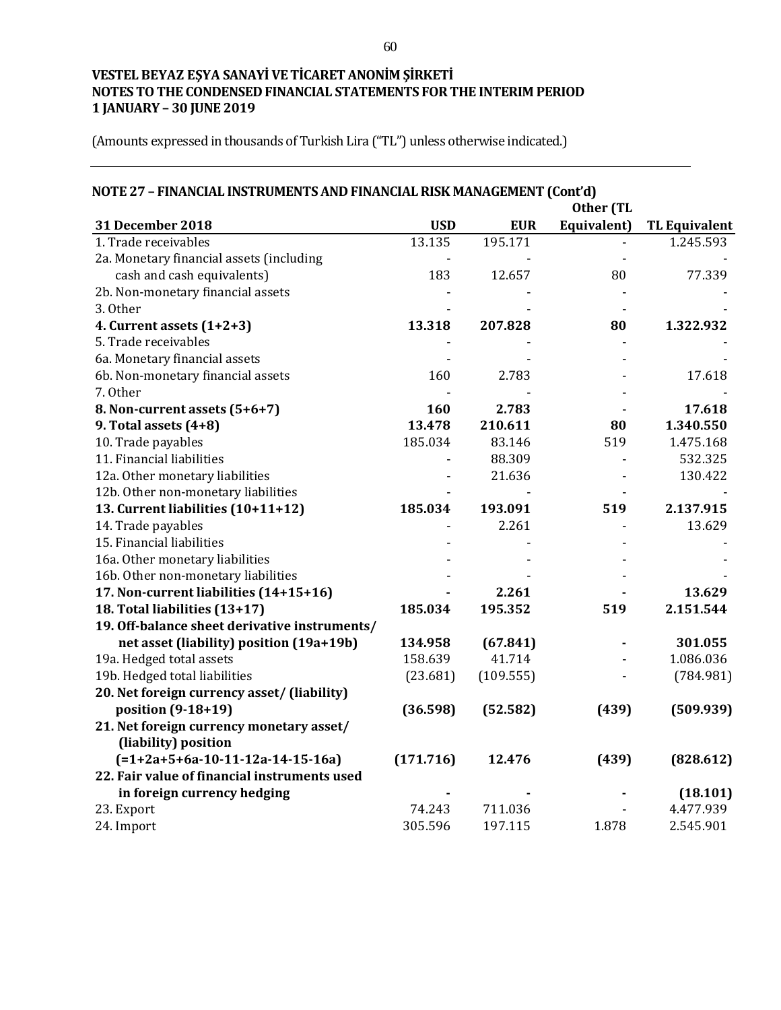| NOTE 27 - FINANCIAL INSTRUMENTS AND FINANCIAL RISK MANAGEMENT (Cont'd) |            |            |             |                      |
|------------------------------------------------------------------------|------------|------------|-------------|----------------------|
| Other (TL                                                              |            |            |             |                      |
| <b>31 December 2018</b>                                                | <b>USD</b> | <b>EUR</b> | Equivalent) | <b>TL Equivalent</b> |
| 1. Trade receivables                                                   | 13.135     | 195.171    |             | 1.245.593            |
| 2a. Monetary financial assets (including                               |            |            |             |                      |
| cash and cash equivalents)                                             | 183        | 12.657     | 80          | 77.339               |
| 2b. Non-monetary financial assets                                      |            |            |             |                      |
| 3. Other                                                               |            |            |             |                      |
| 4. Current assets (1+2+3)                                              | 13.318     | 207.828    | 80          | 1.322.932            |
| 5. Trade receivables                                                   |            |            |             |                      |
| 6a. Monetary financial assets                                          |            |            |             |                      |
| 6b. Non-monetary financial assets                                      | 160        | 2.783      |             | 17.618               |
| 7. Other                                                               |            |            |             |                      |
| 8. Non-current assets (5+6+7)                                          | 160        | 2.783      |             | 17.618               |
| 9. Total assets (4+8)                                                  | 13.478     | 210.611    | 80          | 1.340.550            |
| 10. Trade payables                                                     | 185.034    | 83.146     | 519         | 1.475.168            |
| 11. Financial liabilities                                              |            | 88.309     |             | 532.325              |
| 12a. Other monetary liabilities                                        |            | 21.636     |             | 130.422              |
| 12b. Other non-monetary liabilities                                    |            |            |             |                      |
| 13. Current liabilities (10+11+12)                                     | 185.034    | 193.091    | 519         | 2.137.915            |
| 14. Trade payables                                                     |            | 2.261      |             | 13.629               |
| 15. Financial liabilities                                              |            |            |             |                      |
| 16a. Other monetary liabilities                                        |            |            |             |                      |
| 16b. Other non-monetary liabilities                                    |            |            |             |                      |
| 17. Non-current liabilities (14+15+16)                                 |            | 2.261      |             | 13.629               |
| 18. Total liabilities (13+17)                                          | 185.034    | 195.352    | 519         | 2.151.544            |
| 19. Off-balance sheet derivative instruments/                          |            |            |             |                      |
| net asset (liability) position (19a+19b)                               | 134.958    | (67.841)   |             | 301.055              |
| 19a. Hedged total assets                                               | 158.639    | 41.714     |             | 1.086.036            |
| 19b. Hedged total liabilities                                          | (23.681)   | (109.555)  |             | (784.981)            |
| 20. Net foreign currency asset/ (liability)                            |            |            |             |                      |
| position (9-18+19)                                                     | (36.598)   | (52.582)   | (439)       | (509.939)            |
| 21. Net foreign currency monetary asset/                               |            |            |             |                      |
| (liability) position                                                   |            |            |             |                      |
| $(=1+2a+5+6a-10-11-12a-14-15-16a)$                                     | (171.716)  | 12.476     | (439)       | (828.612)            |
| 22. Fair value of financial instruments used                           |            |            |             |                      |
| in foreign currency hedging                                            |            |            |             | (18.101)             |
| 23. Export                                                             | 74.243     | 711.036    |             | 4.477.939            |
| 24. Import                                                             | 305.596    | 197.115    | 1.878       | 2.545.901            |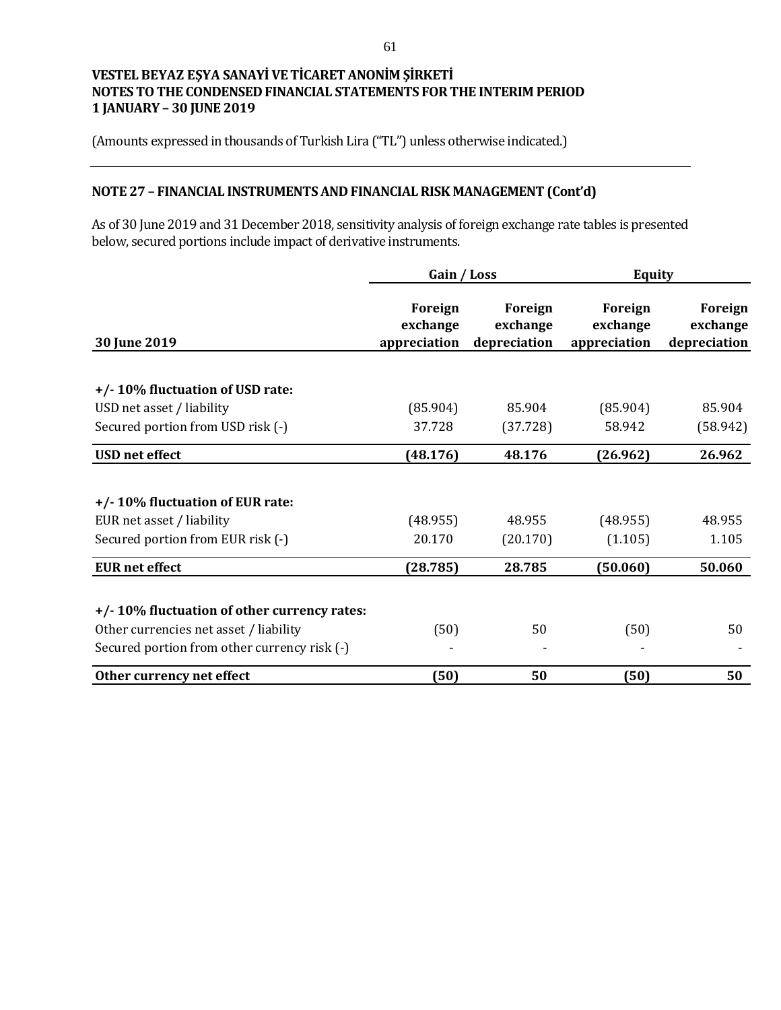(Amounts expressed in thousands of Turkish Lira ("TL") unless otherwise indicated.)

# **NOTE 27 – FINANCIAL INSTRUMENTS AND FINANCIAL RISK MANAGEMENT (Cont'd)**

As of 30 June 2019 and 31 December 2018, sensitivity analysis of foreign exchange rate tables is presented below, secured portions include impact of derivative instruments.

|                                              | Gain / Loss                         |                                     | <b>Equity</b>                       |                                     |
|----------------------------------------------|-------------------------------------|-------------------------------------|-------------------------------------|-------------------------------------|
| 30 June 2019                                 | Foreign<br>exchange<br>appreciation | Foreign<br>exchange<br>depreciation | Foreign<br>exchange<br>appreciation | Foreign<br>exchange<br>depreciation |
|                                              |                                     |                                     |                                     |                                     |
| +/-10% fluctuation of USD rate:              |                                     |                                     |                                     |                                     |
| USD net asset / liability                    | (85.904)                            | 85.904                              | (85.904)                            | 85.904                              |
| Secured portion from USD risk (-)            | 37.728                              | (37.728)                            | 58.942                              | (58.942)                            |
| <b>USD</b> net effect                        | (48.176)                            | 48.176                              | (26.962)                            | 26.962                              |
| +/-10% fluctuation of EUR rate:              |                                     |                                     |                                     |                                     |
| EUR net asset / liability                    | (48.955)                            | 48.955                              | (48.955)                            | 48.955                              |
| Secured portion from EUR risk (-)            | 20.170                              | (20.170)                            | (1.105)                             | 1.105                               |
| <b>EUR</b> net effect                        | (28.785)                            | 28.785                              | (50.060)                            | 50.060                              |
| +/-10% fluctuation of other currency rates:  |                                     |                                     |                                     |                                     |
| Other currencies net asset / liability       | (50)                                | 50                                  | (50)                                | 50                                  |
| Secured portion from other currency risk (-) |                                     |                                     |                                     |                                     |
| Other currency net effect                    | (50)                                | 50                                  | (50)                                | 50                                  |